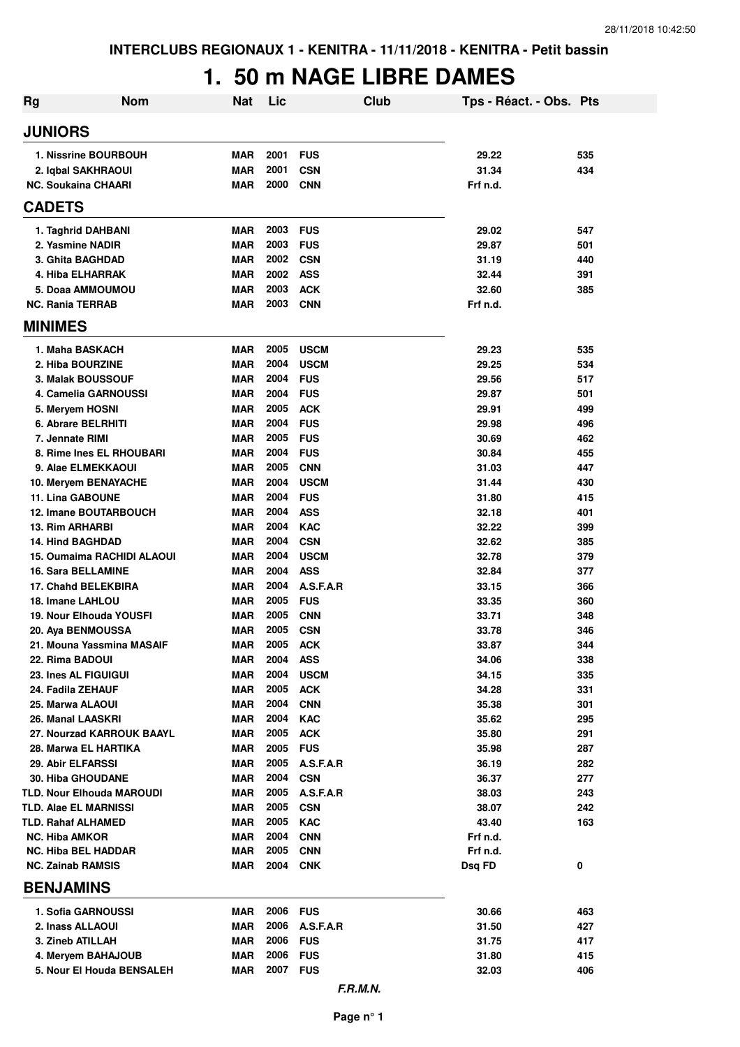## **1. 50 m NAGE LIBRE DAMES**

| <b>JUNIORS</b><br>2001<br><b>FUS</b><br>1. Nissrine BOURBOUH<br><b>MAR</b><br>29.22<br>2001<br>31.34<br>2. Iqbal SAKHRAOUI<br><b>MAR</b><br><b>CSN</b><br>2000<br><b>NC. Soukaina CHAARI</b><br><b>MAR</b><br><b>CNN</b><br>Frf n.d.<br><b>CADETS</b><br>2003<br><b>FUS</b><br><b>MAR</b><br>29.02<br>1. Taghrid DAHBANI<br>2003<br><b>FUS</b><br>2. Yasmine NADIR<br><b>MAR</b><br>29.87<br>2002<br><b>MAR</b><br><b>CSN</b><br>3. Ghita BAGHDAD<br>31.19<br>2002<br><b>ASS</b><br>4. Hiba ELHARRAK<br><b>MAR</b><br>32.44 | 535<br>434<br>547<br>501<br>440<br>391<br>385<br>535<br>534 |
|-----------------------------------------------------------------------------------------------------------------------------------------------------------------------------------------------------------------------------------------------------------------------------------------------------------------------------------------------------------------------------------------------------------------------------------------------------------------------------------------------------------------------------|-------------------------------------------------------------|
|                                                                                                                                                                                                                                                                                                                                                                                                                                                                                                                             |                                                             |
|                                                                                                                                                                                                                                                                                                                                                                                                                                                                                                                             |                                                             |
|                                                                                                                                                                                                                                                                                                                                                                                                                                                                                                                             |                                                             |
|                                                                                                                                                                                                                                                                                                                                                                                                                                                                                                                             |                                                             |
|                                                                                                                                                                                                                                                                                                                                                                                                                                                                                                                             |                                                             |
|                                                                                                                                                                                                                                                                                                                                                                                                                                                                                                                             |                                                             |
|                                                                                                                                                                                                                                                                                                                                                                                                                                                                                                                             |                                                             |
|                                                                                                                                                                                                                                                                                                                                                                                                                                                                                                                             |                                                             |
|                                                                                                                                                                                                                                                                                                                                                                                                                                                                                                                             |                                                             |
| 2003<br><b>ACK</b><br>32.60<br>5. Doaa AMMOUMOU<br><b>MAR</b>                                                                                                                                                                                                                                                                                                                                                                                                                                                               |                                                             |
| 2003<br><b>NC. Rania TERRAB</b><br><b>MAR</b><br><b>CNN</b><br>Frf n.d.                                                                                                                                                                                                                                                                                                                                                                                                                                                     |                                                             |
| <b>MINIMES</b>                                                                                                                                                                                                                                                                                                                                                                                                                                                                                                              |                                                             |
| 2005<br>1. Maha BASKACH<br><b>MAR</b><br><b>USCM</b><br>29.23                                                                                                                                                                                                                                                                                                                                                                                                                                                               |                                                             |
| 2004<br>29.25<br>2. Hiba BOURZINE<br><b>MAR</b><br><b>USCM</b>                                                                                                                                                                                                                                                                                                                                                                                                                                                              |                                                             |
| 2004<br><b>MAR</b><br><b>FUS</b><br>29.56<br>3. Malak BOUSSOUF                                                                                                                                                                                                                                                                                                                                                                                                                                                              | 517                                                         |
| 2004<br><b>FUS</b><br>4. Camelia GARNOUSSI<br><b>MAR</b><br>29.87                                                                                                                                                                                                                                                                                                                                                                                                                                                           | 501                                                         |
| 2005<br><b>ACK</b><br><b>MAR</b><br>29.91<br>5. Meryem HOSNI                                                                                                                                                                                                                                                                                                                                                                                                                                                                | 499                                                         |
| 2004<br><b>FUS</b><br>6. Abrare BELRHITI<br><b>MAR</b><br>29.98<br>2005                                                                                                                                                                                                                                                                                                                                                                                                                                                     | 496                                                         |
| 7. Jennate RIMI<br><b>MAR</b><br><b>FUS</b><br>30.69<br>2004<br><b>FUS</b><br>8. Rime Ines EL RHOUBARI<br><b>MAR</b><br>30.84                                                                                                                                                                                                                                                                                                                                                                                               | 462<br>455                                                  |
| 2005<br>9. Alae ELMEKKAOUI<br><b>MAR</b><br><b>CNN</b><br>31.03                                                                                                                                                                                                                                                                                                                                                                                                                                                             | 447                                                         |
| 2004<br>10. Meryem BENAYACHE<br><b>MAR</b><br><b>USCM</b><br>31.44                                                                                                                                                                                                                                                                                                                                                                                                                                                          | 430                                                         |
| 2004<br><b>11. Lina GABOUNE</b><br><b>MAR</b><br><b>FUS</b><br>31.80                                                                                                                                                                                                                                                                                                                                                                                                                                                        | 415                                                         |
| 2004<br><b>12. Imane BOUTARBOUCH</b><br><b>MAR</b><br><b>ASS</b><br>32.18                                                                                                                                                                                                                                                                                                                                                                                                                                                   | 401                                                         |
| 2004<br><b>KAC</b><br><b>13. Rim ARHARBI</b><br><b>MAR</b><br>32.22                                                                                                                                                                                                                                                                                                                                                                                                                                                         | 399                                                         |
| 2004<br><b>14. Hind BAGHDAD</b><br><b>MAR</b><br><b>CSN</b><br>32.62                                                                                                                                                                                                                                                                                                                                                                                                                                                        | 385                                                         |
| 2004<br>15. Oumaima RACHIDI ALAOUI<br><b>MAR</b><br><b>USCM</b><br>32.78                                                                                                                                                                                                                                                                                                                                                                                                                                                    | 379                                                         |
| 2004<br>16. Sara BELLAMINE<br><b>MAR</b><br><b>ASS</b><br>32.84                                                                                                                                                                                                                                                                                                                                                                                                                                                             | 377                                                         |
| 2004<br>A.S.F.A.R<br>17. Chahd BELEKBIRA<br><b>MAR</b><br>33.15                                                                                                                                                                                                                                                                                                                                                                                                                                                             | 366                                                         |
| 2005<br>18. Imane LAHLOU<br><b>MAR</b><br><b>FUS</b><br>33.35                                                                                                                                                                                                                                                                                                                                                                                                                                                               | 360                                                         |
| 2005<br><b>CNN</b><br>19. Nour Elhouda YOUSFI<br><b>MAR</b><br>33.71                                                                                                                                                                                                                                                                                                                                                                                                                                                        | 348                                                         |
| 2005<br><b>MAR</b><br><b>CSN</b><br>33.78<br>20. Aya BENMOUSSA                                                                                                                                                                                                                                                                                                                                                                                                                                                              | 346                                                         |
| 2005<br>21. Mouna Yassmina MASAIF<br><b>MAR</b><br><b>ACK</b><br>33.87                                                                                                                                                                                                                                                                                                                                                                                                                                                      | 344                                                         |
| 2004<br>22. Rima BADOUI<br>MAR<br><b>ASS</b><br>34.06<br>2004<br>23. Ines AL FIGUIGUI<br>MAR<br><b>USCM</b><br>34.15                                                                                                                                                                                                                                                                                                                                                                                                        | 338<br>335                                                  |
| 2005<br>MAR<br><b>ACK</b><br>34.28<br>24. Fadila ZEHAUF                                                                                                                                                                                                                                                                                                                                                                                                                                                                     | 331                                                         |
| 2004<br>MAR<br><b>CNN</b><br>35.38<br>25. Marwa ALAOUI                                                                                                                                                                                                                                                                                                                                                                                                                                                                      | 301                                                         |
| 2004<br>26. Manal LAASKRI<br>MAR<br><b>KAC</b><br>35.62                                                                                                                                                                                                                                                                                                                                                                                                                                                                     | 295                                                         |
| 2005<br>27. Nourzad KARROUK BAAYL<br><b>MAR</b><br><b>ACK</b><br>35.80                                                                                                                                                                                                                                                                                                                                                                                                                                                      | 291                                                         |
| 2005<br><b>FUS</b><br>28. Marwa EL HARTIKA<br><b>MAR</b><br>35.98                                                                                                                                                                                                                                                                                                                                                                                                                                                           | 287                                                         |
| 2005<br>A.S.F.A.R<br>29. Abir ELFARSSI<br><b>MAR</b><br>36.19                                                                                                                                                                                                                                                                                                                                                                                                                                                               | 282                                                         |
| 2004<br><b>30. Hiba GHOUDANE</b><br><b>MAR</b><br><b>CSN</b><br>36.37                                                                                                                                                                                                                                                                                                                                                                                                                                                       | 277                                                         |
| 2005<br><b>TLD. Nour Elhouda MAROUDI</b><br><b>MAR</b><br>A.S.F.A.R<br>38.03                                                                                                                                                                                                                                                                                                                                                                                                                                                | 243                                                         |
| 2005<br><b>TLD. Alae EL MARNISSI</b><br><b>MAR</b><br><b>CSN</b><br>38.07                                                                                                                                                                                                                                                                                                                                                                                                                                                   | 242                                                         |
| 2005<br>TLD. Rahaf ALHAMED<br>MAR<br><b>KAC</b><br>43.40                                                                                                                                                                                                                                                                                                                                                                                                                                                                    | 163                                                         |
| 2004<br><b>NC. Hiba AMKOR</b><br>MAR<br><b>CNN</b><br>Frf n.d.                                                                                                                                                                                                                                                                                                                                                                                                                                                              |                                                             |
| 2005<br><b>NC. Hiba BEL HADDAR</b><br><b>MAR</b><br><b>CNN</b><br>Frf n.d.<br>2004                                                                                                                                                                                                                                                                                                                                                                                                                                          |                                                             |
| <b>NC. Zainab RAMSIS</b><br>MAR<br><b>CNK</b><br>Dsq FD<br><b>BENJAMINS</b>                                                                                                                                                                                                                                                                                                                                                                                                                                                 | 0                                                           |
|                                                                                                                                                                                                                                                                                                                                                                                                                                                                                                                             |                                                             |
| 2006<br>1. Sofia GARNOUSSI<br>MAR<br><b>FUS</b><br>30.66<br>2006                                                                                                                                                                                                                                                                                                                                                                                                                                                            | 463                                                         |
| 2. Inass ALLAOUI<br>MAR<br>A.S.F.A.R<br>31.50<br>2006<br>3. Zineb ATILLAH<br>MAR<br><b>FUS</b><br>31.75                                                                                                                                                                                                                                                                                                                                                                                                                     | 427                                                         |
| 2006<br><b>MAR</b><br><b>FUS</b><br>4. Meryem BAHAJOUB<br>31.80                                                                                                                                                                                                                                                                                                                                                                                                                                                             | 417<br>415                                                  |
| 2007<br>5. Nour El Houda BENSALEH<br><b>MAR</b><br><b>FUS</b><br>32.03                                                                                                                                                                                                                                                                                                                                                                                                                                                      | 406                                                         |
| F.R.M.N.                                                                                                                                                                                                                                                                                                                                                                                                                                                                                                                    |                                                             |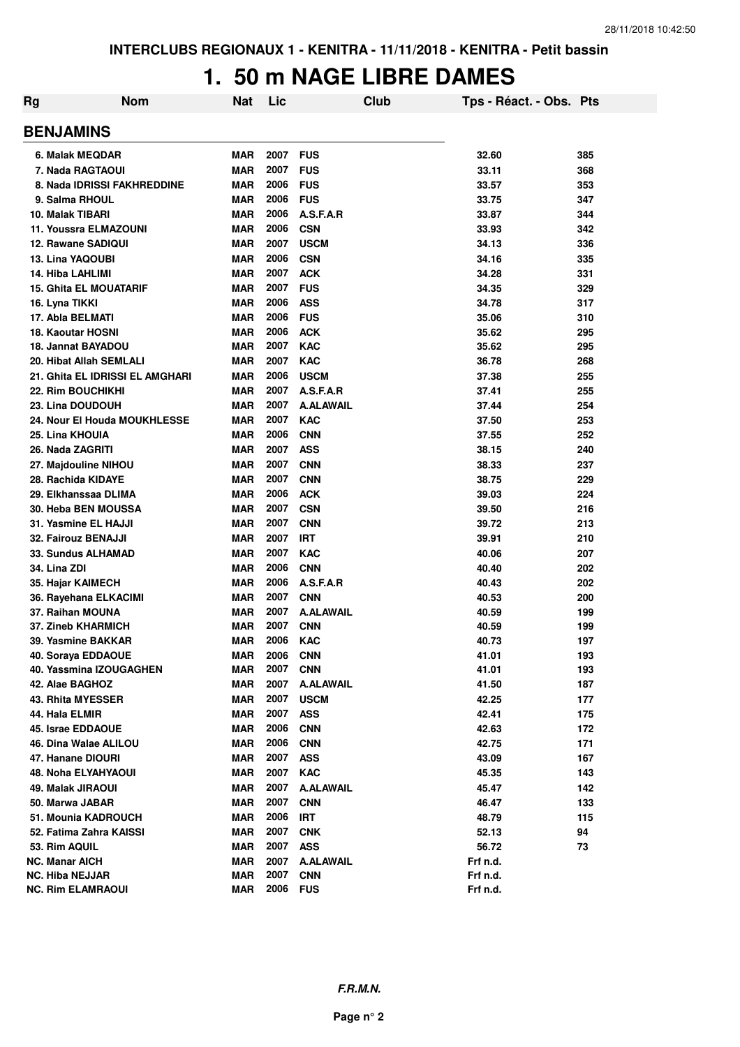## **1. 50 m NAGE LIBRE DAMES**

| Rg | <b>Nom</b>                      | <b>Nat</b> | Lic  | Club             | Tps - Réact. - Obs. Pts |     |
|----|---------------------------------|------------|------|------------------|-------------------------|-----|
|    | <b>BENJAMINS</b>                |            |      |                  |                         |     |
|    | 6. Malak MEQDAR                 | <b>MAR</b> | 2007 | <b>FUS</b>       | 32.60                   | 385 |
|    | 7. Nada RAGTAOUI                | <b>MAR</b> | 2007 | <b>FUS</b>       | 33.11                   | 368 |
|    | 8. Nada IDRISSI FAKHREDDINE     | <b>MAR</b> | 2006 | <b>FUS</b>       | 33.57                   | 353 |
|    | 9. Salma RHOUL                  | <b>MAR</b> | 2006 | <b>FUS</b>       | 33.75                   | 347 |
|    | 10. Malak TIBARI                | <b>MAR</b> | 2006 | A.S.F.A.R        | 33.87                   | 344 |
|    | <b>11. Youssra ELMAZOUNI</b>    | <b>MAR</b> | 2006 | <b>CSN</b>       | 33.93                   | 342 |
|    | 12. Rawane SADIQUI              | <b>MAR</b> | 2007 | <b>USCM</b>      | 34.13                   | 336 |
|    | 13. Lina YAQOUBI                | <b>MAR</b> | 2006 | <b>CSN</b>       | 34.16                   | 335 |
|    | 14. Hiba LAHLIMI                | <b>MAR</b> | 2007 | <b>ACK</b>       | 34.28                   | 331 |
|    | <b>15. Ghita EL MOUATARIF</b>   | <b>MAR</b> | 2007 | <b>FUS</b>       | 34.35                   | 329 |
|    | 16. Lyna TIKKI                  | <b>MAR</b> | 2006 | <b>ASS</b>       | 34.78                   | 317 |
|    | 17. Abla BELMATI                | <b>MAR</b> | 2006 | <b>FUS</b>       | 35.06                   | 310 |
|    | <b>18. Kaoutar HOSNI</b>        | <b>MAR</b> | 2006 | <b>ACK</b>       | 35.62                   | 295 |
|    | 18. Jannat BAYADOU              | <b>MAR</b> | 2007 | <b>KAC</b>       | 35.62                   | 295 |
|    | 20. Hibat Allah SEMLALI         | <b>MAR</b> | 2007 | <b>KAC</b>       | 36.78                   | 268 |
|    | 21. Ghita EL IDRISSI EL AMGHARI | <b>MAR</b> | 2006 | <b>USCM</b>      | 37.38                   | 255 |
|    | <b>22. Rim BOUCHIKHI</b>        | <b>MAR</b> | 2007 | A.S.F.A.R        | 37.41                   | 255 |
|    | 23. Lina DOUDOUH                | <b>MAR</b> | 2007 | <b>A.ALAWAIL</b> | 37.44                   | 254 |
|    | 24. Nour El Houda MOUKHLESSE    | <b>MAR</b> | 2007 | <b>KAC</b>       | 37.50                   | 253 |
|    | 25. Lina KHOUIA                 | <b>MAR</b> | 2006 | <b>CNN</b>       | 37.55                   | 252 |
|    | 26. Nada ZAGRITI                | <b>MAR</b> | 2007 | <b>ASS</b>       | 38.15                   | 240 |
|    | 27. Majdouline NIHOU            | <b>MAR</b> | 2007 | <b>CNN</b>       | 38.33                   | 237 |
|    | 28. Rachida KIDAYE              | <b>MAR</b> | 2007 | <b>CNN</b>       | 38.75                   | 229 |
|    | 29. Elkhanssaa DLIMA            | <b>MAR</b> | 2006 | <b>ACK</b>       | 39.03                   | 224 |
|    | 30. Heba BEN MOUSSA             | <b>MAR</b> | 2007 | <b>CSN</b>       | 39.50                   | 216 |
|    | 31. Yasmine EL HAJJI            | <b>MAR</b> | 2007 | <b>CNN</b>       | 39.72                   | 213 |
|    | 32. Fairouz BENAJJI             | <b>MAR</b> | 2007 | <b>IRT</b>       | 39.91                   | 210 |
|    | 33. Sundus ALHAMAD              | <b>MAR</b> | 2007 | <b>KAC</b>       | 40.06                   | 207 |
|    | 34. Lina ZDI                    | <b>MAR</b> | 2006 | <b>CNN</b>       | 40.40                   | 202 |
|    | 35. Hajar KAIMECH               | <b>MAR</b> | 2006 | A.S.F.A.R        | 40.43                   | 202 |
|    | 36. Rayehana ELKACIMI           | <b>MAR</b> | 2007 | <b>CNN</b>       | 40.53                   | 200 |
|    | 37. Raihan MOUNA                | <b>MAR</b> | 2007 | <b>A.ALAWAIL</b> | 40.59                   | 199 |
|    | <b>37. Zineb KHARMICH</b>       | <b>MAR</b> | 2007 | <b>CNN</b>       | 40.59                   | 199 |
|    | 39. Yasmine BAKKAR              | <b>MAR</b> | 2006 | <b>KAC</b>       | 40.73                   | 197 |
|    | 40. Soraya EDDAOUE              | <b>MAR</b> | 2006 | <b>CNN</b>       | 41.01                   | 193 |
|    | 40. Yassmina IZOUGAGHEN         | <b>MAR</b> | 2007 | <b>CNN</b>       | 41.01                   | 193 |
|    | 42. Alae BAGHOZ                 | <b>MAR</b> | 2007 | <b>A.ALAWAIL</b> | 41.50                   | 187 |
|    | 43. Rhita MYESSER               | <b>MAR</b> | 2007 | <b>USCM</b>      | 42.25                   | 177 |
|    | 44. Hala ELMIR                  | <b>MAR</b> | 2007 | <b>ASS</b>       | 42.41                   | 175 |
|    | 45. Israe EDDAOUE               | <b>MAR</b> | 2006 | <b>CNN</b>       | 42.63                   | 172 |
|    | 46. Dina Walae ALILOU           | <b>MAR</b> | 2006 | <b>CNN</b>       | 42.75                   | 171 |
|    | 47. Hanane DIOURI               | <b>MAR</b> | 2007 | <b>ASS</b>       | 43.09                   | 167 |
|    | <b>48. Noha ELYAHYAOUI</b>      | <b>MAR</b> | 2007 | <b>KAC</b>       | 45.35                   | 143 |
|    | 49. Malak JIRAOUI               | <b>MAR</b> | 2007 | <b>A.ALAWAIL</b> | 45.47                   | 142 |
|    | 50. Marwa JABAR                 | <b>MAR</b> | 2007 | <b>CNN</b>       | 46.47                   | 133 |
|    | 51. Mounia KADROUCH             | <b>MAR</b> | 2006 | <b>IRT</b>       | 48.79                   | 115 |
|    | 52. Fatima Zahra KAISSI         | <b>MAR</b> | 2007 | <b>CNK</b>       | 52.13                   | 94  |
|    | 53. Rim AQUIL                   | <b>MAR</b> | 2007 | <b>ASS</b>       | 56.72                   | 73  |
|    | <b>NC. Manar AICH</b>           | <b>MAR</b> | 2007 | <b>A.ALAWAIL</b> | Frf n.d.                |     |
|    | <b>NC. Hiba NEJJAR</b>          | <b>MAR</b> | 2007 | <b>CNN</b>       | Frf n.d.                |     |
|    | <b>NC. Rim ELAMRAOUI</b>        | <b>MAR</b> | 2006 | <b>FUS</b>       | Frf n.d.                |     |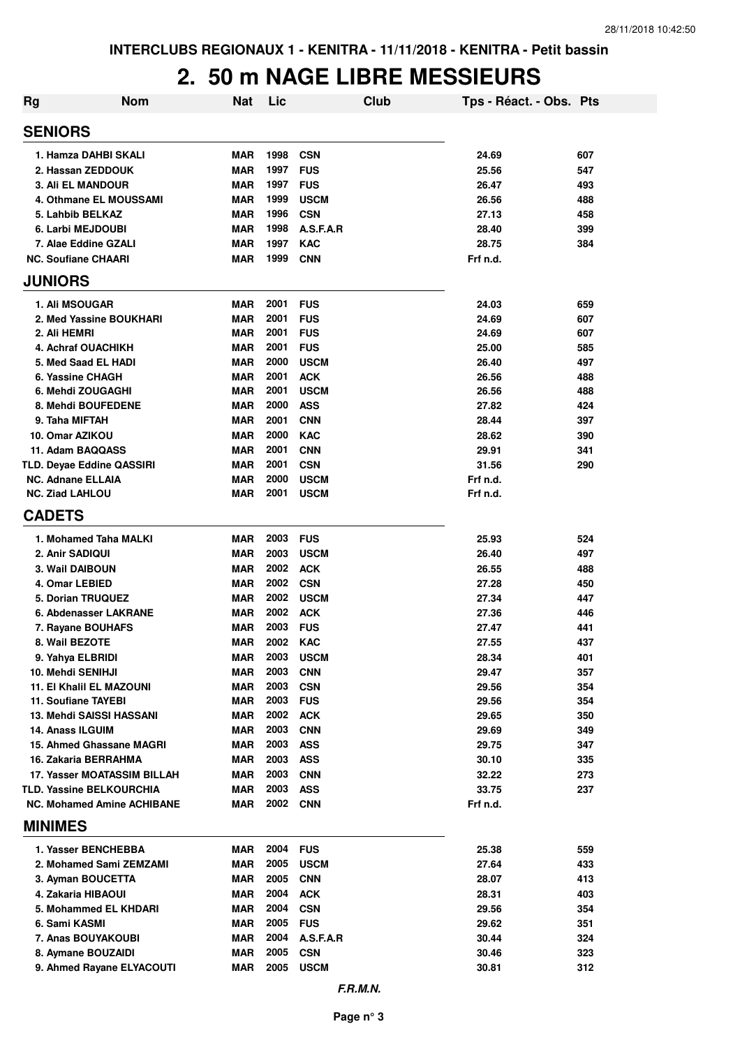## **2. 50 m NAGE LIBRE MESSIEURS**

| <b>Rg</b>                         | <b>Nom</b>                  | Nat        | Lic  |             | Club | Tps - Réact. - Obs. Pts |     |
|-----------------------------------|-----------------------------|------------|------|-------------|------|-------------------------|-----|
| <b>SENIORS</b>                    |                             |            |      |             |      |                         |     |
| 1. Hamza DAHBI SKALI              |                             | MAR        | 1998 | <b>CSN</b>  |      | 24.69                   | 607 |
| 2. Hassan ZEDDOUK                 |                             | <b>MAR</b> | 1997 | <b>FUS</b>  |      | 25.56                   | 547 |
| <b>3. Ali EL MANDOUR</b>          |                             | <b>MAR</b> | 1997 | <b>FUS</b>  |      | 26.47                   | 493 |
| 4. Othmane EL MOUSSAMI            |                             | <b>MAR</b> | 1999 | <b>USCM</b> |      | 26.56                   | 488 |
| 5. Lahbib BELKAZ                  |                             | <b>MAR</b> | 1996 | <b>CSN</b>  |      | 27.13                   | 458 |
| 6. Larbi MEJDOUBI                 |                             | <b>MAR</b> | 1998 | A.S.F.A.R   |      | 28.40                   | 399 |
| 7. Alae Eddine GZALI              |                             | <b>MAR</b> | 1997 | <b>KAC</b>  |      | 28.75                   | 384 |
| <b>NC. Soufiane CHAARI</b>        |                             | MAR        | 1999 | <b>CNN</b>  |      | Frf n.d.                |     |
| <b>JUNIORS</b>                    |                             |            |      |             |      |                         |     |
| <b>1. Ali MSOUGAR</b>             |                             | <b>MAR</b> | 2001 | <b>FUS</b>  |      | 24.03                   | 659 |
| 2. Med Yassine BOUKHARI           |                             | <b>MAR</b> | 2001 | <b>FUS</b>  |      | 24.69                   | 607 |
| 2. Ali HEMRI                      |                             | <b>MAR</b> | 2001 | <b>FUS</b>  |      | 24.69                   | 607 |
| 4. Achraf OUACHIKH                |                             | <b>MAR</b> | 2001 | <b>FUS</b>  |      | 25.00                   | 585 |
| 5. Med Saad EL HADI               |                             | <b>MAR</b> | 2000 | <b>USCM</b> |      | 26.40                   | 497 |
| 6. Yassine CHAGH                  |                             | <b>MAR</b> | 2001 | <b>ACK</b>  |      | 26.56                   | 488 |
| 6. Mehdi ZOUGAGHI                 |                             | <b>MAR</b> | 2001 | <b>USCM</b> |      | 26.56                   | 488 |
| 8. Mehdi BOUFEDENE                |                             | <b>MAR</b> | 2000 | <b>ASS</b>  |      | 27.82                   | 424 |
| 9. Taha MIFTAH                    |                             | <b>MAR</b> | 2001 | <b>CNN</b>  |      | 28.44                   | 397 |
| 10. Omar AZIKOU                   |                             | <b>MAR</b> | 2000 | <b>KAC</b>  |      | 28.62                   | 390 |
| 11. Adam BAQQASS                  |                             | <b>MAR</b> | 2001 | <b>CNN</b>  |      | 29.91                   | 341 |
| TLD. Deyae Eddine QASSIRI         |                             | <b>MAR</b> | 2001 | <b>CSN</b>  |      | 31.56                   | 290 |
| <b>NC. Adnane ELLAIA</b>          |                             | <b>MAR</b> | 2000 | <b>USCM</b> |      | Frf n.d.                |     |
| <b>NC. Ziad LAHLOU</b>            |                             | MAR        | 2001 | <b>USCM</b> |      | Frf n.d.                |     |
| <b>CADETS</b>                     |                             |            |      |             |      |                         |     |
| 1. Mohamed Taha MALKI             |                             | <b>MAR</b> | 2003 | <b>FUS</b>  |      | 25.93                   | 524 |
| 2. Anir SADIQUI                   |                             | MAR        | 2003 | <b>USCM</b> |      | 26.40                   | 497 |
| 3. Wail DAIBOUN                   |                             | MAR        | 2002 | <b>ACK</b>  |      | 26.55                   | 488 |
| 4. Omar LEBIED                    |                             | <b>MAR</b> | 2002 | <b>CSN</b>  |      | 27.28                   | 450 |
| 5. Dorian TRUQUEZ                 |                             | <b>MAR</b> | 2002 | <b>USCM</b> |      | 27.34                   | 447 |
| 6. Abdenasser LAKRANE             |                             | <b>MAR</b> | 2002 | <b>ACK</b>  |      | 27.36                   | 446 |
| 7. Rayane BOUHAFS                 |                             | MAR        | 2003 | <b>FUS</b>  |      | 27.47                   | 441 |
| 8. Wail BEZOTE                    |                             | MAR        | 2002 | <b>KAC</b>  |      | 27.55                   | 437 |
| 9. Yahya ELBRIDI                  |                             | MAR        | 2003 | <b>USCM</b> |      | 28.34                   | 401 |
| 10. Mehdi SENIHJI                 |                             | <b>MAR</b> | 2003 | <b>CNN</b>  |      | 29.47                   | 357 |
| <b>11. El Khalil EL MAZOUNI</b>   |                             | MAR        | 2003 | <b>CSN</b>  |      | 29.56                   | 354 |
| 11. Soufiane TAYEBI               |                             | <b>MAR</b> | 2003 | <b>FUS</b>  |      | 29.56                   | 354 |
| 13. Mehdi SAISSI HASSANI          |                             | <b>MAR</b> | 2002 | <b>ACK</b>  |      | 29.65                   | 350 |
| 14. Anass ILGUIM                  |                             | <b>MAR</b> | 2003 | <b>CNN</b>  |      | 29.69                   | 349 |
| 15. Ahmed Ghassane MAGRI          |                             | <b>MAR</b> | 2003 | <b>ASS</b>  |      | 29.75                   | 347 |
| 16. Zakaria BERRAHMA              |                             | <b>MAR</b> | 2003 | <b>ASS</b>  |      | 30.10                   | 335 |
|                                   | 17. Yasser MOATASSIM BILLAH | <b>MAR</b> | 2003 | <b>CNN</b>  |      | 32.22                   | 273 |
| TLD. Yassine BELKOURCHIA          |                             | MAR        | 2003 | <b>ASS</b>  |      | 33.75                   | 237 |
| <b>NC. Mohamed Amine ACHIBANE</b> |                             | MAR        | 2002 | <b>CNN</b>  |      | Frf n.d.                |     |
| <b>MINIMES</b>                    |                             |            |      |             |      |                         |     |
| 1. Yasser BENCHEBBA               |                             | <b>MAR</b> | 2004 | <b>FUS</b>  |      | 25.38                   | 559 |
| 2. Mohamed Sami ZEMZAMI           |                             | <b>MAR</b> | 2005 | <b>USCM</b> |      | 27.64                   | 433 |
| 3. Ayman BOUCETTA                 |                             | <b>MAR</b> | 2005 | <b>CNN</b>  |      | 28.07                   | 413 |
| 4. Zakaria HIBAOUI                |                             | <b>MAR</b> | 2004 | <b>ACK</b>  |      | 28.31                   | 403 |
| 5. Mohammed EL KHDARI             |                             | MAR        | 2004 | <b>CSN</b>  |      | 29.56                   | 354 |
| 6. Sami KASMI                     |                             | MAR        | 2005 | <b>FUS</b>  |      | 29.62                   | 351 |
| 7. Anas BOUYAKOUBI                |                             | MAR        | 2004 | A.S.F.A.R   |      | 30.44                   | 324 |
|                                   |                             | <b>MAR</b> | 2005 | <b>CSN</b>  |      | 30.46                   | 323 |
| 8. Aymane BOUZAIDI                |                             |            | 2005 |             |      |                         |     |
|                                   | 9. Ahmed Rayane ELYACOUTI   | <b>MAR</b> |      | <b>USCM</b> |      | 30.81                   | 312 |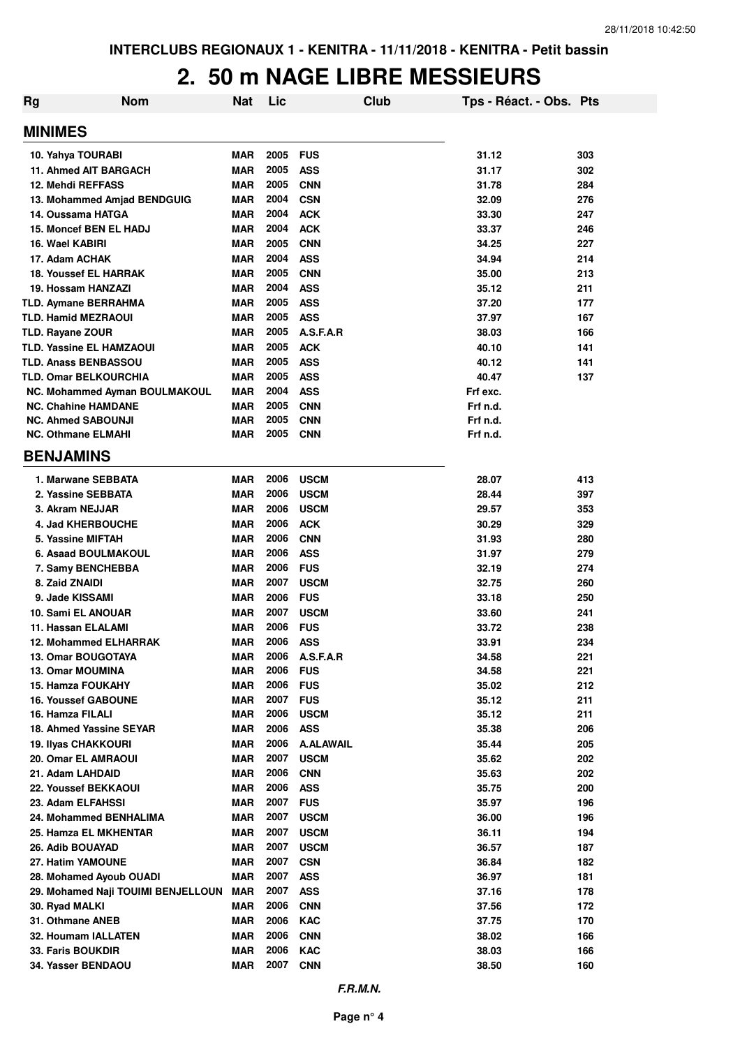## **2. 50 m NAGE LIBRE MESSIEURS**

| <b>Nom</b><br>Rg                                       | <b>Nat</b>               | Lic          | Club                            | Tps - Réact. - Obs. Pts |            |
|--------------------------------------------------------|--------------------------|--------------|---------------------------------|-------------------------|------------|
| <b>MINIMES</b>                                         |                          |              |                                 |                         |            |
| 10. Yahya TOURABI                                      | MAR                      | 2005         | <b>FUS</b>                      | 31.12                   | 303        |
| 11. Ahmed AIT BARGACH                                  | <b>MAR</b>               | 2005         | <b>ASS</b>                      | 31.17                   | 302        |
| 12. Mehdi REFFASS                                      | <b>MAR</b>               | 2005         | <b>CNN</b>                      | 31.78                   | 284        |
| 13. Mohammed Amjad BENDGUIG                            | <b>MAR</b>               | 2004         | <b>CSN</b>                      | 32.09                   | 276        |
| 14. Oussama HATGA                                      | <b>MAR</b>               | 2004         | <b>ACK</b>                      | 33.30                   | 247        |
| 15. Moncef BEN EL HADJ                                 | <b>MAR</b>               | 2004         | <b>ACK</b>                      | 33.37                   | 246        |
| 16. Wael KABIRI                                        | <b>MAR</b>               | 2005         | <b>CNN</b>                      | 34.25                   | 227        |
| 17. Adam ACHAK                                         | <b>MAR</b>               | 2004         | <b>ASS</b>                      | 34.94                   | 214        |
| <b>18. Youssef EL HARRAK</b>                           | <b>MAR</b>               | 2005         | <b>CNN</b>                      | 35.00                   | 213        |
| 19. Hossam HANZAZI                                     | <b>MAR</b>               | 2004         | <b>ASS</b>                      | 35.12                   | 211        |
| <b>TLD. Aymane BERRAHMA</b>                            | MAR                      | 2005         | <b>ASS</b>                      | 37.20                   | 177        |
| <b>TLD. Hamid MEZRAOUI</b>                             | <b>MAR</b>               | 2005         | <b>ASS</b>                      | 37.97                   | 167        |
| <b>TLD. Rayane ZOUR</b>                                | MAR                      | 2005         | A.S.F.A.R                       | 38.03                   | 166        |
| <b>TLD. Yassine EL HAMZAOUI</b>                        | MAR                      | 2005         | <b>ACK</b>                      | 40.10                   | 141        |
| <b>TLD. Anass BENBASSOU</b>                            | MAR                      | 2005         | <b>ASS</b>                      | 40.12                   | 141        |
| <b>TLD. Omar BELKOURCHIA</b>                           | <b>MAR</b>               | 2005         | <b>ASS</b>                      | 40.47                   | 137        |
| NC. Mohammed Ayman BOULMAKOUL                          | <b>MAR</b>               | 2004         | <b>ASS</b>                      | Frf exc.                |            |
| <b>NC. Chahine HAMDANE</b>                             | <b>MAR</b>               | 2005         | <b>CNN</b>                      | Frf n.d.                |            |
| <b>NC. Ahmed SABOUNJI</b><br><b>NC. Othmane ELMAHI</b> | <b>MAR</b><br>MAR        | 2005<br>2005 | <b>CNN</b><br><b>CNN</b>        | Frf n.d.<br>Frf n.d.    |            |
| <b>BENJAMINS</b>                                       |                          |              |                                 |                         |            |
| 1. Marwane SEBBATA                                     | <b>MAR</b>               | 2006         | <b>USCM</b>                     | 28.07                   | 413        |
| 2. Yassine SEBBATA                                     | <b>MAR</b>               | 2006         | <b>USCM</b>                     | 28.44                   | 397        |
| 3. Akram NEJJAR                                        | <b>MAR</b>               | 2006         | <b>USCM</b>                     | 29.57                   | 353        |
| 4. Jad KHERBOUCHE                                      | <b>MAR</b>               | 2006         | <b>ACK</b>                      | 30.29                   | 329        |
| 5. Yassine MIFTAH                                      | <b>MAR</b>               | 2006         | <b>CNN</b>                      | 31.93                   | 280        |
| <b>6. Asaad BOULMAKOUL</b>                             | <b>MAR</b>               | 2006         | <b>ASS</b>                      | 31.97                   | 279        |
| 7. Samy BENCHEBBA                                      | <b>MAR</b>               | 2006         | <b>FUS</b>                      | 32.19                   | 274        |
| 8. Zaid ZNAIDI                                         | <b>MAR</b>               | 2007         | <b>USCM</b>                     | 32.75                   | 260        |
| 9. Jade KISSAMI                                        | <b>MAR</b>               | 2006         | <b>FUS</b>                      | 33.18                   | 250        |
| 10. Sami EL ANOUAR                                     | <b>MAR</b>               | 2007         | <b>USCM</b>                     | 33.60                   | 241        |
| 11. Hassan ELALAMI                                     | <b>MAR</b>               | 2006         | <b>FUS</b>                      | 33.72                   | 238        |
| <b>12. Mohammed ELHARRAK</b>                           | <b>MAR</b>               | 2006         | <b>ASS</b>                      | 33.91                   | 234        |
| 13. Omar BOUGOTAYA                                     | MAR                      | 2006         | A.S.F.A.R                       | 34.58                   | 221        |
| <b>13. Omar MOUMINA</b>                                | <b>MAR</b>               | 2006         | <b>FUS</b>                      | 34.58                   | 221        |
| <b>15. Hamza FOUKAHY</b>                               | <b>MAR</b>               | 2006         | <b>FUS</b>                      | 35.02                   | 212        |
| <b>16. Youssef GABOUNE</b>                             | <b>MAR</b>               | 2007         | <b>FUS</b>                      | 35.12                   | 211        |
| 16. Hamza FILALI                                       | <b>MAR</b>               | 2006         | <b>USCM</b>                     | 35.12                   | 211        |
| 18. Ahmed Yassine SEYAR                                | <b>MAR</b>               | 2006         | <b>ASS</b>                      | 35.38                   | 206        |
| <b>19. Ilyas CHAKKOURI</b>                             | <b>MAR</b>               | 2006<br>2007 | <b>A.ALAWAIL</b><br><b>USCM</b> | 35.44                   | 205        |
| 20. Omar EL AMRAOUI<br>21. Adam LAHDAID                | <b>MAR</b><br><b>MAR</b> | 2006         |                                 | 35.62<br>35.63          | 202<br>202 |
| 22. Youssef BEKKAOUI                                   | <b>MAR</b>               | 2006         | <b>CNN</b><br><b>ASS</b>        | 35.75                   | 200        |
| 23. Adam ELFAHSSI                                      | <b>MAR</b>               | 2007         | <b>FUS</b>                      | 35.97                   | 196        |
| 24. Mohammed BENHALIMA                                 | <b>MAR</b>               | 2007         | <b>USCM</b>                     | 36.00                   | 196        |
| 25. Hamza EL MKHENTAR                                  | <b>MAR</b>               | 2007         | <b>USCM</b>                     | 36.11                   | 194        |
| 26. Adib BOUAYAD                                       | <b>MAR</b>               | 2007         | <b>USCM</b>                     | 36.57                   | 187        |
| 27. Hatim YAMOUNE                                      | <b>MAR</b>               | 2007         | <b>CSN</b>                      | 36.84                   | 182        |
| 28. Mohamed Ayoub OUADI                                | <b>MAR</b>               | 2007         | <b>ASS</b>                      | 36.97                   | 181        |
| 29. Mohamed Naji TOUIMI BENJELLOUN                     | <b>MAR</b>               | 2007         | <b>ASS</b>                      | 37.16                   | 178        |
| 30. Ryad MALKI                                         | MAR                      | 2006         | <b>CNN</b>                      | 37.56                   | 172        |
| 31. Othmane ANEB                                       | MAR                      | 2006         | <b>KAC</b>                      | 37.75                   | 170        |
| 32. Houmam IALLATEN                                    | MAR                      | 2006         | <b>CNN</b>                      | 38.02                   | 166        |
| 33. Faris BOUKDIR                                      | <b>MAR</b>               | 2006         | <b>KAC</b>                      | 38.03                   | 166        |
| 34. Yasser BENDAOU                                     | <b>MAR</b>               | 2007         | <b>CNN</b>                      | 38.50                   | 160        |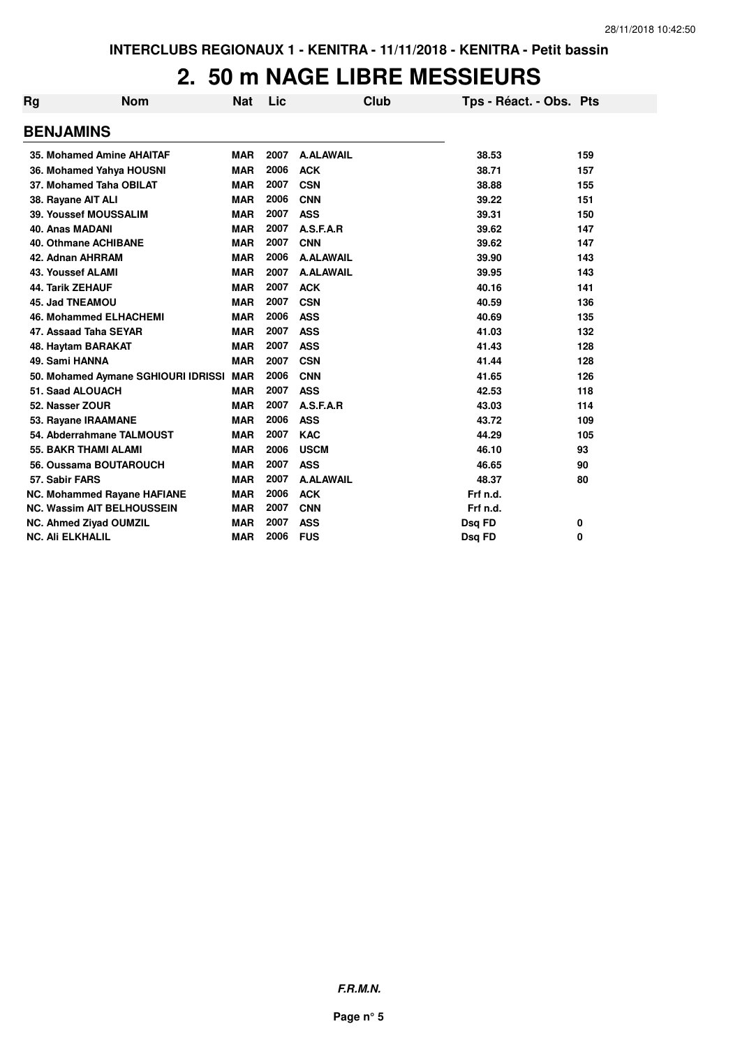## **2. 50 m NAGE LIBRE MESSIEURS**

| Rg | <b>Nom</b>                          | Nat        | Lic  |                  | Club | Tps - Réact. - Obs. Pts |     |
|----|-------------------------------------|------------|------|------------------|------|-------------------------|-----|
|    | <b>BENJAMINS</b>                    |            |      |                  |      |                         |     |
|    | 35. Mohamed Amine AHAITAF           | <b>MAR</b> | 2007 | <b>A.ALAWAIL</b> |      | 38.53                   | 159 |
|    | 36. Mohamed Yahya HOUSNI            | <b>MAR</b> | 2006 | <b>ACK</b>       |      | 38.71                   | 157 |
|    | 37. Mohamed Taha OBILAT             | <b>MAR</b> | 2007 | <b>CSN</b>       |      | 38.88                   | 155 |
|    | 38. Rayane AIT ALI                  | <b>MAR</b> | 2006 | <b>CNN</b>       |      | 39.22                   | 151 |
|    | <b>39. Youssef MOUSSALIM</b>        | <b>MAR</b> | 2007 | <b>ASS</b>       |      | 39.31                   | 150 |
|    | <b>40. Anas MADANI</b>              | <b>MAR</b> | 2007 | A.S.F.A.R        |      | 39.62                   | 147 |
|    | <b>40. Othmane ACHIBANE</b>         | <b>MAR</b> | 2007 | <b>CNN</b>       |      | 39.62                   | 147 |
|    | 42. Adnan AHRRAM                    | <b>MAR</b> | 2006 | <b>A.ALAWAIL</b> |      | 39.90                   | 143 |
|    | <b>43. Youssef ALAMI</b>            | <b>MAR</b> | 2007 | <b>A.ALAWAIL</b> |      | 39.95                   | 143 |
|    | <b>44. Tarik ZEHAUF</b>             | <b>MAR</b> | 2007 | <b>ACK</b>       |      | 40.16                   | 141 |
|    | <b>45. Jad TNEAMOU</b>              | <b>MAR</b> | 2007 | <b>CSN</b>       |      | 40.59                   | 136 |
|    | <b>46. Mohammed ELHACHEMI</b>       | <b>MAR</b> | 2006 | <b>ASS</b>       |      | 40.69                   | 135 |
|    | 47. Assaad Taha SEYAR               | <b>MAR</b> | 2007 | <b>ASS</b>       |      | 41.03                   | 132 |
|    | 48. Haytam BARAKAT                  | <b>MAR</b> | 2007 | <b>ASS</b>       |      | 41.43                   | 128 |
|    | 49. Sami HANNA                      | <b>MAR</b> | 2007 | <b>CSN</b>       |      | 41.44                   | 128 |
|    | 50. Mohamed Aymane SGHIOURI IDRISSI | <b>MAR</b> | 2006 | <b>CNN</b>       |      | 41.65                   | 126 |
|    | 51. Saad ALOUACH                    | <b>MAR</b> | 2007 | <b>ASS</b>       |      | 42.53                   | 118 |
|    | 52. Nasser ZOUR                     | <b>MAR</b> | 2007 | A.S.F.A.R        |      | 43.03                   | 114 |
|    | 53. Rayane IRAAMANE                 | <b>MAR</b> | 2006 | <b>ASS</b>       |      | 43.72                   | 109 |
|    | 54. Abderrahmane TALMOUST           | <b>MAR</b> | 2007 | <b>KAC</b>       |      | 44.29                   | 105 |
|    | <b>55. BAKR THAMI ALAMI</b>         | <b>MAR</b> | 2006 | <b>USCM</b>      |      | 46.10                   | 93  |
|    | 56. Oussama BOUTAROUCH              | <b>MAR</b> | 2007 | <b>ASS</b>       |      | 46.65                   | 90  |
|    | 57. Sabir FARS                      | <b>MAR</b> | 2007 | <b>A.ALAWAIL</b> |      | 48.37                   | 80  |
|    | NC. Mohammed Rayane HAFIANE         | <b>MAR</b> | 2006 | <b>ACK</b>       |      | Frf n.d.                |     |
|    | <b>NC. Wassim AIT BELHOUSSEIN</b>   | <b>MAR</b> | 2007 | <b>CNN</b>       |      | Frf n.d.                |     |
|    | <b>NC. Ahmed Ziyad OUMZIL</b>       | <b>MAR</b> | 2007 | <b>ASS</b>       |      | Dsq FD                  | 0   |
|    | <b>NC. Ali ELKHALIL</b>             | <b>MAR</b> | 2006 | <b>FUS</b>       |      | Dsq FD                  | 0   |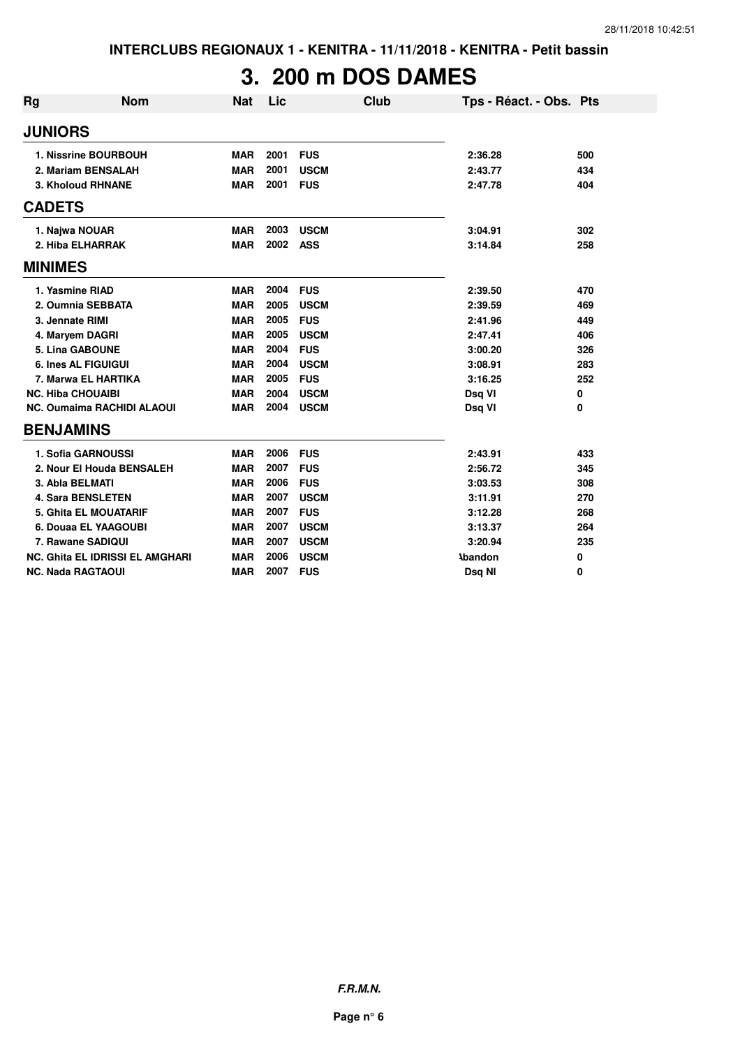# **3. 200 m DOS DAMES**

| Rg                       | <b>Nom</b>                             | <b>Nat</b> | Lic  |             | Club | Tps - Réact. - Obs. Pts |     |
|--------------------------|----------------------------------------|------------|------|-------------|------|-------------------------|-----|
| <b>JUNIORS</b>           |                                        |            |      |             |      |                         |     |
|                          | 1. Nissrine BOURBOUH                   | <b>MAR</b> | 2001 | <b>FUS</b>  |      | 2:36.28                 | 500 |
|                          | 2. Mariam BENSALAH                     | <b>MAR</b> | 2001 | <b>USCM</b> |      | 2:43.77                 | 434 |
|                          | 3. Kholoud RHNANE                      | <b>MAR</b> | 2001 | <b>FUS</b>  |      | 2:47.78                 | 404 |
| <b>CADETS</b>            |                                        |            |      |             |      |                         |     |
| 1. Najwa NOUAR           |                                        | <b>MAR</b> | 2003 | <b>USCM</b> |      | 3:04.91                 | 302 |
|                          | 2. Hiba ELHARRAK                       | <b>MAR</b> | 2002 | <b>ASS</b>  |      | 3:14.84                 | 258 |
| <b>MINIMES</b>           |                                        |            |      |             |      |                         |     |
| 1. Yasmine RIAD          |                                        | <b>MAR</b> | 2004 | <b>FUS</b>  |      | 2:39.50                 | 470 |
|                          | 2. Oumnia SEBBATA                      | <b>MAR</b> | 2005 | <b>USCM</b> |      | 2:39.59                 | 469 |
| 3. Jennate RIMI          |                                        | <b>MAR</b> | 2005 | <b>FUS</b>  |      | 2:41.96                 | 449 |
|                          | 4. Maryem DAGRI                        | <b>MAR</b> | 2005 | <b>USCM</b> |      | 2:47.41                 | 406 |
|                          | <b>5. Lina GABOUNE</b>                 | <b>MAR</b> | 2004 | <b>FUS</b>  |      | 3:00.20                 | 326 |
|                          | <b>6. Ines AL FIGUIGUI</b>             | <b>MAR</b> | 2004 | <b>USCM</b> |      | 3:08.91                 | 283 |
|                          | 7. Marwa EL HARTIKA                    | <b>MAR</b> | 2005 | <b>FUS</b>  |      | 3:16.25                 | 252 |
| <b>NC. Hiba CHOUAIBI</b> |                                        | <b>MAR</b> | 2004 | <b>USCM</b> |      | Dsq VI                  | 0   |
|                          | <b>NC. Oumaima RACHIDI ALAOUI</b>      | <b>MAR</b> | 2004 | <b>USCM</b> |      | Dsq VI                  | 0   |
| <b>BENJAMINS</b>         |                                        |            |      |             |      |                         |     |
|                          | 1. Sofia GARNOUSSI                     | <b>MAR</b> | 2006 | <b>FUS</b>  |      | 2:43.91                 | 433 |
|                          | 2. Nour El Houda BENSALEH              | <b>MAR</b> | 2007 | <b>FUS</b>  |      | 2:56.72                 | 345 |
| 3. Abla BELMATI          |                                        | <b>MAR</b> | 2006 | <b>FUS</b>  |      | 3:03.53                 | 308 |
|                          | <b>4. Sara BENSLETEN</b>               | <b>MAR</b> | 2007 | <b>USCM</b> |      | 3:11.91                 | 270 |
|                          | <b>5. Ghita EL MOUATARIF</b>           | <b>MAR</b> | 2007 | <b>FUS</b>  |      | 3:12.28                 | 268 |
|                          | 6. Douaa EL YAAGOUBI                   | <b>MAR</b> | 2007 | <b>USCM</b> |      | 3:13.37                 | 264 |
|                          | 7. Rawane SADIQUI                      | <b>MAR</b> | 2007 | <b>USCM</b> |      | 3:20.94                 | 235 |
|                          | <b>NC. Ghita EL IDRISSI EL AMGHARI</b> | <b>MAR</b> | 2006 | <b>USCM</b> |      | <b>\bandon</b>          | 0   |
| <b>NC. Nada RAGTAOUI</b> |                                        | <b>MAR</b> | 2007 | <b>FUS</b>  |      | Dsq NI                  | 0   |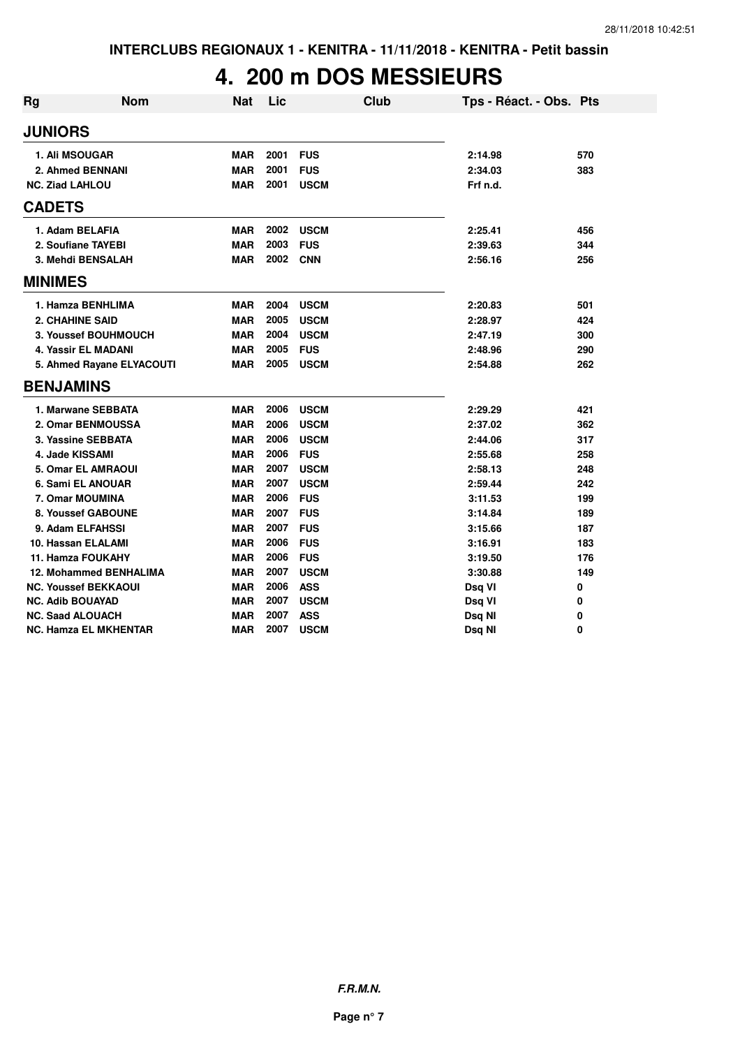## **4. 200 m DOS MESSIEURS**

| <b>Rg</b> | <b>Nom</b>                    | <b>Nat</b> | Lic  | <b>Club</b> | Tps - Réact. - Obs. Pts |     |
|-----------|-------------------------------|------------|------|-------------|-------------------------|-----|
|           | <b>JUNIORS</b>                |            |      |             |                         |     |
|           | <b>1. Ali MSOUGAR</b>         | <b>MAR</b> | 2001 | <b>FUS</b>  | 2:14.98                 | 570 |
|           | 2. Ahmed BENNANI              | <b>MAR</b> | 2001 | <b>FUS</b>  | 2:34.03                 | 383 |
|           | <b>NC. Ziad LAHLOU</b>        | <b>MAR</b> | 2001 | <b>USCM</b> | Frf n.d.                |     |
|           | <b>CADETS</b>                 |            |      |             |                         |     |
|           | 1. Adam BELAFIA               | MAR        | 2002 | <b>USCM</b> | 2:25.41                 | 456 |
|           | 2. Soufiane TAYEBI            | <b>MAR</b> | 2003 | <b>FUS</b>  | 2:39.63                 | 344 |
|           | 3. Mehdi BENSALAH             | <b>MAR</b> | 2002 | <b>CNN</b>  | 2:56.16                 | 256 |
|           | <b>MINIMES</b>                |            |      |             |                         |     |
|           | 1. Hamza BENHLIMA             | <b>MAR</b> | 2004 | <b>USCM</b> | 2:20.83                 | 501 |
|           | <b>2. CHAHINE SAID</b>        | <b>MAR</b> | 2005 | <b>USCM</b> | 2:28.97                 | 424 |
|           | 3. Youssef BOUHMOUCH          | <b>MAR</b> | 2004 | <b>USCM</b> | 2:47.19                 | 300 |
|           | 4. Yassir EL MADANI           | <b>MAR</b> | 2005 | <b>FUS</b>  | 2:48.96                 | 290 |
|           | 5. Ahmed Rayane ELYACOUTI     | <b>MAR</b> | 2005 | <b>USCM</b> | 2:54.88                 | 262 |
|           | <b>BENJAMINS</b>              |            |      |             |                         |     |
|           | 1. Marwane SEBBATA            | <b>MAR</b> | 2006 | <b>USCM</b> | 2:29.29                 | 421 |
|           | 2. Omar BENMOUSSA             | <b>MAR</b> | 2006 | <b>USCM</b> | 2:37.02                 | 362 |
|           | 3. Yassine SEBBATA            | <b>MAR</b> | 2006 | <b>USCM</b> | 2:44.06                 | 317 |
|           | 4. Jade KISSAMI               | <b>MAR</b> | 2006 | <b>FUS</b>  | 2:55.68                 | 258 |
|           | <b>5. Omar EL AMRAOUI</b>     | <b>MAR</b> | 2007 | <b>USCM</b> | 2:58.13                 | 248 |
|           | 6. Sami EL ANOUAR             | <b>MAR</b> | 2007 | <b>USCM</b> | 2:59.44                 | 242 |
|           | 7. Omar MOUMINA               | <b>MAR</b> | 2006 | <b>FUS</b>  | 3:11.53                 | 199 |
|           | 8. Youssef GABOUNE            | <b>MAR</b> | 2007 | <b>FUS</b>  | 3:14.84                 | 189 |
|           | 9. Adam ELFAHSSI              | <b>MAR</b> | 2007 | <b>FUS</b>  | 3:15.66                 | 187 |
|           | 10. Hassan ELALAMI            | <b>MAR</b> | 2006 | <b>FUS</b>  | 3:16.91                 | 183 |
|           | <b>11. Hamza FOUKAHY</b>      | <b>MAR</b> | 2006 | <b>FUS</b>  | 3:19.50                 | 176 |
|           | <b>12. Mohammed BENHALIMA</b> | <b>MAR</b> | 2007 | <b>USCM</b> | 3:30.88                 | 149 |
|           | <b>NC. Youssef BEKKAOUI</b>   | <b>MAR</b> | 2006 | <b>ASS</b>  | Dsq VI                  | 0   |
|           | <b>NC. Adib BOUAYAD</b>       | <b>MAR</b> | 2007 | <b>USCM</b> | Dsq VI                  | 0   |
|           | <b>NC. Saad ALOUACH</b>       | <b>MAR</b> | 2007 | <b>ASS</b>  | Dsq NI                  | 0   |
|           | NC. Hamza EL MKHENTAR         | <b>MAR</b> | 2007 | <b>USCM</b> | Dsq NI                  | 0   |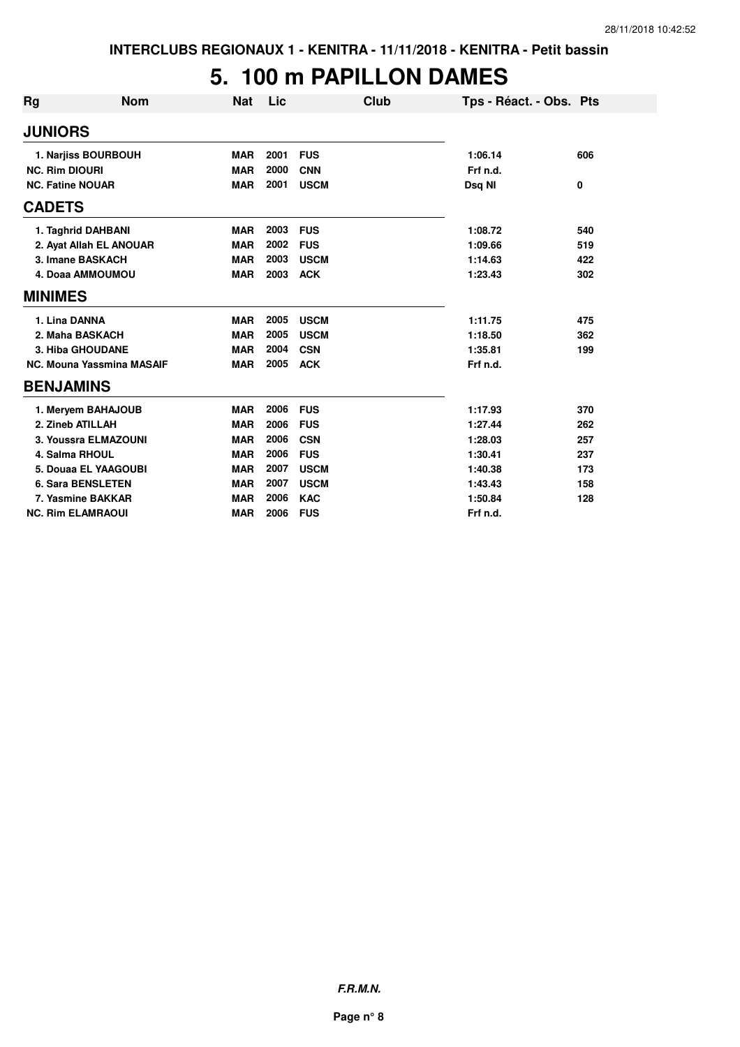### **5. 100 m PAPILLON DAMES**

| <b>Rg</b>               | <b>Nom</b>                       | <b>Nat</b> | Lic  | <b>Club</b> | Tps - Réact. - Obs. Pts |     |
|-------------------------|----------------------------------|------------|------|-------------|-------------------------|-----|
| <b>JUNIORS</b>          |                                  |            |      |             |                         |     |
|                         | 1. Narjiss BOURBOUH              | <b>MAR</b> | 2001 | <b>FUS</b>  | 1:06.14                 | 606 |
| <b>NC. Rim DIOURI</b>   |                                  | <b>MAR</b> | 2000 | <b>CNN</b>  | Frf n.d.                |     |
| <b>NC. Fatine NOUAR</b> |                                  | <b>MAR</b> | 2001 | <b>USCM</b> | Dsq NI                  | 0   |
| <b>CADETS</b>           |                                  |            |      |             |                         |     |
|                         | 1. Taghrid DAHBANI               | <b>MAR</b> | 2003 | <b>FUS</b>  | 1:08.72                 | 540 |
|                         | 2. Ayat Allah EL ANOUAR          | <b>MAR</b> | 2002 | <b>FUS</b>  | 1:09.66                 | 519 |
|                         | 3. Imane BASKACH                 | <b>MAR</b> | 2003 | <b>USCM</b> | 1:14.63                 | 422 |
|                         | 4. Doaa AMMOUMOU                 | <b>MAR</b> | 2003 | <b>ACK</b>  | 1:23.43                 | 302 |
| <b>MINIMES</b>          |                                  |            |      |             |                         |     |
| 1. Lina DANNA           |                                  | <b>MAR</b> | 2005 | <b>USCM</b> | 1:11.75                 | 475 |
|                         | 2. Maha BASKACH                  | <b>MAR</b> | 2005 | <b>USCM</b> | 1:18.50                 | 362 |
|                         | <b>3. Hiba GHOUDANE</b>          | <b>MAR</b> | 2004 | <b>CSN</b>  | 1:35.81                 | 199 |
|                         | <b>NC. Mouna Yassmina MASAIF</b> | <b>MAR</b> | 2005 | <b>ACK</b>  | Frf n.d.                |     |
| <b>BENJAMINS</b>        |                                  |            |      |             |                         |     |
|                         | 1. Meryem BAHAJOUB               | <b>MAR</b> | 2006 | <b>FUS</b>  | 1:17.93                 | 370 |
|                         | 2. Zineb ATILLAH                 | <b>MAR</b> | 2006 | <b>FUS</b>  | 1:27.44                 | 262 |
|                         | 3. Youssra ELMAZOUNI             | <b>MAR</b> | 2006 | <b>CSN</b>  | 1:28.03                 | 257 |
|                         | 4. Salma RHOUL                   | <b>MAR</b> | 2006 | <b>FUS</b>  | 1:30.41                 | 237 |
|                         | 5. Douaa EL YAAGOUBI             | <b>MAR</b> | 2007 | <b>USCM</b> | 1:40.38                 | 173 |
|                         | <b>6. Sara BENSLETEN</b>         | <b>MAR</b> | 2007 | <b>USCM</b> | 1:43.43                 | 158 |
|                         | 7. Yasmine BAKKAR                | <b>MAR</b> | 2006 | <b>KAC</b>  | 1:50.84                 | 128 |
|                         | <b>NC. Rim ELAMRAOUI</b>         | <b>MAR</b> | 2006 | <b>FUS</b>  | Frf n.d.                |     |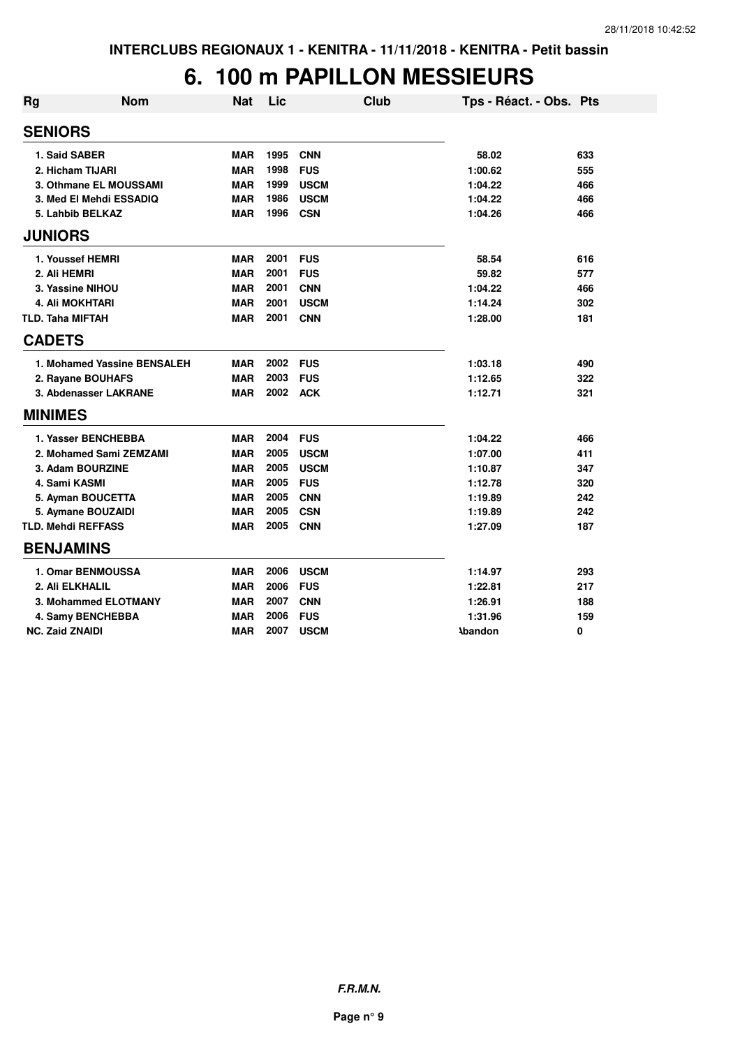## **6. 100 m PAPILLON MESSIEURS**

| <b>Rg</b>      | <b>Nom</b>                  | <b>Nat</b> | Lic  | <b>Club</b> | Tps - Réact. - Obs. Pts |     |
|----------------|-----------------------------|------------|------|-------------|-------------------------|-----|
| <b>SENIORS</b> |                             |            |      |             |                         |     |
|                | 1. Said SABER               | MAR        | 1995 | <b>CNN</b>  | 58.02                   | 633 |
|                | 2. Hicham TIJARI            | <b>MAR</b> | 1998 | <b>FUS</b>  | 1:00.62                 | 555 |
|                | 3. Othmane EL MOUSSAMI      | <b>MAR</b> | 1999 | <b>USCM</b> | 1:04.22                 | 466 |
|                | 3. Med El Mehdi ESSADIQ     | <b>MAR</b> | 1986 | <b>USCM</b> | 1:04.22                 | 466 |
|                | 5. Lahbib BELKAZ            | <b>MAR</b> | 1996 | <b>CSN</b>  | 1:04.26                 | 466 |
| <b>JUNIORS</b> |                             |            |      |             |                         |     |
|                | 1. Youssef HEMRI            | <b>MAR</b> | 2001 | <b>FUS</b>  | 58.54                   | 616 |
|                | 2. Ali HEMRI                | <b>MAR</b> | 2001 | <b>FUS</b>  | 59.82                   | 577 |
|                | 3. Yassine NIHOU            | <b>MAR</b> | 2001 | <b>CNN</b>  | 1:04.22                 | 466 |
|                | <b>4. Ali MOKHTARI</b>      | <b>MAR</b> | 2001 | <b>USCM</b> | 1:14.24                 | 302 |
|                | <b>TLD. Taha MIFTAH</b>     | <b>MAR</b> | 2001 | <b>CNN</b>  | 1:28.00                 | 181 |
| <b>CADETS</b>  |                             |            |      |             |                         |     |
|                | 1. Mohamed Yassine BENSALEH | <b>MAR</b> | 2002 | <b>FUS</b>  | 1:03.18                 | 490 |
|                | 2. Rayane BOUHAFS           | <b>MAR</b> | 2003 | <b>FUS</b>  | 1:12.65                 | 322 |
|                | 3. Abdenasser LAKRANE       | <b>MAR</b> | 2002 | <b>ACK</b>  | 1:12.71                 | 321 |
| <b>MINIMES</b> |                             |            |      |             |                         |     |
|                | 1. Yasser BENCHEBBA         | <b>MAR</b> | 2004 | <b>FUS</b>  | 1:04.22                 | 466 |
|                | 2. Mohamed Sami ZEMZAMI     | <b>MAR</b> | 2005 | <b>USCM</b> | 1:07.00                 | 411 |
|                | 3. Adam BOURZINE            | <b>MAR</b> | 2005 | <b>USCM</b> | 1:10.87                 | 347 |
|                | 4. Sami KASMI               | <b>MAR</b> | 2005 | <b>FUS</b>  | 1:12.78                 | 320 |
|                | 5. Ayman BOUCETTA           | <b>MAR</b> | 2005 | <b>CNN</b>  | 1:19.89                 | 242 |
|                | 5. Aymane BOUZAIDI          | <b>MAR</b> | 2005 | <b>CSN</b>  | 1:19.89                 | 242 |
|                | <b>TLD. Mehdi REFFASS</b>   | <b>MAR</b> | 2005 | <b>CNN</b>  | 1:27.09                 | 187 |
|                | <b>BENJAMINS</b>            |            |      |             |                         |     |
|                | <b>1. Omar BENMOUSSA</b>    | <b>MAR</b> | 2006 | <b>USCM</b> | 1:14.97                 | 293 |
|                | 2. Ali ELKHALIL             | <b>MAR</b> | 2006 | <b>FUS</b>  | 1:22.81                 | 217 |
|                | 3. Mohammed ELOTMANY        | <b>MAR</b> | 2007 | <b>CNN</b>  | 1:26.91                 | 188 |
|                | 4. Samy BENCHEBBA           | <b>MAR</b> | 2006 | <b>FUS</b>  | 1:31.96                 | 159 |
|                | <b>NC. Zaid ZNAIDI</b>      | <b>MAR</b> | 2007 | <b>USCM</b> | <b>Abandon</b>          | 0   |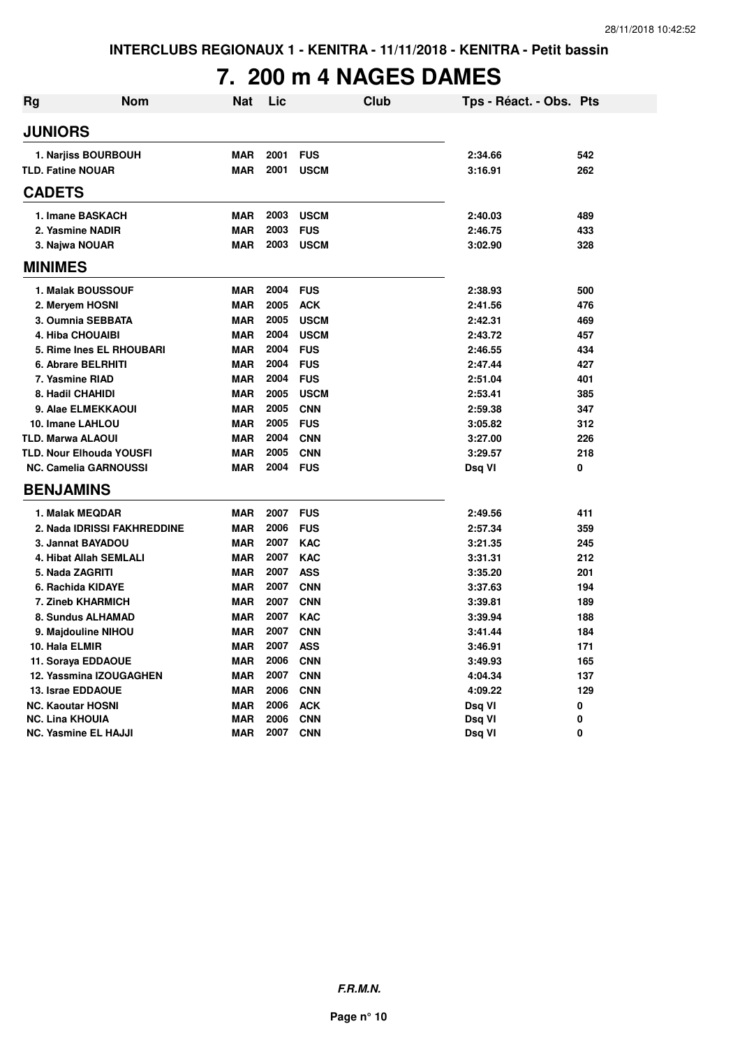## **7. 200 m 4 NAGES DAMES**

| <b>Rg</b> | <b>Nom</b>                      | Nat        | Lic  | Club        | Tps - Réact. - Obs. Pts |     |
|-----------|---------------------------------|------------|------|-------------|-------------------------|-----|
|           | <b>JUNIORS</b>                  |            |      |             |                         |     |
|           | 1. Narjiss BOURBOUH             | <b>MAR</b> | 2001 | <b>FUS</b>  | 2:34.66                 | 542 |
|           | <b>TLD. Fatine NOUAR</b>        | <b>MAR</b> | 2001 | <b>USCM</b> | 3:16.91                 | 262 |
|           | <b>CADETS</b>                   |            |      |             |                         |     |
|           | 1. Imane BASKACH                | <b>MAR</b> | 2003 | <b>USCM</b> | 2:40.03                 | 489 |
|           | 2. Yasmine NADIR                | <b>MAR</b> | 2003 | <b>FUS</b>  | 2:46.75                 | 433 |
|           | 3. Najwa NOUAR                  | <b>MAR</b> | 2003 | <b>USCM</b> | 3:02.90                 | 328 |
|           | <b>MINIMES</b>                  |            |      |             |                         |     |
|           | <b>1. Malak BOUSSOUF</b>        | <b>MAR</b> | 2004 | <b>FUS</b>  |                         | 500 |
|           | 2. Meryem HOSNI                 | <b>MAR</b> | 2005 | <b>ACK</b>  | 2:38.93<br>2:41.56      | 476 |
|           | 3. Oumnia SEBBATA               | <b>MAR</b> | 2005 | <b>USCM</b> | 2:42.31                 | 469 |
|           | <b>4. Hiba CHOUAIBI</b>         | <b>MAR</b> | 2004 | <b>USCM</b> | 2:43.72                 | 457 |
|           | 5. Rime Ines EL RHOUBARI        | <b>MAR</b> | 2004 | <b>FUS</b>  | 2:46.55                 | 434 |
|           | 6. Abrare BELRHITI              | <b>MAR</b> | 2004 | <b>FUS</b>  | 2:47.44                 | 427 |
|           | 7. Yasmine RIAD                 | <b>MAR</b> | 2004 | <b>FUS</b>  | 2:51.04                 | 401 |
|           | 8. Hadil CHAHIDI                | <b>MAR</b> | 2005 | <b>USCM</b> | 2:53.41                 | 385 |
|           | 9. Alae ELMEKKAOUI              | <b>MAR</b> | 2005 | <b>CNN</b>  | 2:59.38                 | 347 |
|           | 10. Imane LAHLOU                | <b>MAR</b> | 2005 | <b>FUS</b>  | 3:05.82                 | 312 |
|           | <b>TLD. Marwa ALAOUI</b>        | <b>MAR</b> | 2004 | <b>CNN</b>  | 3:27.00                 | 226 |
|           | <b>TLD. Nour Elhouda YOUSFI</b> | <b>MAR</b> | 2005 | <b>CNN</b>  | 3:29.57                 | 218 |
|           | <b>NC. Camelia GARNOUSSI</b>    | <b>MAR</b> | 2004 | <b>FUS</b>  | Dsq VI                  | 0   |
|           | <b>BENJAMINS</b>                |            |      |             |                         |     |
|           | 1. Malak MEQDAR                 | <b>MAR</b> | 2007 | <b>FUS</b>  | 2:49.56                 | 411 |
|           | 2. Nada IDRISSI FAKHREDDINE     | <b>MAR</b> | 2006 | <b>FUS</b>  | 2:57.34                 | 359 |
|           | 3. Jannat BAYADOU               | <b>MAR</b> | 2007 | <b>KAC</b>  | 3:21.35                 | 245 |
|           | 4. Hibat Allah SEMLALI          | <b>MAR</b> | 2007 | <b>KAC</b>  | 3:31.31                 | 212 |
|           | 5. Nada ZAGRITI                 | <b>MAR</b> | 2007 | <b>ASS</b>  | 3:35.20                 | 201 |
|           | 6. Rachida KIDAYE               | <b>MAR</b> | 2007 | <b>CNN</b>  | 3:37.63                 | 194 |
|           | 7. Zineb KHARMICH               | <b>MAR</b> | 2007 | <b>CNN</b>  | 3:39.81                 | 189 |
|           | 8. Sundus ALHAMAD               | <b>MAR</b> | 2007 | <b>KAC</b>  | 3:39.94                 | 188 |
|           | 9. Majdouline NIHOU             | <b>MAR</b> | 2007 | <b>CNN</b>  | 3:41.44                 | 184 |
|           | 10. Hala ELMIR                  | <b>MAR</b> | 2007 | <b>ASS</b>  | 3:46.91                 | 171 |
|           | 11. Soraya EDDAOUE              | <b>MAR</b> | 2006 | <b>CNN</b>  | 3:49.93                 | 165 |
|           | 12. Yassmina IZOUGAGHEN         | <b>MAR</b> | 2007 | <b>CNN</b>  | 4:04.34                 | 137 |
|           | 13. Israe EDDAOUE               | <b>MAR</b> | 2006 | <b>CNN</b>  | 4:09.22                 | 129 |
|           | <b>NC. Kaoutar HOSNI</b>        | <b>MAR</b> | 2006 | <b>ACK</b>  | Dsq VI                  | 0   |
|           | <b>NC. Lina KHOUIA</b>          | <b>MAR</b> | 2006 | <b>CNN</b>  | Dsq VI                  | 0   |
|           | <b>NC. Yasmine EL HAJJI</b>     | <b>MAR</b> | 2007 | <b>CNN</b>  | Dsq VI                  | 0   |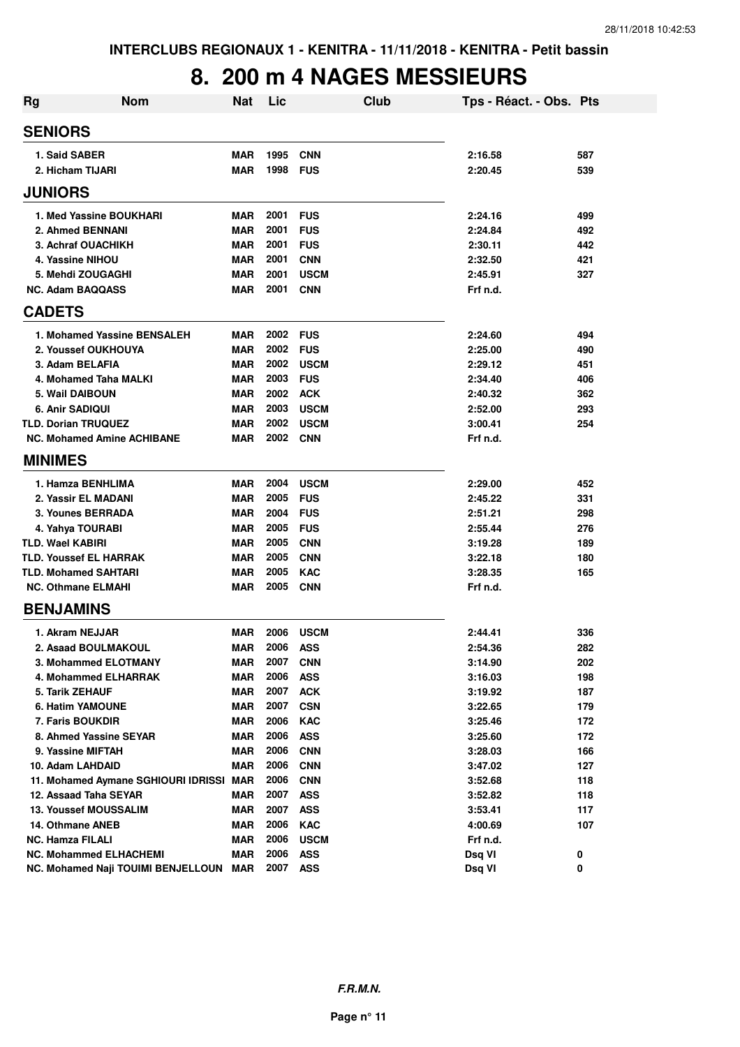## **8. 200 m 4 NAGES MESSIEURS**

| <b>Rg</b>               | <b>Nom</b>                                       | Nat                      | Lic          |                          | Club | Tps - Réact. - Obs. Pts |            |
|-------------------------|--------------------------------------------------|--------------------------|--------------|--------------------------|------|-------------------------|------------|
| <b>SENIORS</b>          |                                                  |                          |              |                          |      |                         |            |
| 1. Said SABER           |                                                  | <b>MAR</b>               | 1995         | <b>CNN</b>               |      | 2:16.58                 | 587        |
|                         | 2. Hicham TIJARI                                 | <b>MAR</b>               | 1998         | <b>FUS</b>               |      | 2:20.45                 | 539        |
| <b>JUNIORS</b>          |                                                  |                          |              |                          |      |                         |            |
|                         | 1. Med Yassine BOUKHARI                          | <b>MAR</b>               | 2001         | <b>FUS</b>               |      | 2:24.16                 | 499        |
|                         | 2. Ahmed BENNANI                                 | <b>MAR</b>               | 2001         | <b>FUS</b>               |      | 2:24.84                 | 492        |
|                         | 3. Achraf OUACHIKH                               | <b>MAR</b>               | 2001         | <b>FUS</b>               |      | 2:30.11                 | 442        |
|                         | 4. Yassine NIHOU                                 | <b>MAR</b>               | 2001         | <b>CNN</b>               |      | 2:32.50                 | 421        |
|                         | 5. Mehdi ZOUGAGHI                                | <b>MAR</b>               | 2001         | <b>USCM</b>              |      | 2:45.91                 | 327        |
|                         | <b>NC. Adam BAQQASS</b>                          | <b>MAR</b>               | 2001         | <b>CNN</b>               |      | Frf n.d.                |            |
| <b>CADETS</b>           |                                                  |                          |              |                          |      |                         |            |
|                         | 1. Mohamed Yassine BENSALEH                      | <b>MAR</b>               | 2002         | <b>FUS</b>               |      | 2:24.60                 | 494        |
|                         | 2. Youssef OUKHOUYA                              | <b>MAR</b>               | 2002         | <b>FUS</b>               |      | 2:25.00                 | 490        |
|                         | 3. Adam BELAFIA                                  | <b>MAR</b>               | 2002         | <b>USCM</b>              |      | 2:29.12                 | 451        |
|                         | 4. Mohamed Taha MALKI                            | <b>MAR</b>               | 2003         | <b>FUS</b>               |      | 2:34.40                 | 406        |
|                         | 5. Wail DAIBOUN                                  | <b>MAR</b>               | 2002         | <b>ACK</b>               |      | 2:40.32                 | 362        |
| <b>6. Anir SADIQUI</b>  |                                                  | <b>MAR</b>               | 2003         | <b>USCM</b>              |      | 2:52.00                 | 293        |
|                         | <b>TLD. Dorian TRUQUEZ</b>                       | <b>MAR</b>               | 2002         | <b>USCM</b>              |      | 3:00.41                 | 254        |
|                         | <b>NC. Mohamed Amine ACHIBANE</b>                | <b>MAR</b>               | 2002         | <b>CNN</b>               |      | Frf n.d.                |            |
| <b>MINIMES</b>          |                                                  |                          |              |                          |      |                         |            |
|                         | 1. Hamza BENHLIMA                                | <b>MAR</b>               | 2004         | <b>USCM</b>              |      | 2:29.00                 | 452        |
|                         | 2. Yassir EL MADANI                              | <b>MAR</b>               | 2005         | <b>FUS</b>               |      | 2:45.22                 | 331        |
|                         | 3. Younes BERRADA                                | <b>MAR</b>               | 2004         | <b>FUS</b>               |      | 2:51.21                 | 298        |
|                         | 4. Yahya TOURABI                                 | <b>MAR</b>               | 2005         | <b>FUS</b>               |      | 2:55.44                 | 276        |
| <b>TLD. Wael KABIRI</b> |                                                  | <b>MAR</b>               | 2005         | <b>CNN</b>               |      | 3:19.28                 | 189        |
|                         | <b>TLD. Youssef EL HARRAK</b>                    | <b>MAR</b>               | 2005         | <b>CNN</b>               |      | 3:22.18                 | 180        |
|                         | <b>TLD. Mohamed SAHTARI</b>                      | <b>MAR</b>               | 2005         | <b>KAC</b>               |      | 3:28.35                 | 165        |
|                         | <b>NC. Othmane ELMAHI</b>                        | <b>MAR</b>               | 2005         | <b>CNN</b>               |      | Frf n.d.                |            |
| <b>BENJAMINS</b>        |                                                  |                          |              |                          |      |                         |            |
|                         | 1. Akram NEJJAR                                  | <b>MAR</b>               | 2006         | <b>USCM</b>              |      | 2:44.41                 | 336        |
|                         | 2. Asaad BOULMAKOUL                              | <b>MAR</b>               | 2006         | <b>ASS</b>               |      | 2:54.36                 | 282        |
|                         | 3. Mohammed ELOTMANY                             | <b>MAR</b>               | 2007         | <b>CNN</b>               |      | 3:14.90                 | 202        |
|                         | 4. Mohammed ELHARRAK                             | <b>MAR</b>               | 2006         | <b>ASS</b>               |      | 3:16.03                 | 198        |
| 5. Tarik ZEHAUF         |                                                  | <b>MAR</b>               | 2007         | <b>ACK</b>               |      | 3:19.92                 | 187        |
|                         | <b>6. Hatim YAMOUNE</b>                          | <b>MAR</b>               | 2007         | <b>CSN</b>               |      | 3:22.65                 | 179        |
|                         | 7. Faris BOUKDIR                                 | <b>MAR</b>               | 2006         | <b>KAC</b>               |      | 3:25.46                 | 172        |
|                         | 8. Ahmed Yassine SEYAR                           | <b>MAR</b>               | 2006         | <b>ASS</b>               |      | 3:25.60                 | 172        |
|                         | 9. Yassine MIFTAH                                | <b>MAR</b>               | 2006         | <b>CNN</b>               |      | 3:28.03                 | 166        |
|                         | 10. Adam LAHDAID                                 | <b>MAR</b>               | 2006         | <b>CNN</b>               |      | 3:47.02                 | 127        |
|                         | 11. Mohamed Aymane SGHIOURI IDRISSI MAR          |                          | 2006         | <b>CNN</b>               |      | 3:52.68                 | 118        |
|                         | 12. Assaad Taha SEYAR                            | <b>MAR</b>               | 2007         | <b>ASS</b>               |      | 3:52.82                 | 118        |
|                         | <b>13. Youssef MOUSSALIM</b><br>14. Othmane ANEB | <b>MAR</b><br><b>MAR</b> | 2007<br>2006 | <b>ASS</b><br><b>KAC</b> |      | 3:53.41<br>4:00.69      | 117<br>107 |
| <b>NC. Hamza FILALI</b> |                                                  | <b>MAR</b>               | 2006         | <b>USCM</b>              |      | Frf n.d.                |            |
|                         | <b>NC. Mohammed ELHACHEMI</b>                    | <b>MAR</b>               | 2006         | <b>ASS</b>               |      | Dsq VI                  | 0          |
|                         | NC. Mohamed Naji TOUIMI BENJELLOUN MAR           |                          | 2007         | <b>ASS</b>               |      | Dsq VI                  | 0          |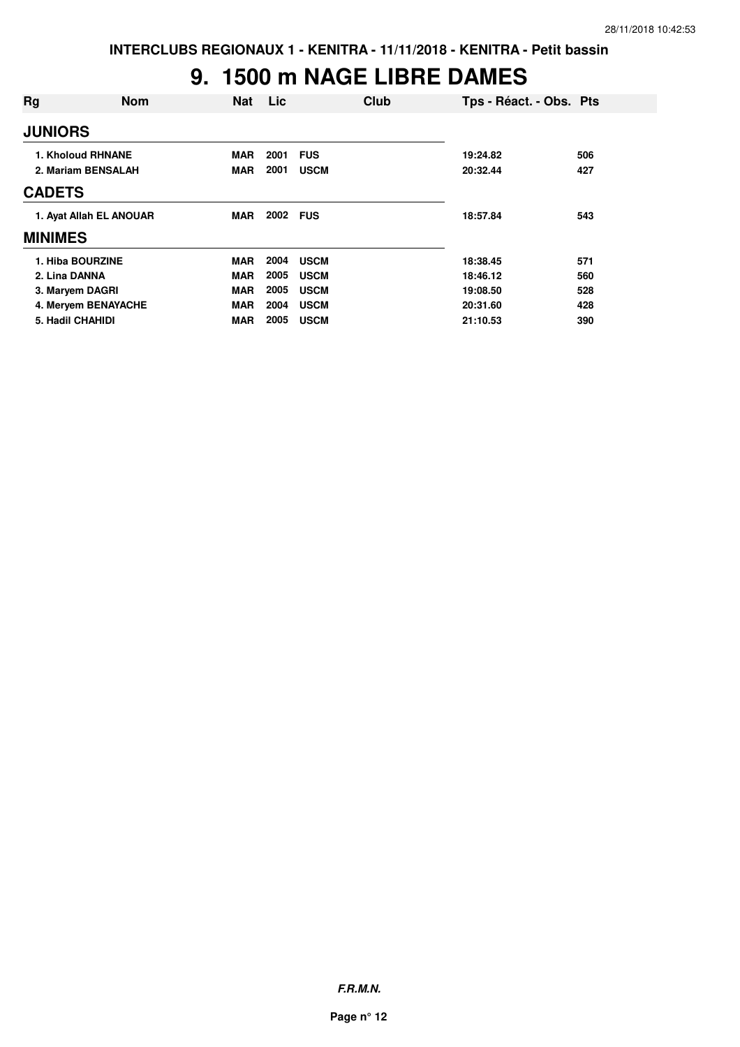## **9. 1500 m NAGE LIBRE DAMES**

| Rg               | <b>Nom</b>              | <b>Nat</b> | Lic      | Club        | Tps - Réact. - Obs. Pts |     |
|------------------|-------------------------|------------|----------|-------------|-------------------------|-----|
| <b>JUNIORS</b>   |                         |            |          |             |                         |     |
|                  | 1. Kholoud RHNANE       | <b>MAR</b> | 2001     | <b>FUS</b>  | 19:24.82                | 506 |
|                  | 2. Mariam BENSALAH      | <b>MAR</b> | 2001     | <b>USCM</b> | 20:32.44                | 427 |
| <b>CADETS</b>    |                         |            |          |             |                         |     |
|                  | 1. Ayat Allah EL ANOUAR | <b>MAR</b> | 2002 FUS |             | 18:57.84                | 543 |
| <b>MINIMES</b>   |                         |            |          |             |                         |     |
| 1. Hiba BOURZINE |                         | <b>MAR</b> | 2004     | <b>USCM</b> | 18:38.45                | 571 |
| 2. Lina DANNA    |                         | <b>MAR</b> | 2005     | <b>USCM</b> | 18:46.12                | 560 |
| 3. Maryem DAGRI  |                         | <b>MAR</b> | 2005     | <b>USCM</b> | 19:08.50                | 528 |
|                  | 4. Meryem BENAYACHE     | <b>MAR</b> | 2004     | <b>USCM</b> | 20:31.60                | 428 |
| 5. Hadil CHAHIDI |                         | <b>MAR</b> | 2005     | <b>USCM</b> | 21:10.53                | 390 |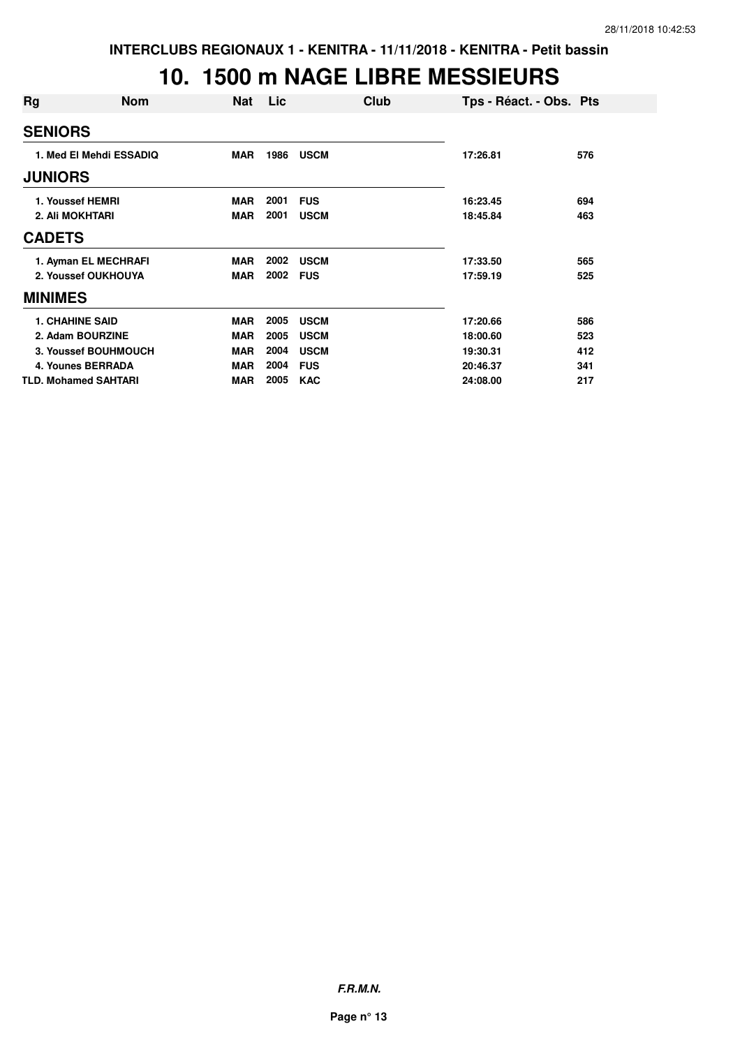#### **10. 1500 m NAGE LIBRE MESSIEURS**

| Rg              | <b>Nom</b>                  | <b>Nat</b> | Lic  | Club        | Tps - Réact. - Obs. Pts |     |
|-----------------|-----------------------------|------------|------|-------------|-------------------------|-----|
| <b>SENIORS</b>  |                             |            |      |             |                         |     |
|                 | 1. Med El Mehdi ESSADIQ     | <b>MAR</b> | 1986 | <b>USCM</b> | 17:26.81                | 576 |
| <b>JUNIORS</b>  |                             |            |      |             |                         |     |
|                 | 1. Youssef HEMRI            | <b>MAR</b> | 2001 | <b>FUS</b>  | 16:23.45                | 694 |
| 2. Ali MOKHTARI |                             | <b>MAR</b> | 2001 | <b>USCM</b> | 18:45.84                | 463 |
| <b>CADETS</b>   |                             |            |      |             |                         |     |
|                 | 1. Ayman EL MECHRAFI        | <b>MAR</b> | 2002 | <b>USCM</b> | 17:33.50                | 565 |
|                 | 2. Youssef OUKHOUYA         | <b>MAR</b> | 2002 | <b>FUS</b>  | 17:59.19                | 525 |
| <b>MINIMES</b>  |                             |            |      |             |                         |     |
|                 | <b>1. CHAHINE SAID</b>      | <b>MAR</b> | 2005 | <b>USCM</b> | 17:20.66                | 586 |
|                 | 2. Adam BOURZINE            | <b>MAR</b> | 2005 | <b>USCM</b> | 18:00.60                | 523 |
|                 | 3. Youssef BOUHMOUCH        | <b>MAR</b> | 2004 | <b>USCM</b> | 19:30.31                | 412 |
|                 | <b>4. Younes BERRADA</b>    | <b>MAR</b> | 2004 | <b>FUS</b>  | 20:46.37                | 341 |
|                 | <b>TLD. Mohamed SAHTARI</b> | <b>MAR</b> | 2005 | <b>KAC</b>  | 24:08.00                | 217 |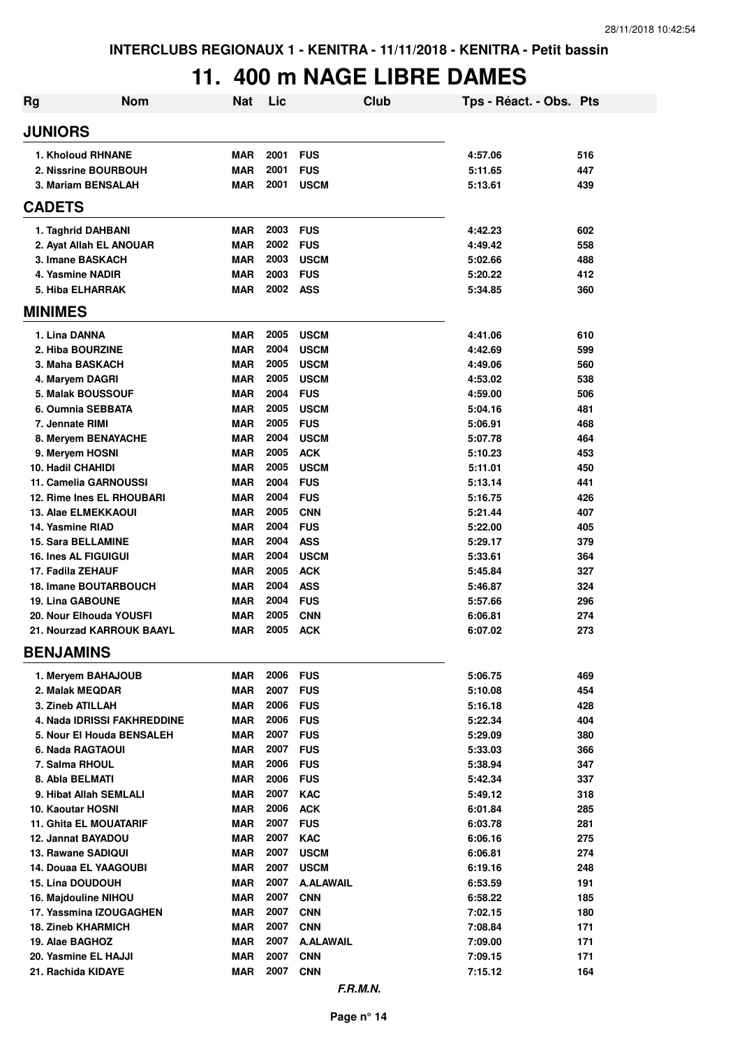## **11. 400 m NAGE LIBRE DAMES**

| Rg                                                      | <b>Nom</b>                  | <b>Nat</b>               | Lic          |                          | <b>Club</b> | Tps - Réact. - Obs. Pts |            |
|---------------------------------------------------------|-----------------------------|--------------------------|--------------|--------------------------|-------------|-------------------------|------------|
| <b>JUNIORS</b>                                          |                             |                          |              |                          |             |                         |            |
| <b>1. Kholoud RHNANE</b>                                |                             | <b>MAR</b>               | 2001         | <b>FUS</b>               |             | 4:57.06                 | 516        |
| 2. Nissrine BOURBOUH                                    |                             | <b>MAR</b>               | 2001         | <b>FUS</b>               |             | 5:11.65                 | 447        |
| 3. Mariam BENSALAH                                      |                             | <b>MAR</b>               | 2001         | <b>USCM</b>              |             | 5:13.61                 | 439        |
| <b>CADETS</b>                                           |                             |                          |              |                          |             |                         |            |
| 1. Taghrid DAHBANI                                      |                             | <b>MAR</b>               | 2003         | <b>FUS</b>               |             | 4:42.23                 | 602        |
| 2. Ayat Allah EL ANOUAR                                 |                             | <b>MAR</b>               | 2002         | <b>FUS</b>               |             | 4:49.42                 | 558        |
| 3. Imane BASKACH                                        |                             | <b>MAR</b>               | 2003         | <b>USCM</b>              |             | 5:02.66                 | 488        |
| 4. Yasmine NADIR                                        |                             | <b>MAR</b>               | 2003         | <b>FUS</b>               |             | 5:20.22                 | 412        |
| 5. Hiba ELHARRAK                                        |                             | <b>MAR</b>               | 2002         | <b>ASS</b>               |             | 5:34.85                 | 360        |
| <b>MINIMES</b>                                          |                             |                          |              |                          |             |                         |            |
| 1. Lina DANNA                                           |                             | <b>MAR</b>               | 2005         | <b>USCM</b>              |             | 4:41.06                 | 610        |
| 2. Hiba BOURZINE                                        |                             | <b>MAR</b>               | 2004         | <b>USCM</b>              |             | 4:42.69                 | 599        |
| 3. Maha BASKACH                                         |                             | <b>MAR</b>               | 2005         | <b>USCM</b>              |             | 4:49.06                 | 560        |
| 4. Maryem DAGRI                                         |                             | <b>MAR</b>               | 2005         | <b>USCM</b>              |             | 4:53.02                 | 538        |
| 5. Malak BOUSSOUF                                       |                             | <b>MAR</b>               | 2004         | <b>FUS</b>               |             | 4:59.00                 | 506        |
| 6. Oumnia SEBBATA                                       |                             | <b>MAR</b>               | 2005         | <b>USCM</b>              |             | 5:04.16                 | 481        |
| 7. Jennate RIMI                                         |                             | <b>MAR</b>               | 2005         | <b>FUS</b>               |             | 5:06.91                 | 468        |
| 8. Meryem BENAYACHE                                     |                             | <b>MAR</b>               | 2004         | <b>USCM</b>              |             | 5:07.78                 | 464        |
| 9. Meryem HOSNI                                         |                             | <b>MAR</b>               | 2005         | <b>ACK</b>               |             | 5:10.23                 | 453        |
| 10. Hadil CHAHIDI                                       |                             | <b>MAR</b>               | 2005         | <b>USCM</b>              |             | 5:11.01                 | 450        |
| 11. Camelia GARNOUSSI                                   |                             | <b>MAR</b>               | 2004         | <b>FUS</b>               |             | 5:13.14                 | 441        |
| 12. Rime Ines EL RHOUBARI                               |                             | <b>MAR</b>               | 2004         | <b>FUS</b>               |             | 5:16.75                 | 426        |
| 13. Alae ELMEKKAOUI                                     |                             | <b>MAR</b>               | 2005         | <b>CNN</b>               |             | 5:21.44                 | 407        |
| 14. Yasmine RIAD                                        |                             | <b>MAR</b>               | 2004         | <b>FUS</b>               |             | 5:22.00                 | 405        |
| 15. Sara BELLAMINE                                      |                             | <b>MAR</b>               | 2004         | <b>ASS</b>               |             | 5:29.17                 | 379        |
| <b>16. Ines AL FIGUIGUI</b>                             |                             | <b>MAR</b>               | 2004         | <b>USCM</b>              |             | 5:33.61                 | 364        |
| 17. Fadila ZEHAUF                                       |                             | <b>MAR</b>               | 2005<br>2004 | <b>ACK</b>               |             | 5:45.84                 | 327        |
| <b>18. Imane BOUTARBOUCH</b><br><b>19. Lina GABOUNE</b> |                             | <b>MAR</b><br><b>MAR</b> | 2004         | <b>ASS</b><br><b>FUS</b> |             | 5:46.87                 | 324<br>296 |
| 20. Nour Elhouda YOUSFI                                 |                             | <b>MAR</b>               | 2005         | <b>CNN</b>               |             | 5:57.66<br>6:06.81      | 274        |
| 21. Nourzad KARROUK BAAYL                               |                             | <b>MAR</b>               | 2005         | <b>ACK</b>               |             | 6:07.02                 | 273        |
| <b>BENJAMINS</b>                                        |                             |                          |              |                          |             |                         |            |
| 1. Mervem BAHAJOUB                                      |                             | <b>MAR</b>               | 2006         | <b>FUS</b>               |             | 5:06.75                 | 469        |
| 2. Malak MEQDAR                                         |                             | <b>MAR</b>               | 2007         | <b>FUS</b>               |             | 5:10.08                 | 454        |
| 3. Zineb ATILLAH                                        |                             | <b>MAR</b>               | 2006         | <b>FUS</b>               |             | 5:16.18                 | 428        |
|                                                         | 4. Nada IDRISSI FAKHREDDINE | <b>MAR</b>               | 2006         | <b>FUS</b>               |             | 5:22.34                 | 404        |
|                                                         | 5. Nour El Houda BENSALEH   | <b>MAR</b>               | 2007         | <b>FUS</b>               |             | 5:29.09                 | 380        |
| 6. Nada RAGTAOUI                                        |                             | MAR                      | 2007         | <b>FUS</b>               |             | 5:33.03                 | 366        |
| 7. Salma RHOUL                                          |                             | MAR                      | 2006         | <b>FUS</b>               |             | 5:38.94                 | 347        |
| 8. Abla BELMATI                                         |                             | MAR                      | 2006         | <b>FUS</b>               |             | 5:42.34                 | 337        |
| 9. Hibat Allah SEMLALI                                  |                             | MAR                      | 2007         | <b>KAC</b>               |             | 5:49.12                 | 318        |
| 10. Kaoutar HOSNI                                       |                             | <b>MAR</b>               | 2006         | <b>ACK</b>               |             | 6:01.84                 | 285        |
| <b>11. Ghita EL MOUATARIF</b>                           |                             | <b>MAR</b>               | 2007         | <b>FUS</b>               |             | 6:03.78                 | 281        |
| 12. Jannat BAYADOU                                      |                             | <b>MAR</b>               | 2007         | <b>KAC</b>               |             | 6:06.16                 | 275        |
| 13. Rawane SADIQUI                                      |                             | <b>MAR</b>               | 2007         | <b>USCM</b>              |             | 6:06.81                 | 274        |
| 14. Douaa EL YAAGOUBI                                   |                             | <b>MAR</b>               | 2007         | <b>USCM</b>              |             | 6:19.16                 | 248        |
| <b>15. Lina DOUDOUH</b>                                 |                             | <b>MAR</b>               | 2007         | <b>A.ALAWAIL</b>         |             | 6:53.59                 | 191        |
| 16. Majdouline NIHOU                                    |                             | <b>MAR</b>               | 2007         | <b>CNN</b>               |             | 6:58.22                 | 185        |
| 17. Yassmina IZOUGAGHEN                                 |                             | <b>MAR</b>               | 2007         | <b>CNN</b>               |             | 7:02.15                 | 180        |
| <b>18. Zineb KHARMICH</b>                               |                             | <b>MAR</b>               | 2007         | <b>CNN</b>               |             | 7:08.84                 | 171        |
| 19. Alae BAGHOZ                                         |                             | <b>MAR</b>               | 2007         | <b>A.ALAWAIL</b>         |             | 7:09.00                 | 171        |
| 20. Yasmine EL HAJJI<br>21. Rachida KIDAYE              |                             | <b>MAR</b><br>MAR        | 2007<br>2007 | <b>CNN</b><br><b>CNN</b> |             | 7:09.15                 | 171<br>164 |
|                                                         |                             |                          |              | F.R.M.N.                 |             | 7:15.12                 |            |
|                                                         |                             |                          |              |                          |             |                         |            |

**Page n° 14**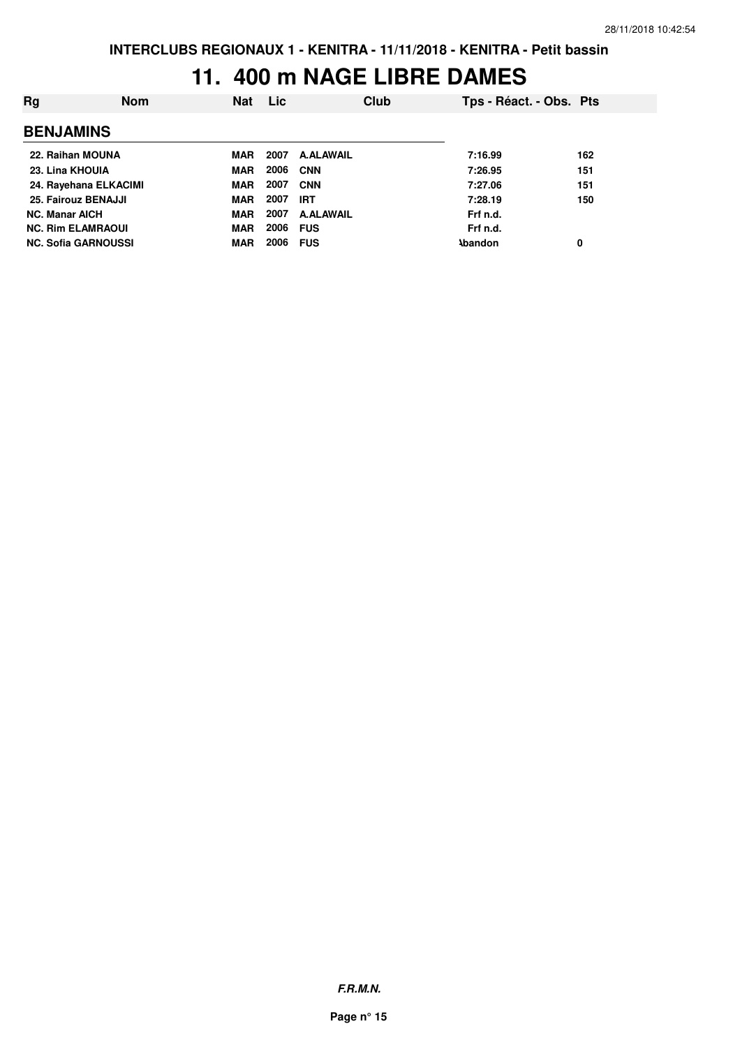## **11. 400 m NAGE LIBRE DAMES**

| Rg                         | <b>Nom</b> | <b>Nat</b> | <b>Lic</b> |                  | Club | Tps - Réact. - Obs. Pts |     |
|----------------------------|------------|------------|------------|------------------|------|-------------------------|-----|
| <b>BENJAMINS</b>           |            |            |            |                  |      |                         |     |
| 22. Raihan MOUNA           |            | MAR        | 2007       | <b>A.ALAWAIL</b> |      | 7:16.99                 | 162 |
| 23. Lina KHOUIA            |            | <b>MAR</b> | 2006       | <b>CNN</b>       |      | 7:26.95                 | 151 |
| 24. Rayehana ELKACIMI      |            | MAR        | 2007       | <b>CNN</b>       |      | 7:27.06                 | 151 |
| 25. Fairouz BENAJJI        |            | <b>MAR</b> | 2007       | <b>IRT</b>       |      | 7:28.19                 | 150 |
| <b>NC. Manar AICH</b>      |            | <b>MAR</b> | 2007       | <b>A.ALAWAIL</b> |      | Frf n.d.                |     |
| <b>NC. Rim ELAMRAOUI</b>   |            | <b>MAR</b> | 2006       | <b>FUS</b>       |      | Frf n.d.                |     |
| <b>NC. Sofia GARNOUSSI</b> |            | <b>MAR</b> | 2006       | <b>FUS</b>       |      | <b>\bandon</b>          | 0   |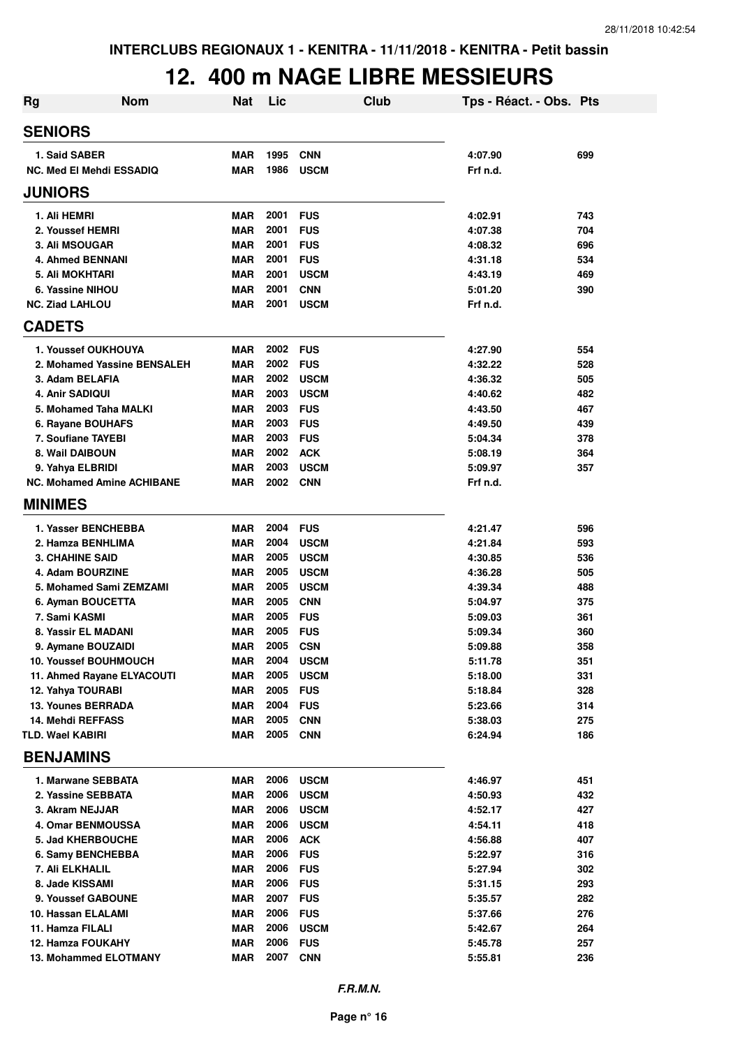## **12. 400 m NAGE LIBRE MESSIEURS**

| <b>Rg</b>                                           | <b>Nom</b>                        | <b>Nat</b>               | Lic          | Club                      | Tps - Réact. - Obs. Pts |            |
|-----------------------------------------------------|-----------------------------------|--------------------------|--------------|---------------------------|-------------------------|------------|
| <b>SENIORS</b>                                      |                                   |                          |              |                           |                         |            |
| 1. Said SABER                                       |                                   | <b>MAR</b>               | 1995         | <b>CNN</b>                | 4:07.90                 | 699        |
|                                                     | <b>NC. Med El Mehdi ESSADIQ</b>   | <b>MAR</b>               | 1986         | <b>USCM</b>               | Frf n.d.                |            |
| <b>JUNIORS</b>                                      |                                   |                          |              |                           |                         |            |
| 1. Ali HEMRI                                        |                                   | <b>MAR</b>               | 2001         | <b>FUS</b>                | 4:02.91                 | 743        |
| 2. Youssef HEMRI                                    |                                   | <b>MAR</b>               | 2001         | <b>FUS</b>                | 4:07.38                 | 704        |
| 3. Ali MSOUGAR                                      |                                   | <b>MAR</b>               | 2001         | <b>FUS</b>                | 4:08.32                 | 696        |
| <b>4. Ahmed BENNANI</b>                             |                                   | <b>MAR</b>               | 2001         | <b>FUS</b>                | 4:31.18                 | 534        |
| 5. Ali MOKHTARI                                     |                                   | <b>MAR</b>               | 2001         | <b>USCM</b>               | 4:43.19                 | 469        |
| 6. Yassine NIHOU                                    |                                   | <b>MAR</b>               | 2001         | <b>CNN</b>                | 5:01.20                 | 390        |
| <b>NC. Ziad LAHLOU</b>                              |                                   | <b>MAR</b>               | 2001         | <b>USCM</b>               | Frf n.d.                |            |
| <b>CADETS</b>                                       |                                   |                          |              |                           |                         |            |
|                                                     | 1. Youssef OUKHOUYA               | <b>MAR</b>               | 2002         | <b>FUS</b>                | 4:27.90                 | 554        |
|                                                     | 2. Mohamed Yassine BENSALEH       | <b>MAR</b>               | 2002         | <b>FUS</b>                | 4:32.22                 | 528        |
| 3. Adam BELAFIA                                     |                                   | <b>MAR</b>               | 2002         | <b>USCM</b>               | 4:36.32                 | 505        |
| <b>4. Anir SADIQUI</b>                              |                                   | <b>MAR</b>               | 2003         | <b>USCM</b>               | 4:40.62                 | 482        |
|                                                     | 5. Mohamed Taha MALKI             | <b>MAR</b>               | 2003         | <b>FUS</b>                | 4:43.50                 | 467        |
| 6. Rayane BOUHAFS                                   |                                   | <b>MAR</b>               | 2003         | <b>FUS</b>                | 4:49.50                 | 439        |
| 7. Soufiane TAYEBI                                  |                                   | <b>MAR</b>               | 2003         | <b>FUS</b>                | 5:04.34                 | 378        |
| 8. Wail DAIBOUN                                     |                                   | <b>MAR</b>               | 2002         | <b>ACK</b>                | 5:08.19                 | 364        |
| 9. Yahya ELBRIDI                                    |                                   | <b>MAR</b>               | 2003         | <b>USCM</b>               | 5:09.97                 | 357        |
|                                                     | <b>NC. Mohamed Amine ACHIBANE</b> | <b>MAR</b>               | 2002         | <b>CNN</b>                | Frf n.d.                |            |
| <b>MINIMES</b>                                      |                                   |                          |              |                           |                         |            |
|                                                     | 1. Yasser BENCHEBBA               | <b>MAR</b>               | 2004         | <b>FUS</b>                | 4:21.47                 | 596        |
| 2. Hamza BENHLIMA                                   |                                   | <b>MAR</b>               | 2004         | <b>USCM</b>               | 4:21.84                 | 593        |
| <b>3. CHAHINE SAID</b>                              |                                   | <b>MAR</b>               | 2005         | <b>USCM</b>               | 4:30.85                 | 536        |
| 4. Adam BOURZINE                                    |                                   | <b>MAR</b>               | 2005         | <b>USCM</b>               | 4:36.28                 | 505        |
|                                                     | 5. Mohamed Sami ZEMZAMI           | <b>MAR</b>               | 2005         | <b>USCM</b>               | 4:39.34                 | 488        |
| 6. Ayman BOUCETTA                                   |                                   | <b>MAR</b>               | 2005         | <b>CNN</b>                | 5:04.97                 | 375        |
| 7. Sami KASMI                                       |                                   | <b>MAR</b>               | 2005         | <b>FUS</b>                | 5:09.03                 | 361        |
| 8. Yassir EL MADANI                                 |                                   | <b>MAR</b>               | 2005         | <b>FUS</b>                | 5:09.34                 | 360        |
| 9. Aymane BOUZAIDI                                  |                                   | <b>MAR</b>               | 2005         | <b>CSN</b>                | 5:09.88                 | 358        |
|                                                     | 10. Youssef BOUHMOUCH             | <b>MAR</b>               | 2004         | <b>USCM</b>               | 5:11.78                 | 351        |
|                                                     | 11. Ahmed Rayane ELYACOUTI        | <b>MAR</b>               | 2005         | <b>USCM</b>               | 5:18.00                 | 331        |
| 12. Yahya TOURABI                                   |                                   | <b>MAR</b>               | 2005         | <b>FUS</b>                | 5:18.84                 | 328        |
| <b>13. Younes BERRADA</b>                           |                                   | <b>MAR</b>               | 2004<br>2005 | <b>FUS</b>                | 5:23.66                 | 314        |
| <b>14. Mehdi REFFASS</b><br><b>TLD. Wael KABIRI</b> |                                   | <b>MAR</b><br><b>MAR</b> | 2005         | <b>CNN</b><br><b>CNN</b>  | 5:38.03<br>6:24.94      | 275<br>186 |
| <b>BENJAMINS</b>                                    |                                   |                          |              |                           |                         |            |
|                                                     |                                   |                          |              |                           |                         |            |
| 1. Marwane SEBBATA                                  |                                   | MAR                      | 2006         | <b>USCM</b>               | 4:46.97                 | 451        |
| 2. Yassine SEBBATA                                  |                                   | <b>MAR</b>               | 2006         | <b>USCM</b>               | 4:50.93                 | 432        |
| 3. Akram NEJJAR<br>4. Omar BENMOUSSA                |                                   | <b>MAR</b><br><b>MAR</b> | 2006<br>2006 | <b>USCM</b>               | 4:52.17<br>4:54.11      | 427<br>418 |
| 5. Jad KHERBOUCHE                                   |                                   | <b>MAR</b>               | 2006         | <b>USCM</b><br><b>ACK</b> | 4:56.88                 | 407        |
| 6. Samy BENCHEBBA                                   |                                   | <b>MAR</b>               | 2006         | <b>FUS</b>                | 5:22.97                 | 316        |
| 7. Ali ELKHALIL                                     |                                   | <b>MAR</b>               | 2006         | <b>FUS</b>                | 5:27.94                 | 302        |
| 8. Jade KISSAMI                                     |                                   | <b>MAR</b>               | 2006         | <b>FUS</b>                | 5:31.15                 | 293        |
| 9. Youssef GABOUNE                                  |                                   | <b>MAR</b>               | 2007         | <b>FUS</b>                | 5:35.57                 | 282        |
| 10. Hassan ELALAMI                                  |                                   | <b>MAR</b>               | 2006         | <b>FUS</b>                | 5:37.66                 | 276        |
| 11. Hamza FILALI                                    |                                   | <b>MAR</b>               | 2006         | <b>USCM</b>               | 5:42.67                 | 264        |
| 12. Hamza FOUKAHY                                   |                                   | <b>MAR</b>               | 2006         | <b>FUS</b>                | 5:45.78                 | 257        |
|                                                     | <b>13. Mohammed ELOTMANY</b>      | <b>MAR</b>               | 2007         | <b>CNN</b>                | 5:55.81                 | 236        |
|                                                     |                                   |                          |              |                           |                         |            |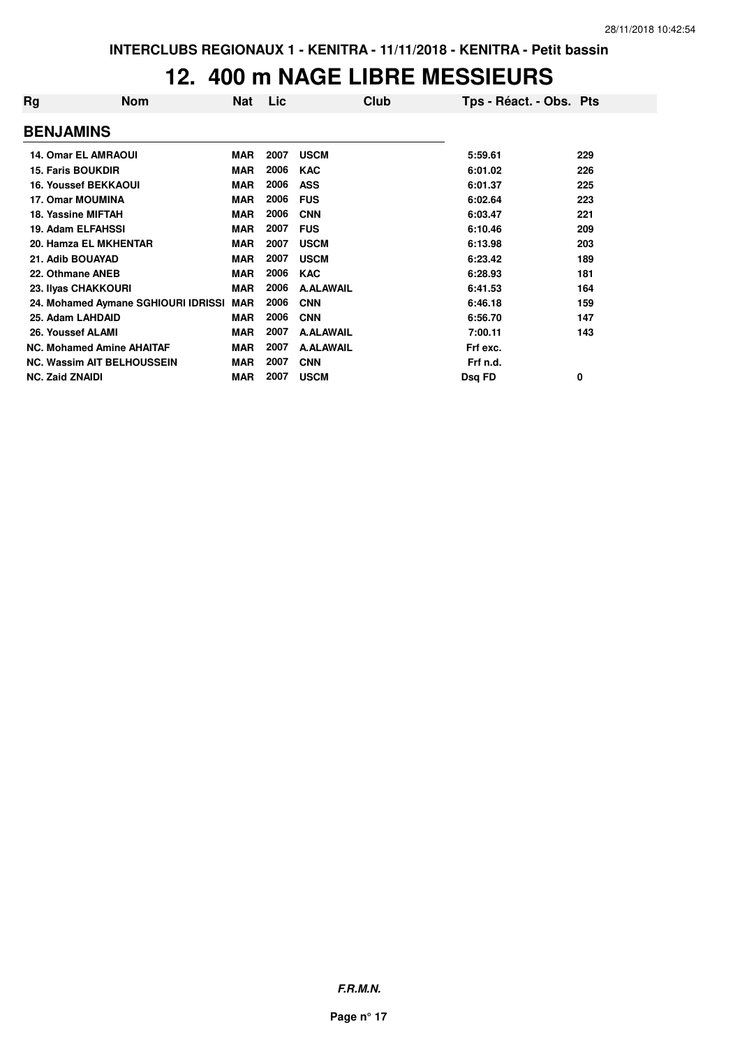## **12. 400 m NAGE LIBRE MESSIEURS**

| Rg | <b>Nom</b>                          | Nat        | Lic  | Club             | Tps - Réact. - Obs. Pts |     |
|----|-------------------------------------|------------|------|------------------|-------------------------|-----|
|    | <b>BENJAMINS</b>                    |            |      |                  |                         |     |
|    | <b>14. Omar EL AMRAOUI</b>          | <b>MAR</b> | 2007 | <b>USCM</b>      | 5:59.61                 | 229 |
|    | <b>15. Faris BOUKDIR</b>            | <b>MAR</b> | 2006 | <b>KAC</b>       | 6:01.02                 | 226 |
|    | <b>16. Youssef BEKKAOUI</b>         | <b>MAR</b> | 2006 | <b>ASS</b>       | 6:01.37                 | 225 |
|    | <b>17. Omar MOUMINA</b>             | <b>MAR</b> | 2006 | <b>FUS</b>       | 6:02.64                 | 223 |
|    | 18. Yassine MIFTAH                  | <b>MAR</b> | 2006 | <b>CNN</b>       | 6:03.47                 | 221 |
|    | <b>19. Adam ELFAHSSI</b>            | <b>MAR</b> | 2007 | <b>FUS</b>       | 6:10.46                 | 209 |
|    | 20. Hamza EL MKHENTAR               | <b>MAR</b> | 2007 | <b>USCM</b>      | 6:13.98                 | 203 |
|    | 21. Adib BOUAYAD                    | <b>MAR</b> | 2007 | <b>USCM</b>      | 6:23.42                 | 189 |
|    | 22. Othmane ANEB                    | <b>MAR</b> | 2006 | <b>KAC</b>       | 6:28.93                 | 181 |
|    | 23. Ilyas CHAKKOURI                 | <b>MAR</b> | 2006 | <b>A.ALAWAIL</b> | 6:41.53                 | 164 |
|    | 24. Mohamed Aymane SGHIOURI IDRISSI | <b>MAR</b> | 2006 | <b>CNN</b>       | 6:46.18                 | 159 |
|    | 25. Adam LAHDAID                    | <b>MAR</b> | 2006 | <b>CNN</b>       | 6:56.70                 | 147 |
|    | 26. Youssef ALAMI                   | <b>MAR</b> | 2007 | <b>A.ALAWAIL</b> | 7:00.11                 | 143 |
|    | <b>NC. Mohamed Amine AHAITAF</b>    | <b>MAR</b> | 2007 | <b>A.ALAWAIL</b> | Frf exc.                |     |
|    | <b>NC. Wassim AIT BELHOUSSEIN</b>   | <b>MAR</b> | 2007 | <b>CNN</b>       | Frf n.d.                |     |
|    | <b>NC. Zaid ZNAIDI</b>              | <b>MAR</b> | 2007 | <b>USCM</b>      | Dsg FD                  | 0   |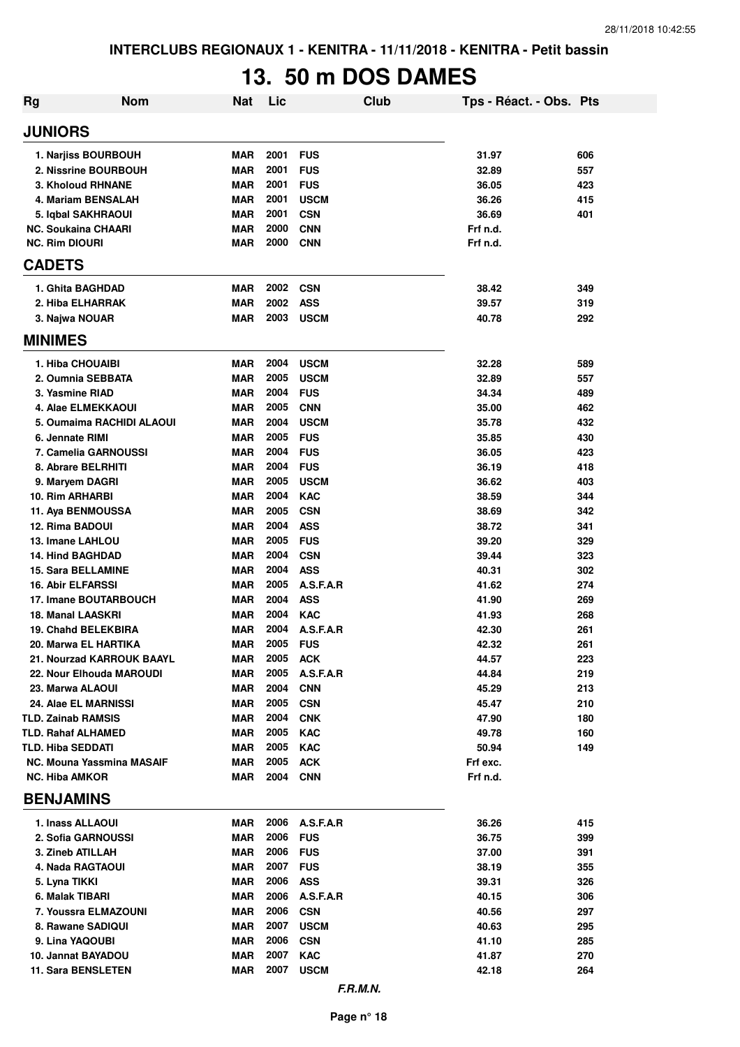# **13. 50 m DOS DAMES**

| Rg                                        | <b>Nom</b>                | <b>Nat</b> | Lic  |             | Club | Tps - Réact. - Obs. Pts |     |
|-------------------------------------------|---------------------------|------------|------|-------------|------|-------------------------|-----|
| <b>JUNIORS</b>                            |                           |            |      |             |      |                         |     |
| 1. Narjiss BOURBOUH                       |                           | MAR        | 2001 | <b>FUS</b>  |      | 31.97                   | 606 |
| 2. Nissrine BOURBOUH                      |                           | <b>MAR</b> | 2001 | <b>FUS</b>  |      | 32.89                   | 557 |
| 3. Kholoud RHNANE                         |                           | <b>MAR</b> | 2001 | <b>FUS</b>  |      | 36.05                   | 423 |
| 4. Mariam BENSALAH                        |                           | <b>MAR</b> | 2001 | <b>USCM</b> |      | 36.26                   | 415 |
| 5. Iqbal SAKHRAOUI                        |                           | <b>MAR</b> | 2001 | <b>CSN</b>  |      | 36.69                   | 401 |
| <b>NC. Soukaina CHAARI</b>                |                           | <b>MAR</b> | 2000 | <b>CNN</b>  |      | Frf n.d.                |     |
| <b>NC. Rim DIOURI</b>                     |                           | <b>MAR</b> | 2000 | <b>CNN</b>  |      | Frf n.d.                |     |
| <b>CADETS</b>                             |                           |            |      |             |      |                         |     |
| 1. Ghita BAGHDAD                          |                           | <b>MAR</b> | 2002 | <b>CSN</b>  |      | 38.42                   | 349 |
| 2. Hiba ELHARRAK                          |                           | <b>MAR</b> | 2002 | <b>ASS</b>  |      | 39.57                   | 319 |
| 3. Najwa NOUAR                            |                           | <b>MAR</b> | 2003 | <b>USCM</b> |      | 40.78                   | 292 |
| <b>MINIMES</b>                            |                           |            |      |             |      |                         |     |
| 1. Hiba CHOUAIBI                          |                           | <b>MAR</b> | 2004 | <b>USCM</b> |      | 32.28                   | 589 |
| 2. Oumnia SEBBATA                         |                           | <b>MAR</b> | 2005 | <b>USCM</b> |      | 32.89                   | 557 |
| 3. Yasmine RIAD                           |                           | <b>MAR</b> | 2004 | <b>FUS</b>  |      | 34.34                   | 489 |
| 4. Alae ELMEKKAOUI                        |                           | <b>MAR</b> | 2005 | <b>CNN</b>  |      | 35.00                   | 462 |
|                                           | 5. Oumaima RACHIDI ALAOUI | <b>MAR</b> | 2004 | <b>USCM</b> |      | 35.78                   | 432 |
| 6. Jennate RIMI                           |                           | <b>MAR</b> | 2005 | <b>FUS</b>  |      | 35.85                   | 430 |
| 7. Camelia GARNOUSSI                      |                           | <b>MAR</b> | 2004 | <b>FUS</b>  |      | 36.05                   | 423 |
| 8. Abrare BELRHITI                        |                           | <b>MAR</b> | 2004 | <b>FUS</b>  |      | 36.19                   | 418 |
| 9. Maryem DAGRI                           |                           | <b>MAR</b> | 2005 | <b>USCM</b> |      | 36.62                   | 403 |
| 10. Rim ARHARBI                           |                           | <b>MAR</b> | 2004 | <b>KAC</b>  |      | 38.59                   | 344 |
| 11. Aya BENMOUSSA                         |                           | <b>MAR</b> | 2005 | <b>CSN</b>  |      | 38.69                   | 342 |
| 12. Rima BADOUI                           |                           | <b>MAR</b> | 2004 | <b>ASS</b>  |      | 38.72                   | 341 |
| 13. Imane LAHLOU                          |                           | <b>MAR</b> | 2005 | <b>FUS</b>  |      | 39.20                   | 329 |
| <b>14. Hind BAGHDAD</b>                   |                           | <b>MAR</b> | 2004 | <b>CSN</b>  |      | 39.44                   | 323 |
| <b>15. Sara BELLAMINE</b>                 |                           | <b>MAR</b> | 2004 | <b>ASS</b>  |      | 40.31                   | 302 |
| <b>16. Abir ELFARSSI</b>                  |                           | <b>MAR</b> | 2005 | A.S.F.A.R   |      | 41.62                   | 274 |
| 17. Imane BOUTARBOUCH                     |                           | <b>MAR</b> | 2004 | <b>ASS</b>  |      | 41.90                   | 269 |
| 18. Manal LAASKRI                         |                           | <b>MAR</b> | 2004 | <b>KAC</b>  |      | 41.93                   | 268 |
| <b>19. Chahd BELEKBIRA</b>                |                           | <b>MAR</b> | 2004 | A.S.F.A.R   |      | 42.30                   | 261 |
| 20. Marwa EL HARTIKA                      |                           | <b>MAR</b> | 2005 | <b>FUS</b>  |      | 42.32                   | 261 |
| 21. Nourzad KARROUK BAAYL                 |                           | MAR        | 2005 | <b>ACK</b>  |      | 44.57                   | 223 |
| 22. Nour Elhouda MAROUDI                  |                           | MAR        | 2005 | A.S.F.A.R   |      | 44.84                   | 219 |
| 23. Marwa ALAOUI                          |                           | MAR        | 2004 | <b>CNN</b>  |      | 45.29                   | 213 |
| 24. Alae EL MARNISSI                      |                           | MAR        | 2005 | <b>CSN</b>  |      | 45.47                   | 210 |
| <b>TLD. Zainab RAMSIS</b>                 |                           | MAR        | 2004 | <b>CNK</b>  |      | 47.90                   | 180 |
| <b>TLD. Rahaf ALHAMED</b>                 |                           | <b>MAR</b> | 2005 | <b>KAC</b>  |      | 49.78                   | 160 |
| <b>TLD. Hiba SEDDATI</b>                  |                           | MAR        | 2005 | <b>KAC</b>  |      | 50.94                   | 149 |
| NC. Mouna Yassmina MASAIF                 |                           | <b>MAR</b> | 2005 | <b>ACK</b>  |      | Frf exc.                |     |
| <b>NC. Hiba AMKOR</b><br><b>BENJAMINS</b> |                           | MAR        | 2004 | <b>CNN</b>  |      | Frf n.d.                |     |
|                                           |                           |            |      |             |      |                         |     |
| 1. Inass ALLAOUI                          |                           | MAR        | 2006 | A.S.F.A.R   |      | 36.26                   | 415 |
| 2. Sofia GARNOUSSI                        |                           | MAR        | 2006 | <b>FUS</b>  |      | 36.75                   | 399 |
| 3. Zineb ATILLAH                          |                           | MAR        | 2006 | <b>FUS</b>  |      | 37.00                   | 391 |
| 4. Nada RAGTAOUI                          |                           | MAR        | 2007 | <b>FUS</b>  |      | 38.19                   | 355 |
| 5. Lyna TIKKI                             |                           | <b>MAR</b> | 2006 | <b>ASS</b>  |      | 39.31                   | 326 |
| 6. Malak TIBARI                           |                           | MAR        | 2006 | A.S.F.A.R   |      | 40.15                   | 306 |
| 7. Youssra ELMAZOUNI                      |                           | MAR        | 2006 | <b>CSN</b>  |      | 40.56                   | 297 |
| 8. Rawane SADIQUI                         |                           | MAR        | 2007 | <b>USCM</b> |      | 40.63                   | 295 |
| 9. Lina YAQOUBI                           |                           | MAR        | 2006 | <b>CSN</b>  |      | 41.10                   | 285 |
| 10. Jannat BAYADOU                        |                           | <b>MAR</b> | 2007 | <b>KAC</b>  |      | 41.87                   | 270 |
| <b>11. Sara BENSLETEN</b>                 |                           | MAR        | 2007 | <b>USCM</b> |      | 42.18                   | 264 |
|                                           |                           |            |      | F.R.M.N.    |      |                         |     |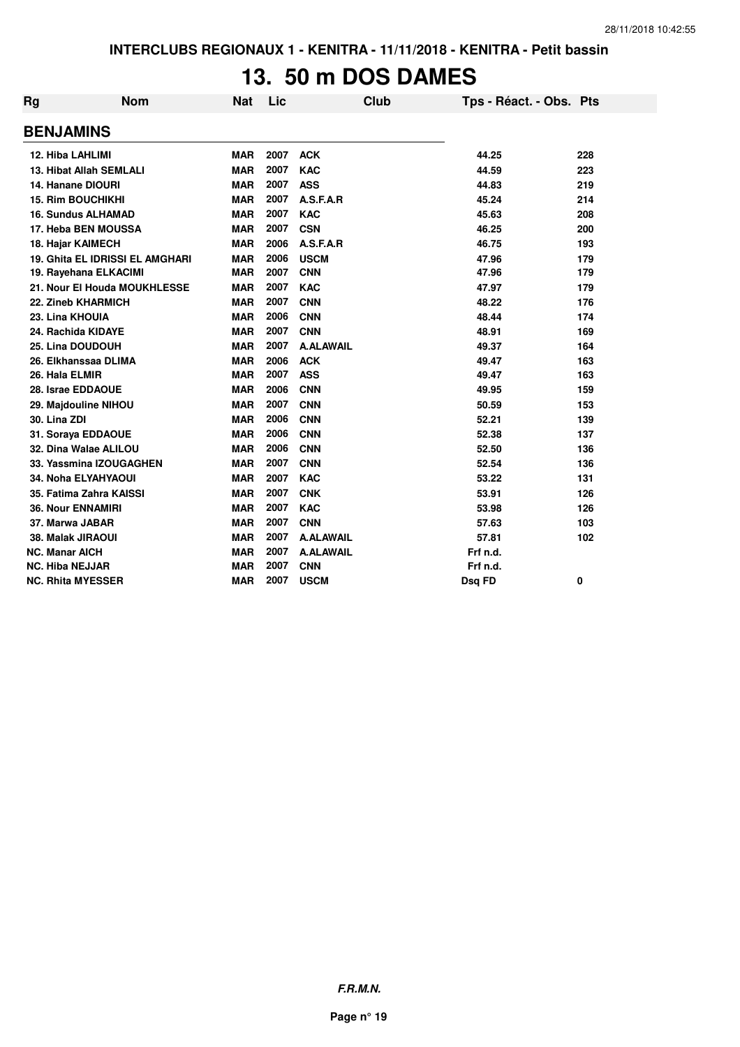## **13. 50 m DOS DAMES**

| Rg                     | <b>Nom</b>                      | Nat        | Lic  |                  | <b>Club</b> | Tps - Réact. - Obs. Pts |     |
|------------------------|---------------------------------|------------|------|------------------|-------------|-------------------------|-----|
| <b>BENJAMINS</b>       |                                 |            |      |                  |             |                         |     |
| 12. Hiba LAHLIMI       |                                 | <b>MAR</b> | 2007 | <b>ACK</b>       |             | 44.25                   | 228 |
|                        | 13. Hibat Allah SEMLALI         | <b>MAR</b> | 2007 | <b>KAC</b>       |             | 44.59                   | 223 |
|                        | 14. Hanane DIOURI               | <b>MAR</b> | 2007 | <b>ASS</b>       |             | 44.83                   | 219 |
|                        | <b>15. Rim BOUCHIKHI</b>        | <b>MAR</b> | 2007 | A.S.F.A.R        |             | 45.24                   | 214 |
|                        | <b>16. Sundus ALHAMAD</b>       | <b>MAR</b> | 2007 | <b>KAC</b>       |             | 45.63                   | 208 |
|                        | 17. Heba BEN MOUSSA             | <b>MAR</b> | 2007 | <b>CSN</b>       |             | 46.25                   | 200 |
|                        | <b>18. Hajar KAIMECH</b>        | <b>MAR</b> | 2006 | A.S.F.A.R        |             | 46.75                   | 193 |
|                        | 19. Ghita EL IDRISSI EL AMGHARI | <b>MAR</b> | 2006 | <b>USCM</b>      |             | 47.96                   | 179 |
|                        | 19. Rayehana ELKACIMI           | <b>MAR</b> | 2007 | <b>CNN</b>       |             | 47.96                   | 179 |
|                        | 21. Nour El Houda MOUKHLESSE    | <b>MAR</b> | 2007 | <b>KAC</b>       |             | 47.97                   | 179 |
|                        | 22. Zineb KHARMICH              | <b>MAR</b> | 2007 | <b>CNN</b>       |             | 48.22                   | 176 |
| 23. Lina KHOUIA        |                                 | <b>MAR</b> | 2006 | <b>CNN</b>       |             | 48.44                   | 174 |
|                        | 24. Rachida KIDAYE              | <b>MAR</b> | 2007 | <b>CNN</b>       |             | 48.91                   | 169 |
|                        | 25. Lina DOUDOUH                | <b>MAR</b> | 2007 | <b>A.ALAWAIL</b> |             | 49.37                   | 164 |
|                        | 26. Elkhanssaa DLIMA            | <b>MAR</b> | 2006 | <b>ACK</b>       |             | 49.47                   | 163 |
| 26. Hala ELMIR         |                                 | <b>MAR</b> | 2007 | <b>ASS</b>       |             | 49.47                   | 163 |
|                        | 28. Israe EDDAOUE               | <b>MAR</b> | 2006 | <b>CNN</b>       |             | 49.95                   | 159 |
|                        | 29. Majdouline NIHOU            | <b>MAR</b> | 2007 | <b>CNN</b>       |             | 50.59                   | 153 |
| 30. Lina ZDI           |                                 | <b>MAR</b> | 2006 | <b>CNN</b>       |             | 52.21                   | 139 |
|                        | 31. Soraya EDDAOUE              | <b>MAR</b> | 2006 | <b>CNN</b>       |             | 52.38                   | 137 |
|                        | 32. Dina Walae ALILOU           | <b>MAR</b> | 2006 | <b>CNN</b>       |             | 52.50                   | 136 |
|                        | 33. Yassmina IZOUGAGHEN         | <b>MAR</b> | 2007 | <b>CNN</b>       |             | 52.54                   | 136 |
|                        | 34. Noha ELYAHYAOUI             | <b>MAR</b> | 2007 | <b>KAC</b>       |             | 53.22                   | 131 |
|                        | 35. Fatima Zahra KAISSI         | <b>MAR</b> | 2007 | <b>CNK</b>       |             | 53.91                   | 126 |
|                        | <b>36. Nour ENNAMIRI</b>        | <b>MAR</b> | 2007 | <b>KAC</b>       |             | 53.98                   | 126 |
|                        | 37. Marwa JABAR                 | <b>MAR</b> | 2007 | <b>CNN</b>       |             | 57.63                   | 103 |
|                        | 38. Malak JIRAOUI               | <b>MAR</b> | 2007 | <b>A.ALAWAIL</b> |             | 57.81                   | 102 |
| <b>NC. Manar AICH</b>  |                                 | <b>MAR</b> | 2007 | <b>A.ALAWAIL</b> |             | Frf n.d.                |     |
| <b>NC. Hiba NEJJAR</b> |                                 | <b>MAR</b> | 2007 | <b>CNN</b>       |             | Frf n.d.                |     |
|                        | <b>NC. Rhita MYESSER</b>        | <b>MAR</b> | 2007 | <b>USCM</b>      |             | Dsg FD                  | 0   |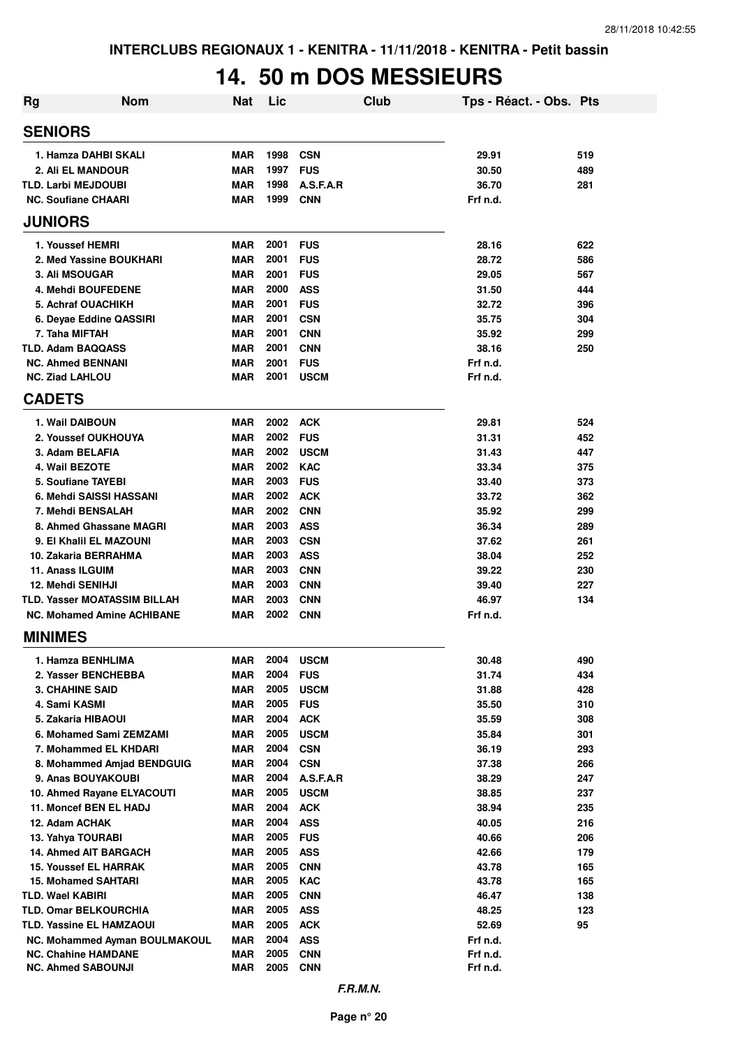## **14. 50 m DOS MESSIEURS**

| <b>Rg</b> | <b>Nom</b>                                                               | <b>Nat</b>               | Lic          |                          | Club | Tps - Réact. - Obs. Pts |            |
|-----------|--------------------------------------------------------------------------|--------------------------|--------------|--------------------------|------|-------------------------|------------|
|           | <b>SENIORS</b>                                                           |                          |              |                          |      |                         |            |
|           | 1. Hamza DAHBI SKALI                                                     | <b>MAR</b>               | 1998         | <b>CSN</b>               |      | 29.91                   | 519        |
|           | 2. Ali EL MANDOUR                                                        | <b>MAR</b>               | 1997         | <b>FUS</b>               |      | 30.50                   | 489        |
|           | <b>TLD. Larbi MEJDOUBI</b>                                               | <b>MAR</b>               | 1998         | A.S.F.A.R                |      | 36.70                   | 281        |
|           | <b>NC. Soufiane CHAARI</b>                                               | <b>MAR</b>               | 1999         | <b>CNN</b>               |      | Frf n.d.                |            |
|           | <b>JUNIORS</b>                                                           |                          |              |                          |      |                         |            |
|           | 1. Youssef HEMRI                                                         | <b>MAR</b>               | 2001         | <b>FUS</b>               |      | 28.16                   | 622        |
|           | 2. Med Yassine BOUKHARI                                                  | <b>MAR</b>               | 2001         | <b>FUS</b>               |      | 28.72                   | 586        |
|           | 3. Ali MSOUGAR                                                           | <b>MAR</b>               | 2001         | <b>FUS</b>               |      | 29.05                   | 567        |
|           | 4. Mehdi BOUFEDENE                                                       | <b>MAR</b>               | 2000         | <b>ASS</b>               |      | 31.50                   | 444        |
|           | 5. Achraf OUACHIKH                                                       | <b>MAR</b>               | 2001         | <b>FUS</b>               |      | 32.72                   | 396        |
|           | 6. Deyae Eddine QASSIRI                                                  | <b>MAR</b>               | 2001         | <b>CSN</b>               |      | 35.75                   | 304        |
|           | 7. Taha MIFTAH                                                           | <b>MAR</b>               | 2001         | <b>CNN</b>               |      | 35.92                   | 299        |
|           | <b>TLD. Adam BAQQASS</b>                                                 | <b>MAR</b>               | 2001         | <b>CNN</b>               |      | 38.16                   | 250        |
|           | <b>NC. Ahmed BENNANI</b>                                                 | <b>MAR</b>               | 2001         | <b>FUS</b>               |      | Frf n.d.                |            |
|           | <b>NC. Ziad LAHLOU</b>                                                   | <b>MAR</b>               | 2001         | <b>USCM</b>              |      | Frf n.d.                |            |
|           | <b>CADETS</b>                                                            |                          |              |                          |      |                         |            |
|           | 1. Wail DAIBOUN                                                          | MAR                      | 2002         | <b>ACK</b>               |      | 29.81                   | 524        |
|           | 2. Youssef OUKHOUYA                                                      | <b>MAR</b>               | 2002         | <b>FUS</b>               |      | 31.31                   | 452        |
|           | 3. Adam BELAFIA                                                          | <b>MAR</b>               | 2002         | <b>USCM</b>              |      | 31.43                   | 447        |
|           | 4. Wail BEZOTE                                                           | <b>MAR</b>               | 2002         | <b>KAC</b>               |      | 33.34                   | 375        |
|           | 5. Soufiane TAYEBI                                                       | <b>MAR</b>               | 2003         | <b>FUS</b>               |      | 33.40                   | 373        |
|           | 6. Mehdi SAISSI HASSANI                                                  | <b>MAR</b>               | 2002         | <b>ACK</b>               |      | 33.72                   | 362        |
|           | 7. Mehdi BENSALAH                                                        | MAR                      | 2002         | <b>CNN</b>               |      | 35.92                   | 299        |
|           | 8. Ahmed Ghassane MAGRI                                                  | <b>MAR</b>               | 2003         | <b>ASS</b>               |      | 36.34                   | 289        |
|           | 9. El Khalil EL MAZOUNI                                                  | <b>MAR</b>               | 2003         | <b>CSN</b>               |      | 37.62                   | 261        |
|           | 10. Zakaria BERRAHMA                                                     | <b>MAR</b>               | 2003         | <b>ASS</b>               |      | 38.04                   | 252        |
|           | 11. Anass ILGUIM                                                         | <b>MAR</b>               | 2003         | <b>CNN</b>               |      | 39.22                   | 230        |
|           | 12. Mehdi SENIHJI                                                        | <b>MAR</b>               | 2003         | <b>CNN</b>               |      | 39.40                   | 227        |
|           | <b>TLD. Yasser MOATASSIM BILLAH</b><br><b>NC. Mohamed Amine ACHIBANE</b> | <b>MAR</b><br><b>MAR</b> | 2003<br>2002 | <b>CNN</b><br><b>CNN</b> |      | 46.97<br>Frf n.d.       | 134        |
|           |                                                                          |                          |              |                          |      |                         |            |
|           | <b>MINIMES</b>                                                           |                          |              |                          |      |                         |            |
|           | 1. Hamza BENHLIMA                                                        | MAR                      | 2004         | <b>USCM</b>              |      | 30.48                   | 490        |
|           | 2. Yasser BENCHEBBA                                                      | <b>MAR</b>               | 2004         | <b>FUS</b>               |      | 31.74                   | 434        |
|           | <b>3. CHAHINE SAID</b>                                                   | <b>MAR</b>               | 2005         | <b>USCM</b>              |      | 31.88                   | 428        |
|           | 4. Sami KASMI                                                            | <b>MAR</b>               | 2005         | <b>FUS</b>               |      | 35.50                   | 310        |
|           | 5. Zakaria HIBAOUI                                                       | <b>MAR</b>               | 2004         | <b>ACK</b>               |      | 35.59                   | 308        |
|           | 6. Mohamed Sami ZEMZAMI                                                  | <b>MAR</b>               | 2005<br>2004 | <b>USCM</b>              |      | 35.84                   | 301        |
|           | 7. Mohammed EL KHDARI<br>8. Mohammed Amjad BENDGUIG                      | <b>MAR</b>               | 2004         | <b>CSN</b><br><b>CSN</b> |      | 36.19<br>37.38          | 293        |
|           | 9. Anas BOUYAKOUBI                                                       | MAR                      | 2004         | A.S.F.A.R                |      | 38.29                   | 266<br>247 |
|           | 10. Ahmed Rayane ELYACOUTI                                               | MAR<br><b>MAR</b>        | 2005         | <b>USCM</b>              |      | 38.85                   | 237        |
|           | 11. Moncef BEN EL HADJ                                                   | <b>MAR</b>               | 2004         | <b>ACK</b>               |      | 38.94                   | 235        |
|           | 12. Adam ACHAK                                                           | <b>MAR</b>               | 2004         | <b>ASS</b>               |      | 40.05                   | 216        |
|           | 13. Yahya TOURABI                                                        | <b>MAR</b>               | 2005         | <b>FUS</b>               |      | 40.66                   | 206        |
|           | 14. Ahmed AIT BARGACH                                                    | <b>MAR</b>               | 2005         | <b>ASS</b>               |      | 42.66                   | 179        |
|           | <b>15. Youssef EL HARRAK</b>                                             | <b>MAR</b>               | 2005         | <b>CNN</b>               |      | 43.78                   | 165        |
|           | <b>15. Mohamed SAHTARI</b>                                               | <b>MAR</b>               | 2005         | KAC                      |      | 43.78                   | 165        |
|           | TLD. Wael KABIRI                                                         | <b>MAR</b>               | 2005         | <b>CNN</b>               |      | 46.47                   | 138        |
|           | <b>TLD. Omar BELKOURCHIA</b>                                             | MAR                      | 2005         | <b>ASS</b>               |      | 48.25                   | 123        |
|           | TLD. Yassine EL HAMZAOUI                                                 | MAR                      | 2005         | <b>ACK</b>               |      | 52.69                   | 95         |
|           | NC. Mohammed Ayman BOULMAKOUL                                            | MAR                      | 2004         | <b>ASS</b>               |      | Frf n.d.                |            |
|           | <b>NC. Chahine HAMDANE</b>                                               | MAR                      | 2005         | <b>CNN</b>               |      | Frf n.d.                |            |
|           | <b>NC. Ahmed SABOUNJI</b>                                                | <b>MAR</b>               | 2005         | <b>CNN</b>               |      | Frf n.d.                |            |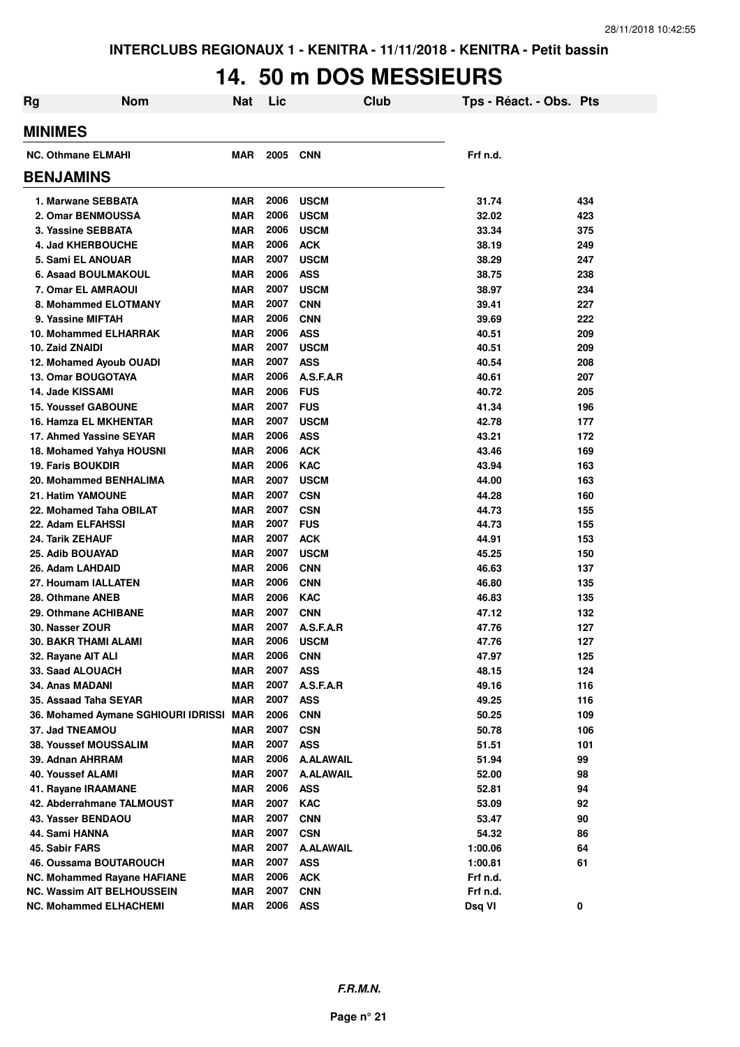## **14. 50 m DOS MESSIEURS**

| Rg | <b>Nom</b>                                       | Nat                      | Lic  |                          | Club | Tps - Réact. - Obs. Pts |     |
|----|--------------------------------------------------|--------------------------|------|--------------------------|------|-------------------------|-----|
|    | <b>MINIMES</b>                                   |                          |      |                          |      |                         |     |
|    | <b>NC. Othmane ELMAHI</b>                        | <b>MAR</b>               | 2005 | <b>CNN</b>               |      | Frf n.d.                |     |
|    | <b>BENJAMINS</b>                                 |                          |      |                          |      |                         |     |
|    | 1. Marwane SEBBATA                               | <b>MAR</b>               | 2006 | <b>USCM</b>              |      | 31.74                   | 434 |
|    | 2. Omar BENMOUSSA                                | <b>MAR</b>               | 2006 | <b>USCM</b>              |      | 32.02                   | 423 |
|    | 3. Yassine SEBBATA                               | <b>MAR</b>               | 2006 | <b>USCM</b>              |      | 33.34                   | 375 |
|    | 4. Jad KHERBOUCHE                                | <b>MAR</b>               | 2006 | <b>ACK</b>               |      | 38.19                   | 249 |
|    | 5. Sami EL ANOUAR                                | <b>MAR</b>               | 2007 | <b>USCM</b>              |      | 38.29                   | 247 |
|    | 6. Asaad BOULMAKOUL                              | <b>MAR</b>               | 2006 | <b>ASS</b>               |      | 38.75                   | 238 |
|    | 7. Omar EL AMRAOUI                               | <b>MAR</b>               | 2007 | <b>USCM</b>              |      | 38.97                   | 234 |
|    | 8. Mohammed ELOTMANY                             | <b>MAR</b>               | 2007 | <b>CNN</b>               |      | 39.41                   | 227 |
|    | 9. Yassine MIFTAH                                | <b>MAR</b>               | 2006 | <b>CNN</b>               |      | 39.69                   | 222 |
|    | 10. Mohammed ELHARRAK                            | <b>MAR</b>               | 2006 | <b>ASS</b>               |      | 40.51                   | 209 |
|    | 10. Zaid ZNAIDI                                  | <b>MAR</b>               | 2007 | <b>USCM</b>              |      | 40.51                   | 209 |
|    | 12. Mohamed Ayoub OUADI                          | <b>MAR</b>               | 2007 | <b>ASS</b>               |      | 40.54                   | 208 |
|    | <b>13. Omar BOUGOTAYA</b>                        | <b>MAR</b>               | 2006 | A.S.F.A.R                |      | 40.61                   | 207 |
|    | 14. Jade KISSAMI                                 | <b>MAR</b>               | 2006 | <b>FUS</b>               |      | 40.72                   | 205 |
|    | <b>15. Youssef GABOUNE</b>                       | <b>MAR</b>               | 2007 | <b>FUS</b>               |      | 41.34                   | 196 |
|    | <b>16. Hamza EL MKHENTAR</b>                     | <b>MAR</b>               | 2007 | <b>USCM</b>              |      | 42.78                   | 177 |
|    | 17. Ahmed Yassine SEYAR                          | <b>MAR</b>               | 2006 | <b>ASS</b>               |      | 43.21                   | 172 |
|    | 18. Mohamed Yahya HOUSNI                         | <b>MAR</b>               | 2006 | <b>ACK</b>               |      | 43.46                   | 169 |
|    | <b>19. Faris BOUKDIR</b>                         | <b>MAR</b>               | 2006 | <b>KAC</b>               |      | 43.94                   | 163 |
|    | 20. Mohammed BENHALIMA                           | <b>MAR</b>               | 2007 | <b>USCM</b>              |      | 44.00                   | 163 |
|    | 21. Hatim YAMOUNE                                | <b>MAR</b>               | 2007 | <b>CSN</b>               |      | 44.28                   | 160 |
|    | 22. Mohamed Taha OBILAT                          | <b>MAR</b>               | 2007 | <b>CSN</b>               |      | 44.73                   | 155 |
|    | 22. Adam ELFAHSSI                                | <b>MAR</b>               | 2007 | <b>FUS</b>               |      | 44.73                   | 155 |
|    | 24. Tarik ZEHAUF                                 | <b>MAR</b>               | 2007 | <b>ACK</b>               |      | 44.91                   | 153 |
|    | 25. Adib BOUAYAD                                 | <b>MAR</b>               | 2007 | <b>USCM</b>              |      | 45.25                   | 150 |
|    | 26. Adam LAHDAID                                 | <b>MAR</b>               | 2006 | <b>CNN</b>               |      | 46.63                   | 137 |
|    | 27. Houmam IALLATEN                              | <b>MAR</b>               | 2006 | <b>CNN</b>               |      | 46.80                   | 135 |
|    | 28. Othmane ANEB                                 | MAR                      | 2006 | <b>KAC</b>               |      | 46.83                   | 135 |
|    | 29. Othmane ACHIBANE                             | <b>MAR</b>               | 2007 | <b>CNN</b>               |      | 47.12                   | 132 |
|    | 30. Nasser ZOUR                                  | <b>MAR</b>               | 2007 | A.S.F.A.R                |      | 47.76                   | 127 |
|    | 30. BAKR THAMI ALAMI                             | <b>MAR</b>               | 2006 | <b>USCM</b>              |      | 47.76                   | 127 |
|    | 32. Rayane AIT ALI                               | MAR                      | 2006 | <b>CNN</b>               |      | 47.97                   | 125 |
|    | 33. Saad ALOUACH                                 | <b>MAR</b>               | 2007 | <b>ASS</b>               |      | 48.15                   | 124 |
|    | 34. Anas MADANI                                  | <b>MAR</b>               | 2007 | A.S.F.A.R                |      | 49.16                   | 116 |
|    | 35. Assaad Taha SEYAR                            | <b>MAR</b>               | 2007 | <b>ASS</b>               |      | 49.25                   | 116 |
|    | 36. Mohamed Aymane SGHIOURI IDRISSI              | <b>MAR</b>               | 2006 | <b>CNN</b>               |      | 50.25                   | 109 |
|    | 37. Jad TNEAMOU                                  | MAR                      | 2007 | <b>CSN</b>               |      | 50.78                   | 106 |
|    | 38. Youssef MOUSSALIM                            | <b>MAR</b>               | 2007 | <b>ASS</b>               |      | 51.51                   | 101 |
|    | 39. Adnan AHRRAM                                 | <b>MAR</b>               | 2006 | <b>A.ALAWAIL</b>         |      | 51.94                   | 99  |
|    | <b>40. Youssef ALAMI</b>                         | <b>MAR</b>               | 2007 | <b>A.ALAWAIL</b>         |      | 52.00                   | 98  |
|    |                                                  |                          | 2006 |                          |      |                         |     |
|    | 41. Rayane IRAAMANE<br>42. Abderrahmane TALMOUST | <b>MAR</b><br><b>MAR</b> | 2007 | <b>ASS</b><br><b>KAC</b> |      | 52.81<br>53.09          | 94  |
|    |                                                  |                          |      |                          |      |                         | 92  |
|    | 43. Yasser BENDAOU                               | <b>MAR</b>               | 2007 | <b>CNN</b>               |      | 53.47                   | 90  |
|    | 44. Sami HANNA                                   | <b>MAR</b>               | 2007 | <b>CSN</b>               |      | 54.32                   | 86  |
|    | 45. Sabir FARS                                   | <b>MAR</b>               | 2007 | A.ALAWAIL                |      | 1:00.06                 | 64  |
|    | 46. Oussama BOUTAROUCH                           | <b>MAR</b>               | 2007 | <b>ASS</b>               |      | 1:00.81                 | 61  |
|    | NC. Mohammed Rayane HAFIANE                      | <b>MAR</b>               | 2006 | <b>ACK</b>               |      | Frf n.d.                |     |
|    | NC. Wassim AIT BELHOUSSEIN                       | MAR                      | 2007 | <b>CNN</b>               |      | Frf n.d.                |     |
|    | <b>NC. Mohammed ELHACHEMI</b>                    | MAR                      | 2006 | <b>ASS</b>               |      | Dsq VI                  | 0   |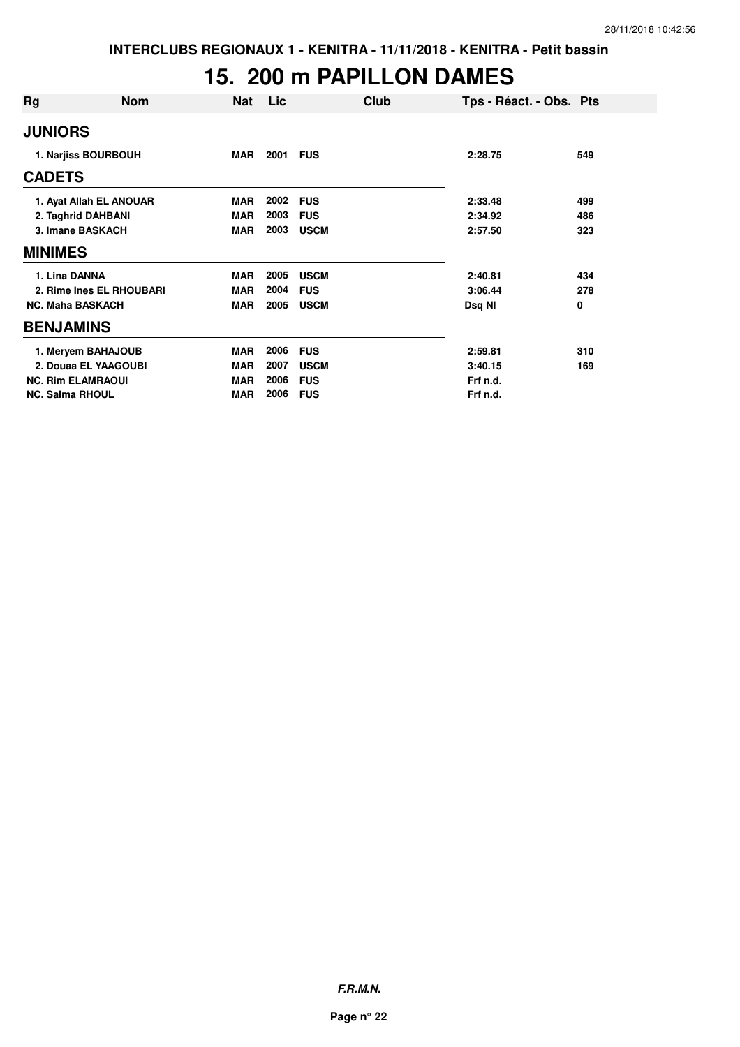# **15. 200 m PAPILLON DAMES**

| Rg                     | <b>Nom</b>               | Nat        | Lic  | Club        | Tps - Réact. - Obs. Pts |     |
|------------------------|--------------------------|------------|------|-------------|-------------------------|-----|
| <b>JUNIORS</b>         |                          |            |      |             |                         |     |
|                        | 1. Narjiss BOURBOUH      | <b>MAR</b> | 2001 | <b>FUS</b>  | 2:28.75                 | 549 |
| <b>CADETS</b>          |                          |            |      |             |                         |     |
|                        | 1. Ayat Allah EL ANOUAR  | <b>MAR</b> | 2002 | <b>FUS</b>  | 2:33.48                 | 499 |
|                        | 2. Taghrid DAHBANI       | <b>MAR</b> | 2003 | <b>FUS</b>  | 2:34.92                 | 486 |
|                        | 3. Imane BASKACH         | <b>MAR</b> | 2003 | <b>USCM</b> | 2:57.50                 | 323 |
| <b>MINIMES</b>         |                          |            |      |             |                         |     |
| 1. Lina DANNA          |                          | <b>MAR</b> | 2005 | <b>USCM</b> | 2:40.81                 | 434 |
|                        | 2. Rime Ines EL RHOUBARI | <b>MAR</b> | 2004 | <b>FUS</b>  | 3:06.44                 | 278 |
|                        | <b>NC. Maha BASKACH</b>  | <b>MAR</b> | 2005 | <b>USCM</b> | Dsq NI                  | 0   |
| <b>BENJAMINS</b>       |                          |            |      |             |                         |     |
|                        | 1. Meryem BAHAJOUB       | <b>MAR</b> | 2006 | <b>FUS</b>  | 2:59.81                 | 310 |
|                        | 2. Douaa EL YAAGOUBI     | <b>MAR</b> | 2007 | <b>USCM</b> | 3:40.15                 | 169 |
|                        | <b>NC. Rim ELAMRAOUI</b> | <b>MAR</b> | 2006 | <b>FUS</b>  | Frf n.d.                |     |
| <b>NC. Salma RHOUL</b> |                          | <b>MAR</b> | 2006 | <b>FUS</b>  | Frf n.d.                |     |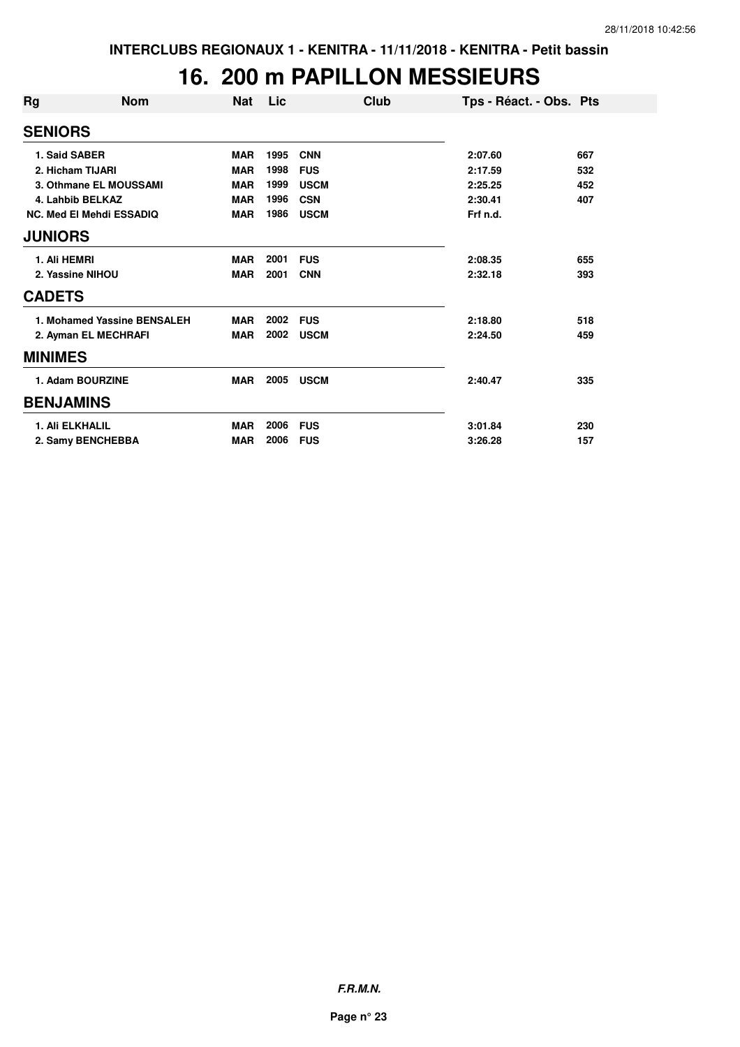### **16. 200 m PAPILLON MESSIEURS**

| Rg               | <b>Nom</b>                      | <b>Nat</b> | Lic  | Club        | Tps - Réact. - Obs. Pts |     |
|------------------|---------------------------------|------------|------|-------------|-------------------------|-----|
| <b>SENIORS</b>   |                                 |            |      |             |                         |     |
|                  | 1. Said SABER                   | <b>MAR</b> | 1995 | <b>CNN</b>  | 2:07.60                 | 667 |
|                  | 2. Hicham TIJARI                | <b>MAR</b> | 1998 | <b>FUS</b>  | 2:17.59                 | 532 |
|                  | 3. Othmane EL MOUSSAMI          | <b>MAR</b> | 1999 | <b>USCM</b> | 2:25.25                 | 452 |
|                  | 4. Lahbib BELKAZ                | <b>MAR</b> | 1996 | <b>CSN</b>  | 2:30.41                 | 407 |
|                  | <b>NC. Med El Mehdi ESSADIQ</b> | <b>MAR</b> | 1986 | <b>USCM</b> | Frf n.d.                |     |
| <b>JUNIORS</b>   |                                 |            |      |             |                         |     |
| 1. Ali HEMRI     |                                 | <b>MAR</b> | 2001 | <b>FUS</b>  | 2:08.35                 | 655 |
|                  | 2. Yassine NIHOU                | <b>MAR</b> | 2001 | <b>CNN</b>  | 2:32.18                 | 393 |
| <b>CADETS</b>    |                                 |            |      |             |                         |     |
|                  | 1. Mohamed Yassine BENSALEH     | <b>MAR</b> | 2002 | <b>FUS</b>  | 2:18.80                 | 518 |
|                  | 2. Ayman EL MECHRAFI            | <b>MAR</b> | 2002 | <b>USCM</b> | 2:24.50                 | 459 |
| <b>MINIMES</b>   |                                 |            |      |             |                         |     |
|                  | 1. Adam BOURZINE                | <b>MAR</b> | 2005 | <b>USCM</b> | 2:40.47                 | 335 |
| <b>BENJAMINS</b> |                                 |            |      |             |                         |     |
|                  | <b>1. Ali ELKHALIL</b>          | <b>MAR</b> | 2006 | <b>FUS</b>  | 3:01.84                 | 230 |
|                  | 2. Samy BENCHEBBA               | <b>MAR</b> | 2006 | <b>FUS</b>  | 3:26.28                 | 157 |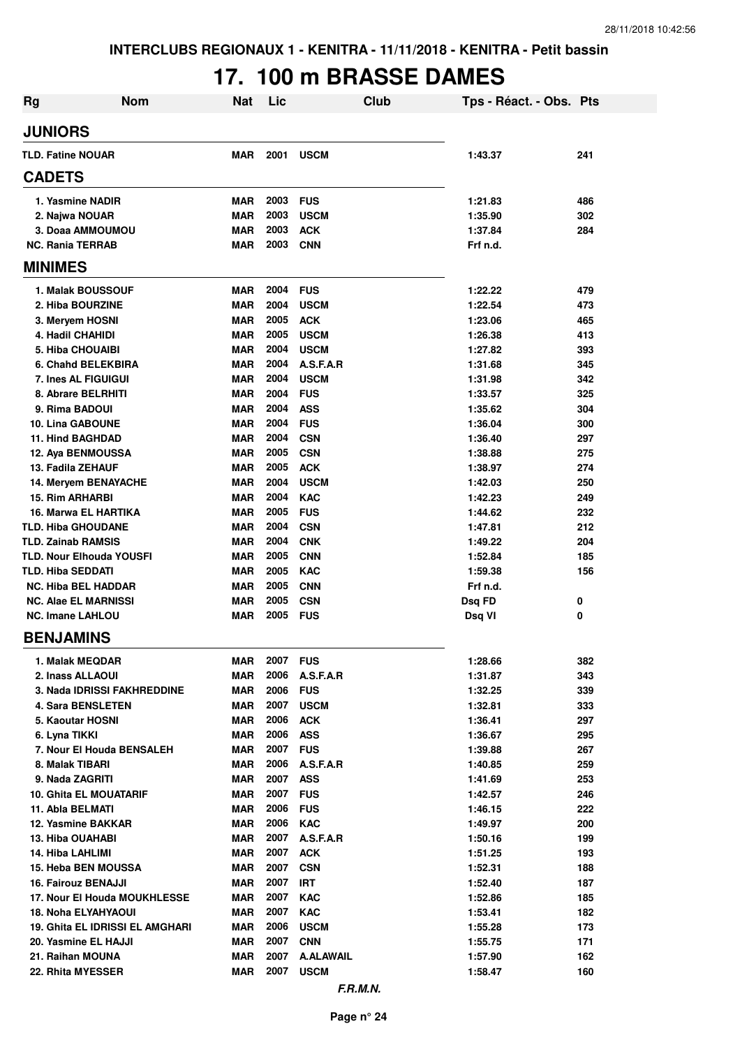# **17. 100 m BRASSE DAMES**

| <b>Rg</b>                                         | <b>Nom</b>                             | <b>Nat</b>               | Lic          | Club                            | Tps - Réact. - Obs. Pts |            |
|---------------------------------------------------|----------------------------------------|--------------------------|--------------|---------------------------------|-------------------------|------------|
| <b>JUNIORS</b>                                    |                                        |                          |              |                                 |                         |            |
| <b>TLD. Fatine NOUAR</b>                          |                                        | <b>MAR</b>               | 2001         | <b>USCM</b>                     | 1:43.37                 | 241        |
| <b>CADETS</b>                                     |                                        |                          |              |                                 |                         |            |
| 1. Yasmine NADIR                                  |                                        | <b>MAR</b>               | 2003         | <b>FUS</b>                      | 1:21.83                 | 486        |
| 2. Najwa NOUAR                                    |                                        | <b>MAR</b>               | 2003         | <b>USCM</b>                     | 1:35.90                 | 302        |
| 3. Doaa AMMOUMOU                                  |                                        | <b>MAR</b>               | 2003         | <b>ACK</b>                      | 1:37.84                 | 284        |
| <b>NC. Rania TERRAB</b>                           |                                        | <b>MAR</b>               | 2003         | <b>CNN</b>                      | Frf n.d.                |            |
| <b>MINIMES</b>                                    |                                        |                          |              |                                 |                         |            |
| 1. Malak BOUSSOUF                                 |                                        | <b>MAR</b>               | 2004         | <b>FUS</b>                      | 1:22.22                 | 479        |
| 2. Hiba BOURZINE                                  |                                        | <b>MAR</b>               | 2004         | <b>USCM</b>                     | 1:22.54                 | 473        |
| 3. Meryem HOSNI                                   |                                        | <b>MAR</b>               | 2005         | <b>ACK</b>                      | 1:23.06                 | 465        |
| 4. Hadil CHAHIDI                                  |                                        | <b>MAR</b>               | 2005         | <b>USCM</b>                     | 1:26.38                 | 413        |
| 5. Hiba CHOUAIBI                                  |                                        | <b>MAR</b>               | 2004         | <b>USCM</b>                     | 1:27.82                 | 393        |
| 6. Chahd BELEKBIRA                                |                                        | <b>MAR</b>               | 2004         | A.S.F.A.R                       | 1:31.68                 | 345        |
| 7. Ines AL FIGUIGUI                               |                                        | <b>MAR</b>               | 2004         | <b>USCM</b>                     | 1:31.98                 | 342        |
| 8. Abrare BELRHITI                                |                                        | <b>MAR</b>               | 2004         | <b>FUS</b>                      | 1:33.57                 | 325        |
| 9. Rima BADOUI                                    |                                        | <b>MAR</b>               | 2004         | <b>ASS</b>                      | 1:35.62                 | 304        |
| <b>10. Lina GABOUNE</b>                           |                                        | <b>MAR</b>               | 2004         | <b>FUS</b>                      | 1:36.04                 | 300        |
| <b>11. Hind BAGHDAD</b>                           |                                        | <b>MAR</b>               | 2004         | <b>CSN</b>                      | 1:36.40                 | 297        |
| 12. Aya BENMOUSSA                                 |                                        | <b>MAR</b>               | 2005         | <b>CSN</b>                      | 1:38.88                 | 275        |
| 13. Fadila ZEHAUF                                 |                                        | <b>MAR</b>               | 2005         | <b>ACK</b>                      | 1:38.97                 | 274        |
| 14. Meryem BENAYACHE                              |                                        | <b>MAR</b>               | 2004<br>2004 | <b>USCM</b>                     | 1:42.03                 | 250        |
| <b>15. Rim ARHARBI</b>                            |                                        | MAR                      | 2005         | <b>KAC</b>                      | 1:42.23                 | 249        |
| 16. Marwa EL HARTIKA<br><b>TLD. Hiba GHOUDANE</b> |                                        | MAR<br><b>MAR</b>        | 2004         | <b>FUS</b><br><b>CSN</b>        | 1:44.62<br>1:47.81      | 232<br>212 |
| <b>TLD. Zainab RAMSIS</b>                         |                                        | <b>MAR</b>               | 2004         | <b>CNK</b>                      | 1:49.22                 | 204        |
| <b>TLD. Nour Elhouda YOUSFI</b>                   |                                        | <b>MAR</b>               | 2005         | <b>CNN</b>                      | 1:52.84                 | 185        |
| <b>TLD. Hiba SEDDATI</b>                          |                                        | <b>MAR</b>               | 2005         | <b>KAC</b>                      | 1:59.38                 | 156        |
| <b>NC. Hiba BEL HADDAR</b>                        |                                        | MAR                      | 2005         | <b>CNN</b>                      | Frf n.d.                |            |
| <b>NC. Alae EL MARNISSI</b>                       |                                        | <b>MAR</b>               | 2005         | <b>CSN</b>                      | Dsg FD                  | 0          |
| <b>NC. Imane LAHLOU</b>                           |                                        | MAR                      | 2005         | <b>FUS</b>                      | Dsq VI                  | 0          |
| <b>BENJAMINS</b>                                  |                                        |                          |              |                                 |                         |            |
| 1. Malak MEQDAR                                   |                                        | <b>MAR</b>               | 2007         | <b>FUS</b>                      | 1:28.66                 | 382        |
| 2. Inass ALLAOUI                                  |                                        | MAR                      | 2006         | A.S.F.A.R                       | 1:31.87                 | 343        |
|                                                   | 3. Nada IDRISSI FAKHREDDINE            | <b>MAR</b>               | 2006         | <b>FUS</b>                      | 1:32.25                 | 339        |
| <b>4. Sara BENSLETEN</b>                          |                                        | <b>MAR</b>               | 2007         | <b>USCM</b>                     | 1:32.81                 | 333        |
| 5. Kaoutar HOSNI                                  |                                        | MAR                      | 2006         | <b>ACK</b>                      | 1:36.41                 | 297        |
| 6. Lyna TIKKI                                     |                                        | <b>MAR</b>               | 2006         | <b>ASS</b>                      | 1:36.67                 | 295        |
| 7. Nour El Houda BENSALEH                         |                                        | MAR                      | 2007         | <b>FUS</b>                      | 1:39.88                 | 267        |
| 8. Malak TIBARI                                   |                                        | MAR                      | 2006         | A.S.F.A.R                       | 1:40.85                 | 259        |
| 9. Nada ZAGRITI                                   |                                        | <b>MAR</b>               | 2007         | ASS                             | 1:41.69                 | 253        |
| <b>10. Ghita EL MOUATARIF</b>                     |                                        | MAR                      | 2007         | <b>FUS</b>                      | 1:42.57                 | 246        |
| 11. Abla BELMATI                                  |                                        | <b>MAR</b>               | 2006         | <b>FUS</b>                      | 1:46.15                 | 222        |
| 12. Yasmine BAKKAR                                |                                        | <b>MAR</b>               | 2006         | <b>KAC</b>                      | 1:49.97                 | 200        |
| 13. Hiba OUAHABI                                  |                                        | <b>MAR</b>               | 2007         | A.S.F.A.R                       | 1:50.16                 | 199        |
| 14. Hiba LAHLIMI                                  |                                        | <b>MAR</b>               | 2007         | <b>ACK</b>                      | 1:51.25                 | 193        |
| 15. Heba BEN MOUSSA                               |                                        | <b>MAR</b>               | 2007         | <b>CSN</b>                      | 1:52.31                 | 188        |
| 16. Fairouz BENAJJI                               |                                        | <b>MAR</b>               | 2007         | <b>IRT</b>                      | 1:52.40                 | 187        |
|                                                   | 17. Nour El Houda MOUKHLESSE           | <b>MAR</b>               | 2007         | <b>KAC</b>                      | 1:52.86                 | 185        |
| <b>18. Noha ELYAHYAOUI</b>                        |                                        | <b>MAR</b>               | 2007         | <b>KAC</b>                      | 1:53.41                 | 182        |
|                                                   | <b>19. Ghita EL IDRISSI EL AMGHARI</b> | <b>MAR</b>               | 2006         | <b>USCM</b>                     | 1:55.28                 | 173        |
| 20. Yasmine EL HAJJI                              |                                        | <b>MAR</b>               | 2007<br>2007 | <b>CNN</b>                      | 1:55.75                 | 171        |
| 21. Raihan MOUNA<br>22. Rhita MYESSER             |                                        | <b>MAR</b><br><b>MAR</b> | 2007         | <b>A.ALAWAIL</b><br><b>USCM</b> | 1:57.90<br>1:58.47      | 162<br>160 |
|                                                   |                                        |                          |              |                                 |                         |            |
|                                                   |                                        |                          |              | F.R.M.N.                        |                         |            |

**Page n° 24**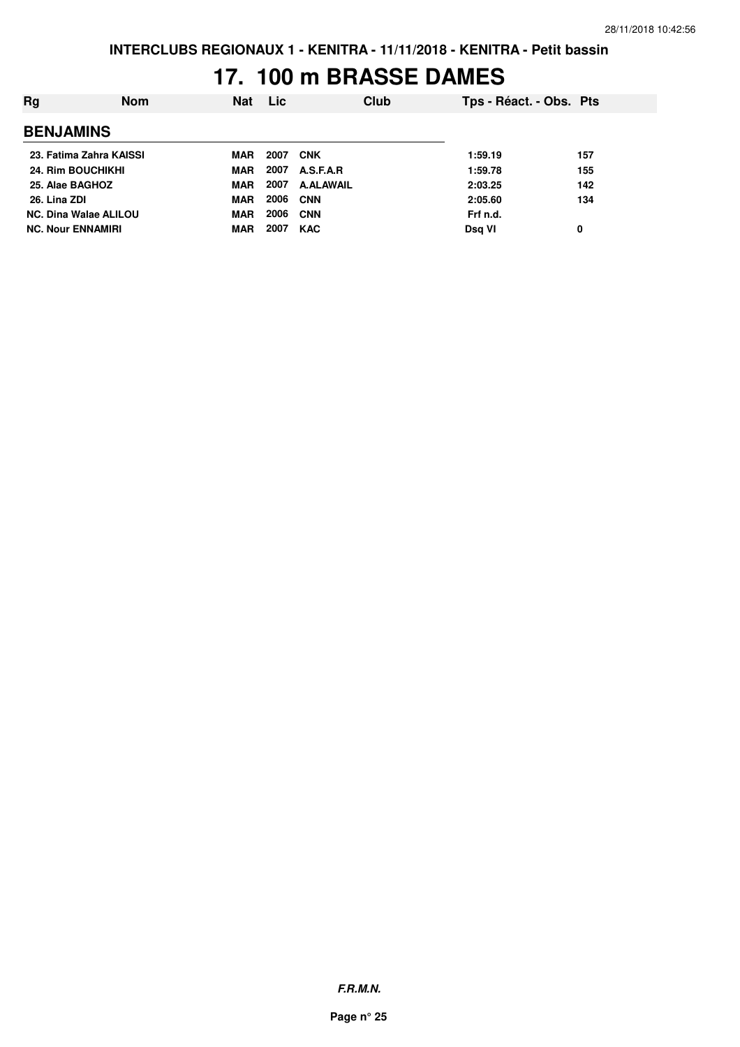## **17. 100 m BRASSE DAMES**

| Rg                           | <b>Nom</b> | <b>Nat</b> | <b>Lic</b> | Club             | Tps - Réact. - Obs. Pts |     |
|------------------------------|------------|------------|------------|------------------|-------------------------|-----|
| <b>BENJAMINS</b>             |            |            |            |                  |                         |     |
| 23. Fatima Zahra KAISSI      |            | MAR        | 2007       | <b>CNK</b>       | 1:59.19                 | 157 |
| <b>24. Rim BOUCHIKHI</b>     |            | MAR        | 2007       | A.S.F.A.R        | 1:59.78                 | 155 |
| 25. Alae BAGHOZ              |            | MAR        | 2007       | <b>A.ALAWAIL</b> | 2:03.25                 | 142 |
| 26. Lina ZDI                 |            | <b>MAR</b> | 2006       | <b>CNN</b>       | 2:05.60                 | 134 |
| <b>NC. Dina Walae ALILOU</b> |            | <b>MAR</b> | 2006       | <b>CNN</b>       | Frf n.d.                |     |
| <b>NC. Nour ENNAMIRI</b>     |            | MAR        | 2007       | <b>KAC</b>       | Dsg VI                  | 0   |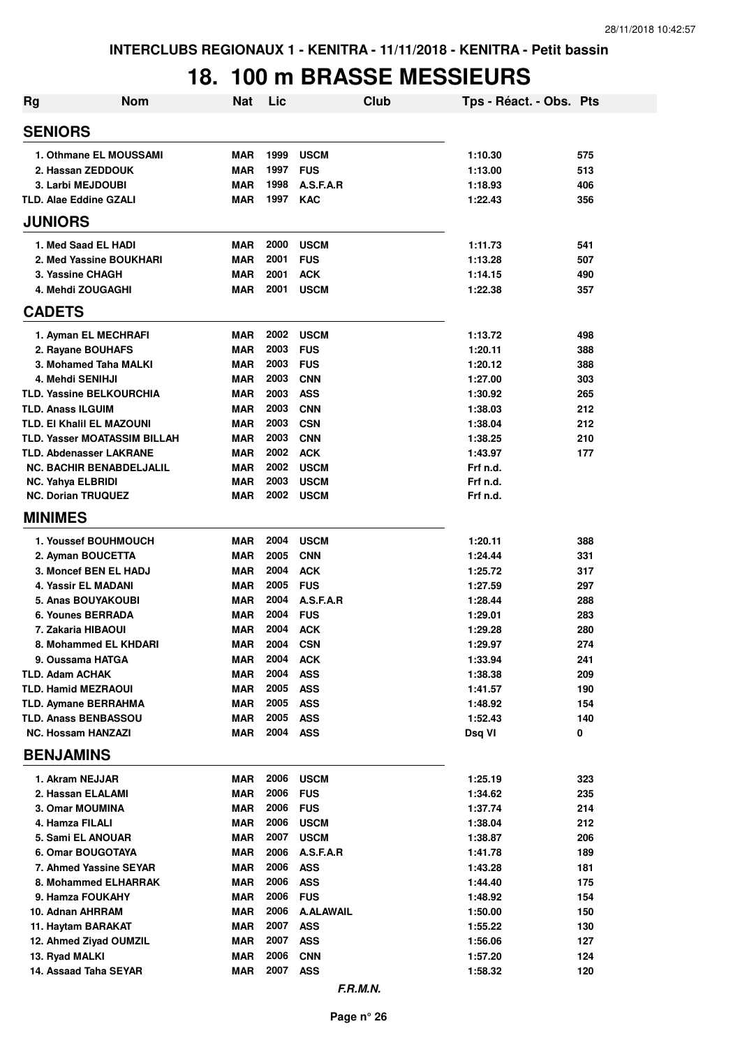## **18. 100 m BRASSE MESSIEURS**

| Rg                                                                | <b>Nom</b> | <b>Nat</b>               | Lic          |                           | Club | Tps - Réact. - Obs. Pts |            |
|-------------------------------------------------------------------|------------|--------------------------|--------------|---------------------------|------|-------------------------|------------|
| <b>SENIORS</b>                                                    |            |                          |              |                           |      |                         |            |
| 1. Othmane EL MOUSSAMI                                            |            | <b>MAR</b>               | 1999         | <b>USCM</b>               |      | 1:10.30                 | 575        |
| 2. Hassan ZEDDOUK                                                 |            | <b>MAR</b>               | 1997         | <b>FUS</b>                |      | 1:13.00                 | 513        |
| 3. Larbi MEJDOUBI                                                 |            | <b>MAR</b>               | 1998         | A.S.F.A.R                 |      | 1:18.93                 | 406        |
| <b>TLD. Alae Eddine GZALI</b>                                     |            | <b>MAR</b>               | 1997         | <b>KAC</b>                |      | 1:22.43                 | 356        |
| <b>JUNIORS</b>                                                    |            |                          |              |                           |      |                         |            |
| 1. Med Saad EL HADI                                               |            | <b>MAR</b>               | 2000         | <b>USCM</b>               |      | 1:11.73                 | 541        |
| 2. Med Yassine BOUKHARI                                           |            | <b>MAR</b>               | 2001         | <b>FUS</b>                |      | 1:13.28                 | 507        |
| 3. Yassine CHAGH                                                  |            | <b>MAR</b>               | 2001         | <b>ACK</b>                |      | 1:14.15                 | 490        |
| 4. Mehdi ZOUGAGHI                                                 |            | <b>MAR</b>               | 2001         | <b>USCM</b>               |      | 1:22.38                 | 357        |
| <b>CADETS</b>                                                     |            |                          |              |                           |      |                         |            |
| 1. Ayman EL MECHRAFI                                              |            | <b>MAR</b>               | 2002         | <b>USCM</b>               |      | 1:13.72                 | 498        |
| 2. Rayane BOUHAFS                                                 |            | <b>MAR</b>               | 2003         | <b>FUS</b>                |      | 1:20.11                 | 388        |
| 3. Mohamed Taha MALKI                                             |            | <b>MAR</b>               | 2003         | <b>FUS</b>                |      | 1:20.12                 | 388        |
| 4. Mehdi SENIHJI                                                  |            | <b>MAR</b>               | 2003         | <b>CNN</b>                |      | 1:27.00                 | 303        |
| <b>TLD. Yassine BELKOURCHIA</b>                                   |            | <b>MAR</b>               | 2003         | <b>ASS</b>                |      | 1:30.92                 | 265        |
| <b>TLD. Anass ILGUIM</b>                                          |            | <b>MAR</b>               | 2003         | <b>CNN</b>                |      | 1:38.03                 | 212        |
| <b>TLD. EI Khalil EL MAZOUNI</b>                                  |            | <b>MAR</b>               | 2003         | <b>CSN</b>                |      | 1:38.04                 | 212        |
| TLD. Yasser MOATASSIM BILLAH                                      |            | <b>MAR</b>               | 2003<br>2002 | <b>CNN</b>                |      | 1:38.25                 | 210        |
| <b>TLD. Abdenasser LAKRANE</b><br><b>NC. BACHIR BENABDELJALIL</b> |            | <b>MAR</b><br><b>MAR</b> | 2002         | <b>ACK</b><br><b>USCM</b> |      | 1:43.97<br>Frf n.d.     | 177        |
| <b>NC. Yahya ELBRIDI</b>                                          |            | <b>MAR</b>               | 2003         | <b>USCM</b>               |      | Frf n.d.                |            |
| <b>NC. Dorian TRUQUEZ</b>                                         |            | <b>MAR</b>               | 2002         | <b>USCM</b>               |      | Frf n.d.                |            |
| <b>MINIMES</b>                                                    |            |                          |              |                           |      |                         |            |
| 1. Youssef BOUHMOUCH                                              |            | MAR                      | 2004         | <b>USCM</b>               |      | 1:20.11                 | 388        |
| 2. Ayman BOUCETTA                                                 |            | MAR                      | 2005         | <b>CNN</b>                |      | 1:24.44                 | 331        |
| 3. Moncef BEN EL HADJ                                             |            | <b>MAR</b>               | 2004         | <b>ACK</b>                |      | 1:25.72                 | 317        |
| 4. Yassir EL MADANI                                               |            | <b>MAR</b>               | 2005         | <b>FUS</b>                |      | 1:27.59                 | 297        |
| <b>5. Anas BOUYAKOUBI</b>                                         |            | <b>MAR</b>               | 2004         | A.S.F.A.R                 |      | 1:28.44                 | 288        |
| 6. Younes BERRADA                                                 |            | <b>MAR</b>               | 2004         | <b>FUS</b>                |      | 1:29.01                 | 283        |
| 7. Zakaria HIBAOUI                                                |            | <b>MAR</b>               | 2004         | <b>ACK</b>                |      | 1:29.28                 | 280        |
| 8. Mohammed EL KHDARI                                             |            | MAR                      | 2004         | <b>CSN</b>                |      | 1:29.97                 | 274        |
| 9. Oussama HATGA                                                  |            | MAR                      | 2004         | <b>ACK</b>                |      | 1:33.94                 | 241        |
| <b>TLD. Adam ACHAK</b>                                            |            | MAR                      | 2004         | <b>ASS</b>                |      | 1:38.38                 | 209        |
| <b>TLD. Hamid MEZRAOUI</b>                                        |            | MAR                      | 2005         | <b>ASS</b>                |      | 1:41.57                 | 190        |
| <b>TLD. Aymane BERRAHMA</b>                                       |            | MAR                      | 2005         | <b>ASS</b>                |      | 1:48.92                 | 154        |
| <b>TLD. Anass BENBASSOU</b>                                       |            | MAR                      | 2005         | <b>ASS</b>                |      | 1:52.43                 | 140        |
| <b>NC. Hossam HANZAZI</b>                                         |            | MAR                      | 2004         | <b>ASS</b>                |      | Dsq VI                  | 0          |
| <b>BENJAMINS</b>                                                  |            |                          |              |                           |      |                         |            |
| 1. Akram NEJJAR                                                   |            | MAR                      | 2006         | <b>USCM</b>               |      | 1:25.19                 | 323        |
| 2. Hassan ELALAMI                                                 |            | MAR                      | 2006         | <b>FUS</b>                |      | 1:34.62                 | 235        |
| 3. Omar MOUMINA                                                   |            | MAR                      | 2006         | <b>FUS</b>                |      | 1:37.74                 | 214        |
| 4. Hamza FILALI                                                   |            | MAR                      | 2006         | <b>USCM</b>               |      | 1:38.04                 | 212        |
| 5. Sami EL ANOUAR                                                 |            | MAR                      | 2007         | <b>USCM</b>               |      | 1:38.87                 | 206        |
| 6. Omar BOUGOTAYA                                                 |            | MAR                      | 2006         | A.S.F.A.R                 |      | 1:41.78                 | 189        |
| 7. Ahmed Yassine SEYAR                                            |            | MAR                      | 2006         | <b>ASS</b>                |      | 1:43.28                 | 181        |
| 8. Mohammed ELHARRAK                                              |            | MAR                      | 2006<br>2006 | <b>ASS</b><br><b>FUS</b>  |      | 1:44.40                 | 175        |
| 9. Hamza FOUKAHY                                                  |            | MAR<br><b>MAR</b>        | 2006         | <b>A.ALAWAIL</b>          |      | 1:48.92                 | 154        |
| 10. Adnan AHRRAM<br>11. Haytam BARAKAT                            |            | <b>MAR</b>               | 2007         | <b>ASS</b>                |      | 1:50.00<br>1:55.22      | 150<br>130 |
| 12. Ahmed Ziyad OUMZIL                                            |            | <b>MAR</b>               | 2007         | <b>ASS</b>                |      | 1:56.06                 | 127        |
| 13. Ryad MALKI                                                    |            | MAR                      | 2006         | <b>CNN</b>                |      | 1:57.20                 | 124        |
| 14. Assaad Taha SEYAR                                             |            | MAR                      | 2007         | <b>ASS</b>                |      | 1:58.32                 | 120        |
|                                                                   |            |                          |              |                           |      |                         |            |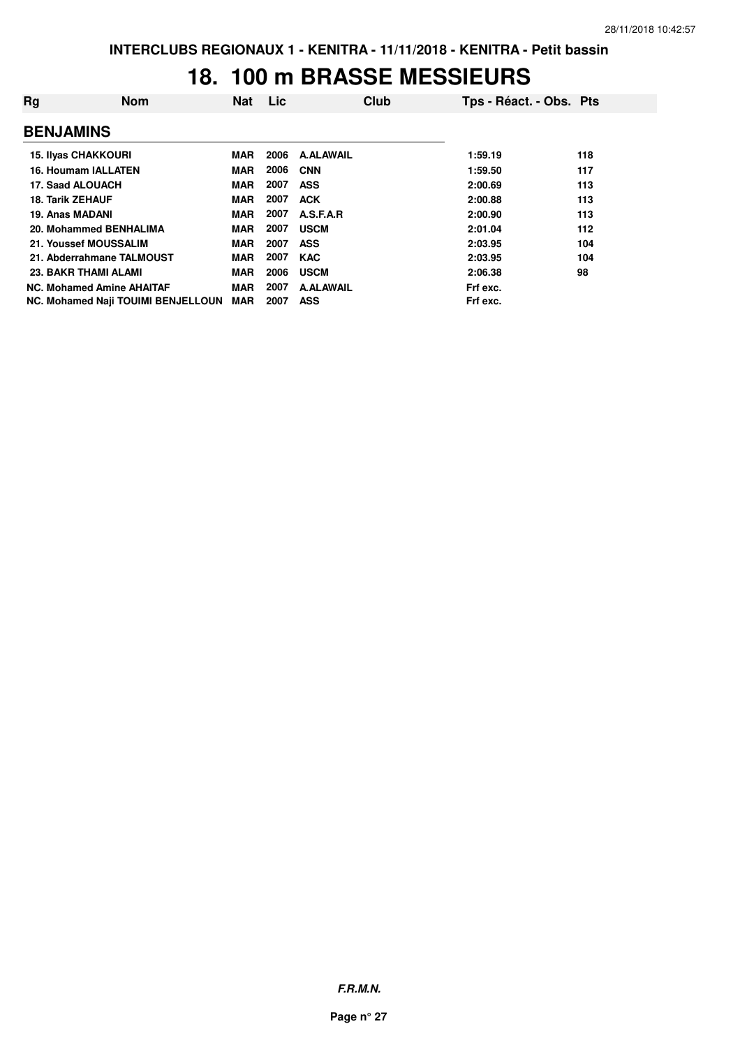## **18. 100 m BRASSE MESSIEURS**

| Rg                      | <b>Nom</b>                                | <b>Nat</b> | Lic  | Club             | Tps - Réact. - Obs. Pts |     |
|-------------------------|-------------------------------------------|------------|------|------------------|-------------------------|-----|
| <b>BENJAMINS</b>        |                                           |            |      |                  |                         |     |
|                         | <b>15. Ilyas CHAKKOURI</b>                | MAR        | 2006 | <b>A.ALAWAIL</b> | 1:59.19                 | 118 |
|                         | 16. Houmam IALLATEN                       | <b>MAR</b> | 2006 | <b>CNN</b>       | 1:59.50                 | 117 |
|                         | 17. Saad ALOUACH                          | <b>MAR</b> | 2007 | <b>ASS</b>       | 2:00.69                 | 113 |
| <b>18. Tarik ZEHAUF</b> |                                           | <b>MAR</b> | 2007 | <b>ACK</b>       | 2:00.88                 | 113 |
| 19. Anas MADANI         |                                           | <b>MAR</b> | 2007 | A.S.F.A.R        | 2:00.90                 | 113 |
|                         | 20. Mohammed BENHALIMA                    | <b>MAR</b> | 2007 | <b>USCM</b>      | 2:01.04                 | 112 |
|                         | 21. Youssef MOUSSALIM                     | MAR        | 2007 | <b>ASS</b>       | 2:03.95                 | 104 |
|                         | 21. Abderrahmane TALMOUST                 | MAR        | 2007 | <b>KAC</b>       | 2:03.95                 | 104 |
|                         | <b>23. BAKR THAMI ALAMI</b>               | <b>MAR</b> | 2006 | <b>USCM</b>      | 2:06.38                 | 98  |
|                         | <b>NC. Mohamed Amine AHAITAF</b>          | <b>MAR</b> | 2007 | <b>A.ALAWAIL</b> | Frf exc.                |     |
|                         | <b>NC. Mohamed Naji TOUIMI BENJELLOUN</b> | <b>MAR</b> | 2007 | <b>ASS</b>       | Frf exc.                |     |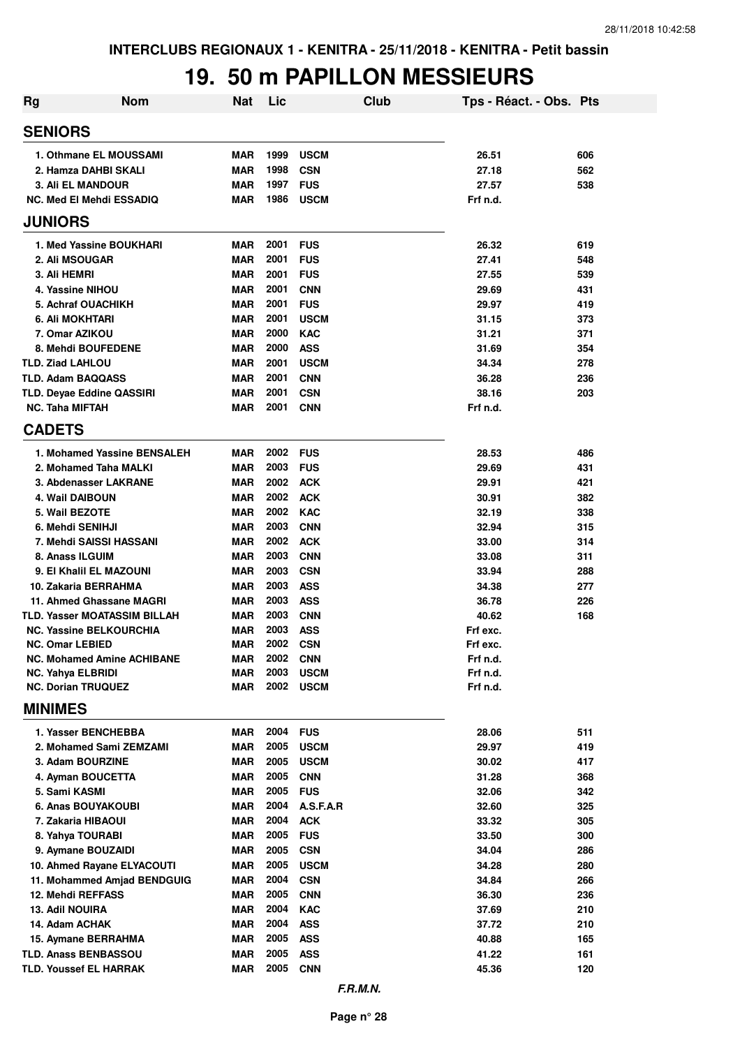## **19. 50 m PAPILLON MESSIEURS**

| Rg | <b>Nom</b>                                  | <b>Nat</b> | Lic  | Club        | Tps - Réact. - Obs. Pts |     |
|----|---------------------------------------------|------------|------|-------------|-------------------------|-----|
|    | <b>SENIORS</b>                              |            |      |             |                         |     |
|    | 1. Othmane EL MOUSSAMI                      | <b>MAR</b> | 1999 | <b>USCM</b> | 26.51                   | 606 |
|    | 2. Hamza DAHBI SKALI                        | <b>MAR</b> | 1998 | <b>CSN</b>  | 27.18                   | 562 |
|    | <b>3. Ali EL MANDOUR</b>                    | <b>MAR</b> | 1997 | <b>FUS</b>  | 27.57                   | 538 |
|    | <b>NC. Med El Mehdi ESSADIQ</b>             | <b>MAR</b> | 1986 | <b>USCM</b> | Frf n.d.                |     |
|    | <b>JUNIORS</b>                              |            |      |             |                         |     |
|    | 1. Med Yassine BOUKHARI                     | <b>MAR</b> | 2001 | <b>FUS</b>  | 26.32                   | 619 |
|    | 2. Ali MSOUGAR                              | <b>MAR</b> | 2001 | <b>FUS</b>  | 27.41                   | 548 |
|    | 3. Ali HEMRI                                | <b>MAR</b> | 2001 | <b>FUS</b>  | 27.55                   | 539 |
|    | 4. Yassine NIHOU                            | <b>MAR</b> | 2001 | <b>CNN</b>  | 29.69                   | 431 |
|    | 5. Achraf OUACHIKH                          | <b>MAR</b> | 2001 | <b>FUS</b>  | 29.97                   | 419 |
|    | 6. Ali MOKHTARI                             | <b>MAR</b> | 2001 | <b>USCM</b> | 31.15                   | 373 |
|    | 7. Omar AZIKOU                              | <b>MAR</b> | 2000 | <b>KAC</b>  | 31.21                   | 371 |
|    | 8. Mehdi BOUFEDENE                          | <b>MAR</b> | 2000 | <b>ASS</b>  | 31.69                   | 354 |
|    | <b>TLD. Ziad LAHLOU</b>                     | <b>MAR</b> | 2001 | <b>USCM</b> | 34.34                   | 278 |
|    | <b>TLD. Adam BAQQASS</b>                    | <b>MAR</b> | 2001 | <b>CNN</b>  | 36.28                   | 236 |
|    | TLD. Deyae Eddine QASSIRI                   | <b>MAR</b> | 2001 | <b>CSN</b>  | 38.16                   | 203 |
|    | <b>NC. Taha MIFTAH</b>                      | <b>MAR</b> | 2001 | <b>CNN</b>  | Frf n.d.                |     |
|    | <b>CADETS</b>                               |            |      |             |                         |     |
|    | 1. Mohamed Yassine BENSALEH                 | <b>MAR</b> | 2002 | <b>FUS</b>  | 28.53                   | 486 |
|    | 2. Mohamed Taha MALKI                       | <b>MAR</b> | 2003 | <b>FUS</b>  | 29.69                   | 431 |
|    | 3. Abdenasser LAKRANE                       | <b>MAR</b> | 2002 | <b>ACK</b>  | 29.91                   | 421 |
|    | 4. Wail DAIBOUN                             | <b>MAR</b> | 2002 | <b>ACK</b>  | 30.91                   | 382 |
|    | 5. Wail BEZOTE                              | <b>MAR</b> | 2002 | <b>KAC</b>  | 32.19                   | 338 |
|    | 6. Mehdi SENIHJI                            | <b>MAR</b> | 2003 | <b>CNN</b>  | 32.94                   | 315 |
|    | 7. Mehdi SAISSI HASSANI                     | <b>MAR</b> | 2002 | <b>ACK</b>  | 33.00                   | 314 |
|    | 8. Anass ILGUIM                             | <b>MAR</b> | 2003 | <b>CNN</b>  | 33.08                   | 311 |
|    | 9. El Khalil EL MAZOUNI                     | <b>MAR</b> | 2003 | <b>CSN</b>  | 33.94                   | 288 |
|    | 10. Zakaria BERRAHMA                        | MAR        | 2003 | <b>ASS</b>  | 34.38                   | 277 |
|    | 11. Ahmed Ghassane MAGRI                    | MAR        | 2003 | <b>ASS</b>  | 36.78                   | 226 |
|    | <b>TLD. Yasser MOATASSIM BILLAH</b>         | MAR        | 2003 | <b>CNN</b>  | 40.62                   | 168 |
|    | <b>NC. Yassine BELKOURCHIA</b>              | MAR        | 2003 | <b>ASS</b>  | Frf exc.                |     |
|    | <b>NC. Omar LEBIED</b>                      | MAR        | 2002 | <b>CSN</b>  | Frf exc.                |     |
|    | <b>NC. Mohamed Amine ACHIBANE</b>           | MAR        | 2002 | <b>CNN</b>  | Frf n.d.                |     |
|    | <b>NC. Yahya ELBRIDI</b>                    | <b>MAR</b> | 2003 | <b>USCM</b> | Frf n.d.                |     |
|    | <b>NC. Dorian TRUQUEZ</b><br><b>MINIMES</b> | MAR        | 2002 | <b>USCM</b> | Frf n.d.                |     |
|    |                                             |            |      |             |                         |     |
|    | 1. Yasser BENCHEBBA                         | <b>MAR</b> | 2004 | <b>FUS</b>  | 28.06                   | 511 |
|    | 2. Mohamed Sami ZEMZAMI                     | <b>MAR</b> | 2005 | <b>USCM</b> | 29.97                   | 419 |
|    | 3. Adam BOURZINE                            | <b>MAR</b> | 2005 | <b>USCM</b> | 30.02                   | 417 |
|    | 4. Ayman BOUCETTA                           | <b>MAR</b> | 2005 | <b>CNN</b>  | 31.28                   | 368 |
|    | 5. Sami KASMI                               | <b>MAR</b> | 2005 | <b>FUS</b>  | 32.06                   | 342 |
|    | 6. Anas BOUYAKOUBI                          | MAR        | 2004 | A.S.F.A.R   | 32.60                   | 325 |
|    | 7. Zakaria HIBAOUI                          | MAR        | 2004 | <b>ACK</b>  | 33.32                   | 305 |
|    | 8. Yahya TOURABI                            | MAR        | 2005 | <b>FUS</b>  | 33.50                   | 300 |
|    | 9. Aymane BOUZAIDI                          | MAR        | 2005 | <b>CSN</b>  | 34.04                   | 286 |
|    | 10. Ahmed Rayane ELYACOUTI                  | MAR        | 2005 | <b>USCM</b> | 34.28                   | 280 |
|    | 11. Mohammed Amjad BENDGUIG                 | MAR        | 2004 | <b>CSN</b>  | 34.84                   | 266 |
|    | 12. Mehdi REFFASS                           | MAR        | 2005 | <b>CNN</b>  | 36.30                   | 236 |
|    | 13. Adil NOUIRA                             | <b>MAR</b> | 2004 | <b>KAC</b>  | 37.69                   | 210 |
|    | 14. Adam ACHAK                              | <b>MAR</b> | 2004 | <b>ASS</b>  | 37.72                   | 210 |
|    | 15. Aymane BERRAHMA                         | <b>MAR</b> | 2005 | <b>ASS</b>  | 40.88                   | 165 |
|    | <b>TLD. Anass BENBASSOU</b>                 | MAR        | 2005 | <b>ASS</b>  | 41.22                   | 161 |
|    | <b>TLD. Youssef EL HARRAK</b>               | <b>MAR</b> | 2005 | <b>CNN</b>  | 45.36                   | 120 |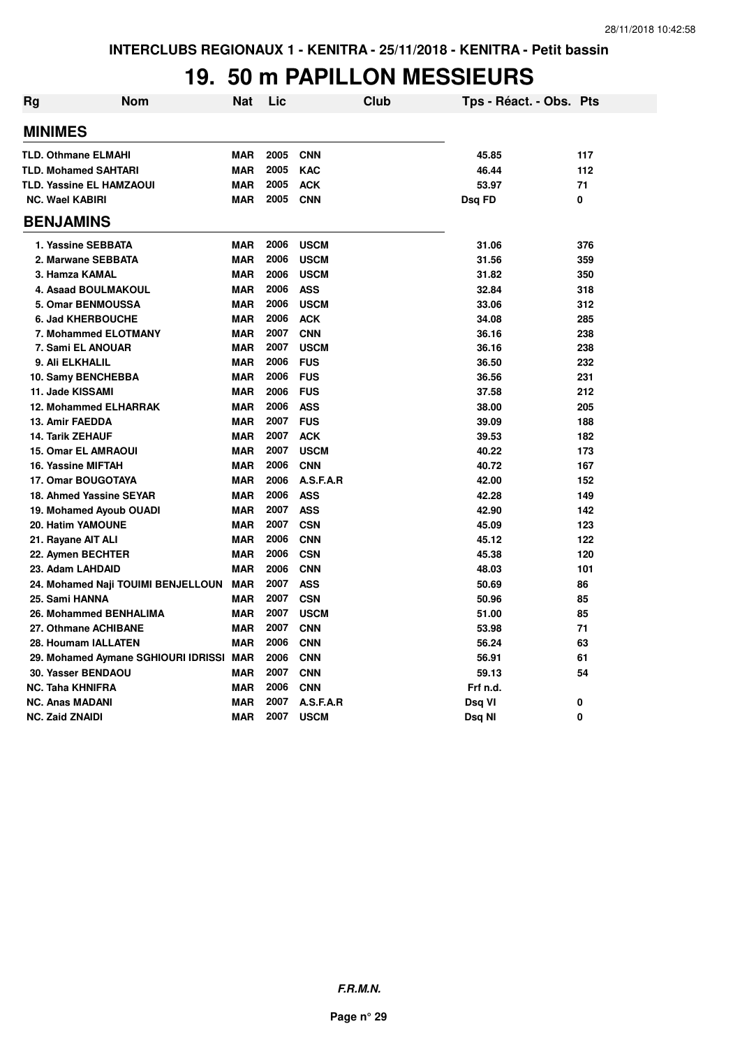## **19. 50 m PAPILLON MESSIEURS**

| <b>Rg</b> | <b>Nom</b>                              | <b>Nat</b> | Lic  | <b>Club</b> | Tps - Réact. - Obs. Pts |     |
|-----------|-----------------------------------------|------------|------|-------------|-------------------------|-----|
|           | <b>MINIMES</b>                          |            |      |             |                         |     |
|           | <b>TLD. Othmane ELMAHI</b>              | <b>MAR</b> | 2005 | <b>CNN</b>  | 45.85                   | 117 |
|           | <b>TLD. Mohamed SAHTARI</b>             | <b>MAR</b> | 2005 | <b>KAC</b>  | 46.44                   | 112 |
|           | <b>TLD. Yassine EL HAMZAOUI</b>         | <b>MAR</b> | 2005 | <b>ACK</b>  | 53.97                   | 71  |
|           | <b>NC. Wael KABIRI</b>                  | <b>MAR</b> | 2005 | <b>CNN</b>  | Dsq FD                  | 0   |
|           | <b>BENJAMINS</b>                        |            |      |             |                         |     |
|           | 1. Yassine SEBBATA                      | <b>MAR</b> | 2006 | <b>USCM</b> | 31.06                   | 376 |
|           | 2. Marwane SEBBATA                      | <b>MAR</b> | 2006 | <b>USCM</b> | 31.56                   | 359 |
|           | 3. Hamza KAMAL                          | <b>MAR</b> | 2006 | <b>USCM</b> | 31.82                   | 350 |
|           | 4. Asaad BOULMAKOUL                     | <b>MAR</b> | 2006 | <b>ASS</b>  | 32.84                   | 318 |
|           | <b>5. Omar BENMOUSSA</b>                | <b>MAR</b> | 2006 | <b>USCM</b> | 33.06                   | 312 |
|           | <b>6. Jad KHERBOUCHE</b>                | <b>MAR</b> | 2006 | <b>ACK</b>  | 34.08                   | 285 |
|           | 7. Mohammed ELOTMANY                    | <b>MAR</b> | 2007 | <b>CNN</b>  | 36.16                   | 238 |
|           | 7. Sami EL ANOUAR                       | <b>MAR</b> | 2007 | <b>USCM</b> | 36.16                   | 238 |
|           | 9. Ali ELKHALIL                         | <b>MAR</b> | 2006 | <b>FUS</b>  | 36.50                   | 232 |
|           | 10. Samy BENCHEBBA                      | <b>MAR</b> | 2006 | <b>FUS</b>  | 36.56                   | 231 |
|           | 11. Jade KISSAMI                        | <b>MAR</b> | 2006 | <b>FUS</b>  | 37.58                   | 212 |
|           | <b>12. Mohammed ELHARRAK</b>            | <b>MAR</b> | 2006 | <b>ASS</b>  | 38.00                   | 205 |
|           | 13. Amir FAEDDA                         | <b>MAR</b> | 2007 | <b>FUS</b>  | 39.09                   | 188 |
|           | <b>14. Tarik ZEHAUF</b>                 | <b>MAR</b> | 2007 | <b>ACK</b>  | 39.53                   | 182 |
|           | <b>15. Omar EL AMRAOUI</b>              | <b>MAR</b> | 2007 | <b>USCM</b> | 40.22                   | 173 |
|           | 16. Yassine MIFTAH                      | <b>MAR</b> | 2006 | <b>CNN</b>  | 40.72                   | 167 |
|           | <b>17. Omar BOUGOTAYA</b>               | <b>MAR</b> | 2006 | A.S.F.A.R   | 42.00                   | 152 |
|           | 18. Ahmed Yassine SEYAR                 | <b>MAR</b> | 2006 | <b>ASS</b>  | 42.28                   | 149 |
|           | 19. Mohamed Ayoub OUADI                 | <b>MAR</b> | 2007 | <b>ASS</b>  | 42.90                   | 142 |
|           | 20. Hatim YAMOUNE                       | <b>MAR</b> | 2007 | <b>CSN</b>  | 45.09                   | 123 |
|           | 21. Rayane AIT ALI                      | <b>MAR</b> | 2006 | <b>CNN</b>  | 45.12                   | 122 |
|           | 22. Aymen BECHTER                       | <b>MAR</b> | 2006 | <b>CSN</b>  | 45.38                   | 120 |
|           | 23. Adam LAHDAID                        | <b>MAR</b> | 2006 | <b>CNN</b>  | 48.03                   | 101 |
|           | 24. Mohamed Naji TOUIMI BENJELLOUN      | <b>MAR</b> | 2007 | <b>ASS</b>  | 50.69                   | 86  |
|           | 25. Sami HANNA                          | <b>MAR</b> | 2007 | <b>CSN</b>  | 50.96                   | 85  |
|           | 26. Mohammed BENHALIMA                  | <b>MAR</b> | 2007 | <b>USCM</b> | 51.00                   | 85  |
|           | 27. Othmane ACHIBANE                    | <b>MAR</b> | 2007 | <b>CNN</b>  | 53.98                   | 71  |
|           | 28. Houmam IALLATEN                     | <b>MAR</b> | 2006 | <b>CNN</b>  | 56.24                   | 63  |
|           | 29. Mohamed Aymane SGHIOURI IDRISSI MAR |            | 2006 | <b>CNN</b>  | 56.91                   | 61  |
|           | 30. Yasser BENDAOU                      | <b>MAR</b> | 2007 | <b>CNN</b>  | 59.13                   | 54  |
|           | <b>NC. Taha KHNIFRA</b>                 | <b>MAR</b> | 2006 | <b>CNN</b>  | Frf n.d.                |     |
|           | <b>NC. Anas MADANI</b>                  | <b>MAR</b> | 2007 | A.S.F.A.R   | Dsq VI                  | 0   |
|           | <b>NC. Zaid ZNAIDI</b>                  | <b>MAR</b> | 2007 | <b>USCM</b> | Dsq NI                  | 0   |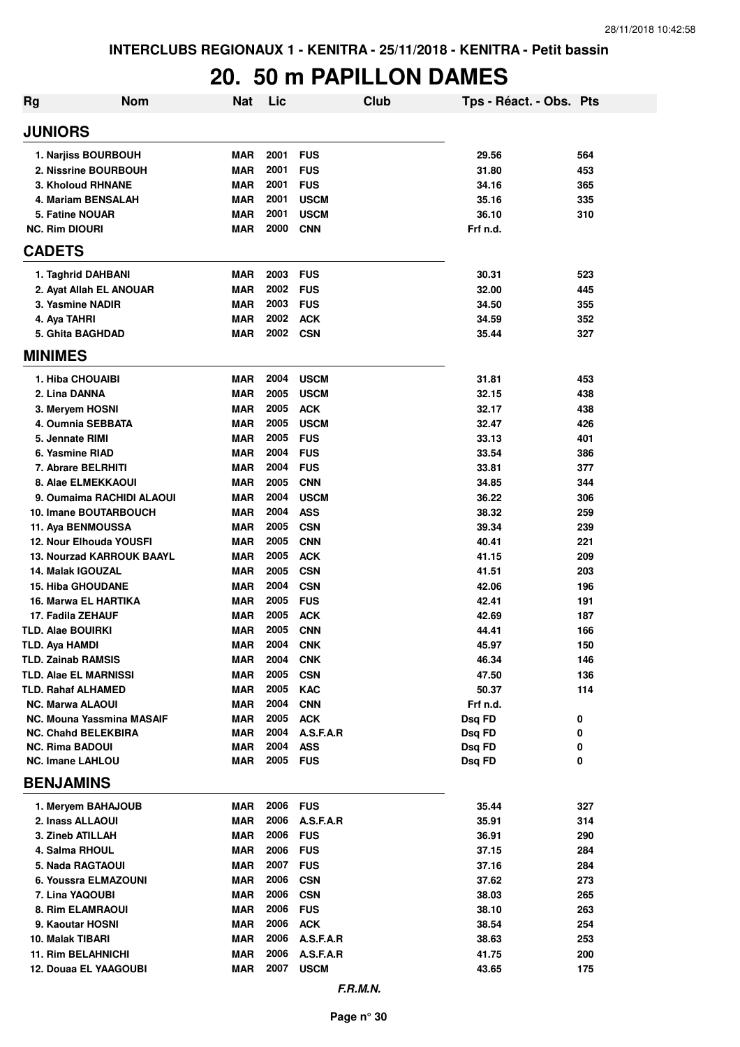#### **20. 50 m PAPILLON DAMES**

| <b>Rg</b> | <b>Nom</b>                       | <b>Nat</b> | Lic      | Club        | Tps - Réact. - Obs. Pts |     |
|-----------|----------------------------------|------------|----------|-------------|-------------------------|-----|
|           | <b>JUNIORS</b>                   |            |          |             |                         |     |
|           | 1. Nariiss BOURBOUH              | <b>MAR</b> | 2001     | <b>FUS</b>  | 29.56                   | 564 |
|           | 2. Nissrine BOURBOUH             | <b>MAR</b> | 2001     | <b>FUS</b>  | 31.80                   | 453 |
|           | <b>3. Kholoud RHNANE</b>         | <b>MAR</b> | 2001     | <b>FUS</b>  | 34.16                   | 365 |
|           | 4. Mariam BENSALAH               | <b>MAR</b> | 2001     | <b>USCM</b> | 35.16                   | 335 |
|           | 5. Fatine NOUAR                  | <b>MAR</b> | 2001     | <b>USCM</b> | 36.10                   | 310 |
|           | <b>NC. Rim DIOURI</b>            | <b>MAR</b> | 2000     | <b>CNN</b>  | Frf n.d.                |     |
|           | <b>CADETS</b>                    |            |          |             |                         |     |
|           | 1. Taghrid DAHBANI               | <b>MAR</b> | 2003     | <b>FUS</b>  | 30.31                   | 523 |
|           | 2. Ayat Allah EL ANOUAR          | <b>MAR</b> | 2002     | <b>FUS</b>  | 32.00                   | 445 |
|           | 3. Yasmine NADIR                 | <b>MAR</b> | 2003     | <b>FUS</b>  | 34.50                   | 355 |
|           | 4. Aya TAHRI                     | <b>MAR</b> | 2002     | <b>ACK</b>  | 34.59                   | 352 |
|           | 5. Ghita BAGHDAD                 | <b>MAR</b> | 2002     | <b>CSN</b>  | 35.44                   | 327 |
|           | <b>MINIMES</b>                   |            |          |             |                         |     |
|           | 1. Hiba CHOUAIBI                 | <b>MAR</b> | 2004     | <b>USCM</b> | 31.81                   | 453 |
|           | 2. Lina DANNA                    | <b>MAR</b> | 2005     | <b>USCM</b> | 32.15                   | 438 |
|           | 3. Meryem HOSNI                  | <b>MAR</b> | 2005     | <b>ACK</b>  | 32.17                   | 438 |
|           | 4. Oumnia SEBBATA                | <b>MAR</b> | 2005     | <b>USCM</b> | 32.47                   | 426 |
|           | 5. Jennate RIMI                  | <b>MAR</b> | 2005     | <b>FUS</b>  | 33.13                   | 401 |
|           | 6. Yasmine RIAD                  | <b>MAR</b> | 2004     | <b>FUS</b>  | 33.54                   | 386 |
|           | 7. Abrare BELRHITI               | <b>MAR</b> | 2004     | <b>FUS</b>  | 33.81                   | 377 |
|           | 8. Alae ELMEKKAOUI               | <b>MAR</b> | 2005     | <b>CNN</b>  | 34.85                   | 344 |
|           | 9. Oumaima RACHIDI ALAOUI        | <b>MAR</b> | 2004     | <b>USCM</b> | 36.22                   | 306 |
|           | 10. Imane BOUTARBOUCH            | <b>MAR</b> | 2004     | <b>ASS</b>  | 38.32                   | 259 |
|           | 11. Aya BENMOUSSA                | <b>MAR</b> | 2005     | <b>CSN</b>  | 39.34                   | 239 |
|           | 12. Nour Elhouda YOUSFI          | <b>MAR</b> | 2005     | <b>CNN</b>  | 40.41                   | 221 |
|           | <b>13. Nourzad KARROUK BAAYL</b> | <b>MAR</b> | 2005     | <b>ACK</b>  | 41.15                   | 209 |
|           | 14. Malak IGOUZAL                | <b>MAR</b> | 2005     | <b>CSN</b>  | 41.51                   | 203 |
|           | <b>15. Hiba GHOUDANE</b>         | <b>MAR</b> | 2004     | <b>CSN</b>  | 42.06                   | 196 |
|           | 16. Marwa EL HARTIKA             | <b>MAR</b> | 2005     | <b>FUS</b>  | 42.41                   | 191 |
|           | 17. Fadila ZEHAUF                | <b>MAR</b> | 2005     | <b>ACK</b>  | 42.69                   | 187 |
|           | TLD. Alae BOUIRKI                | <b>MAR</b> | 2005     | <b>CNN</b>  | 44.41                   | 166 |
|           | TLD. Aya HAMDI                   | <b>MAR</b> | 2004     | <b>CNK</b>  | 45.97                   | 150 |
|           | <b>TLD. Zainab RAMSIS</b>        | MAR        | 2004     | <b>CNK</b>  | 46.34                   | 146 |
|           | <b>TLD. Alae EL MARNISSI</b>     | <b>MAR</b> | 2005     | <b>CSN</b>  | 47.50                   | 136 |
|           | TLD. Rahaf ALHAMED               | <b>MAR</b> | 2005     | <b>KAC</b>  | 50.37                   | 114 |
|           | <b>NC. Marwa ALAOUI</b>          | MAR        | 2004     | <b>CNN</b>  | Frf n.d.                |     |
|           | <b>NC. Mouna Yassmina MASAIF</b> | <b>MAR</b> | 2005     | <b>ACK</b>  | Dsg FD                  | 0   |
|           | <b>NC. Chahd BELEKBIRA</b>       | MAR        | 2004     | A.S.F.A.R   | Dsq FD                  | 0   |
|           | <b>NC. Rima BADOUI</b>           | <b>MAR</b> | 2004     | <b>ASS</b>  | Dsq FD                  | 0   |
|           | <b>NC. Imane LAHLOU</b>          | <b>MAR</b> | 2005 FUS |             | Dsq FD                  | 0   |
|           | <b>BENJAMINS</b>                 |            |          |             |                         |     |
|           | 1. Meryem BAHAJOUB               | MAR        | 2006     | <b>FUS</b>  | 35.44                   | 327 |
|           | 2. Inass ALLAOUI                 | MAR        | 2006     | A.S.F.A.R   | 35.91                   | 314 |
|           | 3. Zineb ATILLAH                 | MAR        | 2006     | <b>FUS</b>  | 36.91                   | 290 |
|           | 4. Salma RHOUL                   | MAR        | 2006     | <b>FUS</b>  | 37.15                   | 284 |
|           | 5. Nada RAGTAOUI                 | MAR        | 2007     | <b>FUS</b>  | 37.16                   | 284 |
|           | 6. Youssra ELMAZOUNI             | <b>MAR</b> | 2006     | <b>CSN</b>  | 37.62                   | 273 |
|           | 7. Lina YAQOUBI                  | <b>MAR</b> | 2006     | <b>CSN</b>  | 38.03                   | 265 |
|           | 8. Rim ELAMRAOUI                 | MAR        | 2006     | <b>FUS</b>  | 38.10                   | 263 |
|           | 9. Kaoutar HOSNI                 | <b>MAR</b> | 2006     | <b>ACK</b>  | 38.54                   | 254 |
|           | 10. Malak TIBARI                 | <b>MAR</b> | 2006     | A.S.F.A.R   | 38.63                   | 253 |
|           | <b>11. Rim BELAHNICHI</b>        | <b>MAR</b> | 2006     | A.S.F.A.R   | 41.75                   | 200 |
|           | 12. Douaa EL YAAGOUBI            | <b>MAR</b> | 2007     | <b>USCM</b> | 43.65                   | 175 |
|           |                                  |            |          |             |                         |     |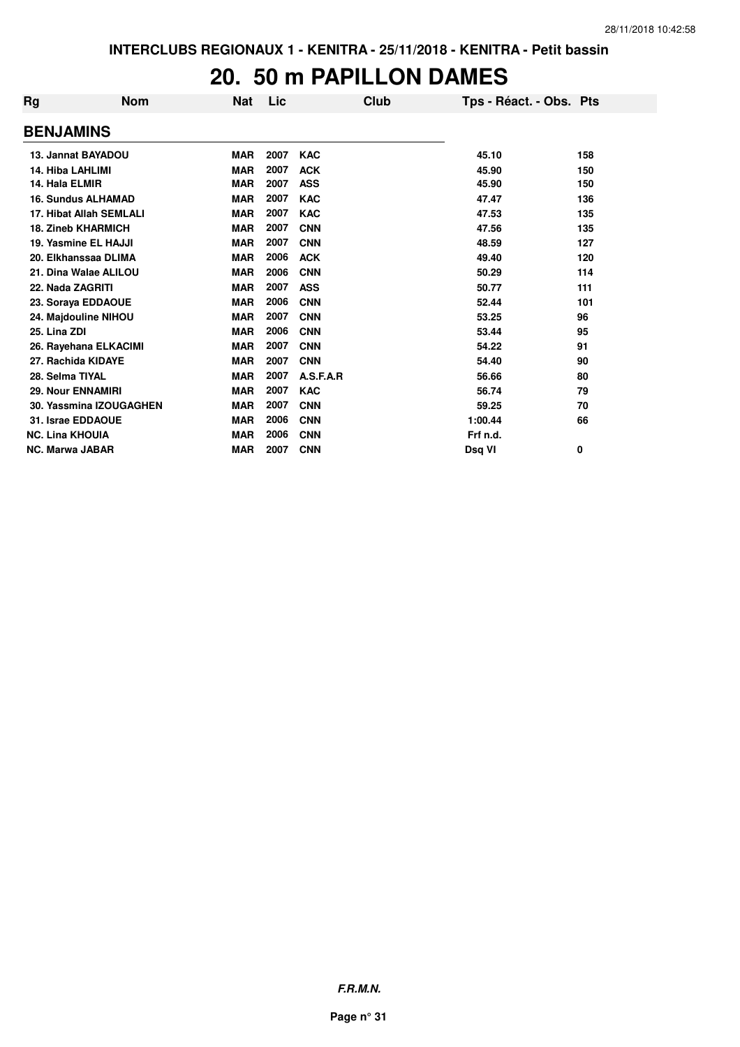#### **20. 50 m PAPILLON DAMES**

| Rg                        | <b>Nom</b>              | <b>Nat</b> | Lic  | Club       | Tps - Réact. - Obs. Pts |     |
|---------------------------|-------------------------|------------|------|------------|-------------------------|-----|
| <b>BENJAMINS</b>          |                         |            |      |            |                         |     |
| 13. Jannat BAYADOU        |                         | <b>MAR</b> | 2007 | <b>KAC</b> | 45.10                   | 158 |
| <b>14. Hiba LAHLIMI</b>   |                         | <b>MAR</b> | 2007 | <b>ACK</b> | 45.90                   | 150 |
| 14. Hala ELMIR            |                         | <b>MAR</b> | 2007 | <b>ASS</b> | 45.90                   | 150 |
| <b>16. Sundus ALHAMAD</b> |                         | <b>MAR</b> | 2007 | <b>KAC</b> | 47.47                   | 136 |
|                           | 17. Hibat Allah SEMLALI | <b>MAR</b> | 2007 | <b>KAC</b> | 47.53                   | 135 |
| <b>18. Zineb KHARMICH</b> |                         | <b>MAR</b> | 2007 | <b>CNN</b> | 47.56                   | 135 |
| 19. Yasmine EL HAJJI      |                         | <b>MAR</b> | 2007 | <b>CNN</b> | 48.59                   | 127 |
|                           | 20. Elkhanssaa DLIMA    | <b>MAR</b> | 2006 | <b>ACK</b> | 49.40                   | 120 |
|                           | 21. Dina Walae ALILOU   | <b>MAR</b> | 2006 | <b>CNN</b> | 50.29                   | 114 |
| 22. Nada ZAGRITI          |                         | <b>MAR</b> | 2007 | <b>ASS</b> | 50.77                   | 111 |
| 23. Soraya EDDAOUE        |                         | <b>MAR</b> | 2006 | <b>CNN</b> | 52.44                   | 101 |
| 24. Majdouline NIHOU      |                         | <b>MAR</b> | 2007 | <b>CNN</b> | 53.25                   | 96  |
| 25. Lina ZDI              |                         | <b>MAR</b> | 2006 | <b>CNN</b> | 53.44                   | 95  |
|                           | 26. Rayehana ELKACIMI   | <b>MAR</b> | 2007 | <b>CNN</b> | 54.22                   | 91  |
| 27. Rachida KIDAYE        |                         | <b>MAR</b> | 2007 | <b>CNN</b> | 54.40                   | 90  |
| 28. Selma TIYAL           |                         | <b>MAR</b> | 2007 | A.S.F.A.R  | 56.66                   | 80  |
| <b>29. Nour ENNAMIRI</b>  |                         | <b>MAR</b> | 2007 | <b>KAC</b> | 56.74                   | 79  |
|                           | 30. Yassmina IZOUGAGHEN | <b>MAR</b> | 2007 | <b>CNN</b> | 59.25                   | 70  |
| 31. Israe EDDAOUE         |                         | <b>MAR</b> | 2006 | <b>CNN</b> | 1:00.44                 | 66  |
| <b>NC. Lina KHOUIA</b>    |                         | <b>MAR</b> | 2006 | <b>CNN</b> | Frf n.d.                |     |
| <b>NC. Marwa JABAR</b>    |                         | <b>MAR</b> | 2007 | <b>CNN</b> | Dsq VI                  | 0   |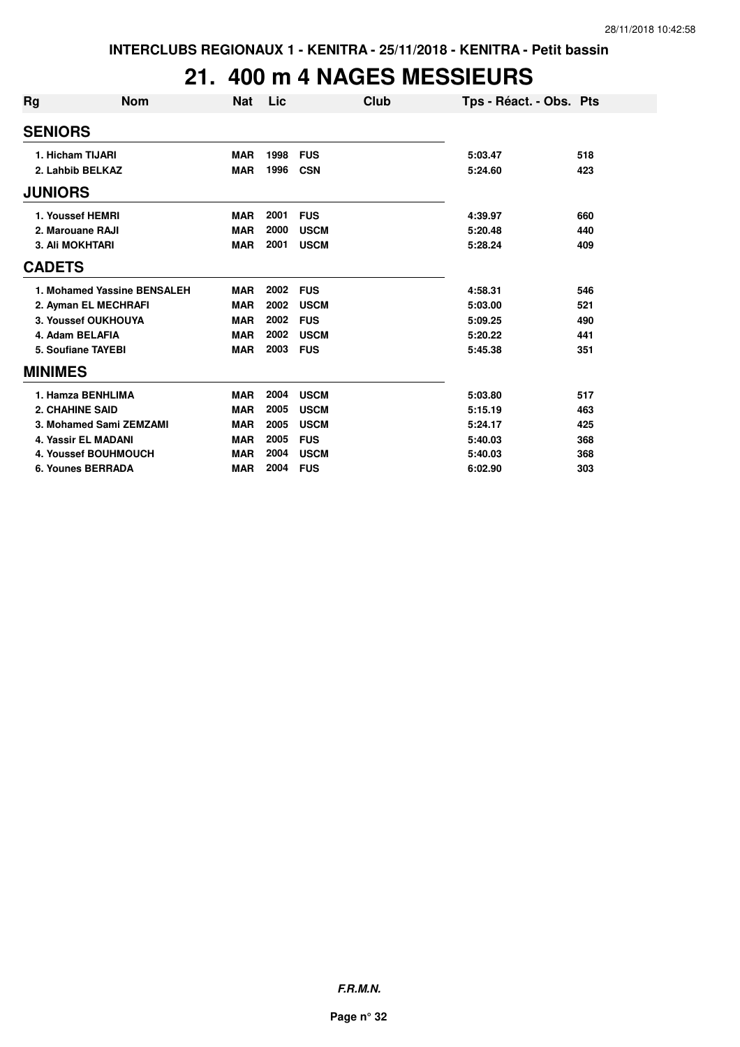## **21. 400 m 4 NAGES MESSIEURS**

| Rg             | <b>Nom</b>                  | <b>Nat</b> | Lic  | Club        | Tps - Réact. - Obs. Pts |     |
|----------------|-----------------------------|------------|------|-------------|-------------------------|-----|
| <b>SENIORS</b> |                             |            |      |             |                         |     |
|                | 1. Hicham TIJARI            | <b>MAR</b> | 1998 | <b>FUS</b>  | 5:03.47                 | 518 |
|                | 2. Lahbib BELKAZ            | <b>MAR</b> | 1996 | <b>CSN</b>  | 5:24.60                 | 423 |
| <b>JUNIORS</b> |                             |            |      |             |                         |     |
|                | 1. Youssef HEMRI            | <b>MAR</b> | 2001 | <b>FUS</b>  | 4:39.97                 | 660 |
|                | 2. Marouane RAJI            | <b>MAR</b> | 2000 | <b>USCM</b> | 5:20.48                 | 440 |
|                | <b>3. Ali MOKHTARI</b>      | <b>MAR</b> | 2001 | <b>USCM</b> | 5:28.24                 | 409 |
| <b>CADETS</b>  |                             |            |      |             |                         |     |
|                | 1. Mohamed Yassine BENSALEH | <b>MAR</b> | 2002 | <b>FUS</b>  | 4:58.31                 | 546 |
|                | 2. Ayman EL MECHRAFI        | <b>MAR</b> | 2002 | <b>USCM</b> | 5:03.00                 | 521 |
|                | 3. Youssef OUKHOUYA         | <b>MAR</b> | 2002 | <b>FUS</b>  | 5:09.25                 | 490 |
|                | 4. Adam BELAFIA             | <b>MAR</b> | 2002 | <b>USCM</b> | 5:20.22                 | 441 |
|                | <b>5. Soufiane TAYEBI</b>   | <b>MAR</b> | 2003 | <b>FUS</b>  | 5:45.38                 | 351 |
| <b>MINIMES</b> |                             |            |      |             |                         |     |
|                | 1. Hamza BENHLIMA           | <b>MAR</b> | 2004 | <b>USCM</b> | 5:03.80                 | 517 |
|                | <b>2. CHAHINE SAID</b>      | <b>MAR</b> | 2005 | <b>USCM</b> | 5:15.19                 | 463 |
|                | 3. Mohamed Sami ZEMZAMI     | <b>MAR</b> | 2005 | <b>USCM</b> | 5:24.17                 | 425 |
|                | <b>4. Yassir EL MADANI</b>  | <b>MAR</b> | 2005 | <b>FUS</b>  | 5:40.03                 | 368 |
|                | 4. Youssef BOUHMOUCH        | <b>MAR</b> | 2004 | <b>USCM</b> | 5:40.03                 | 368 |
|                | <b>6. Younes BERRADA</b>    | <b>MAR</b> | 2004 | <b>FUS</b>  | 6:02.90                 | 303 |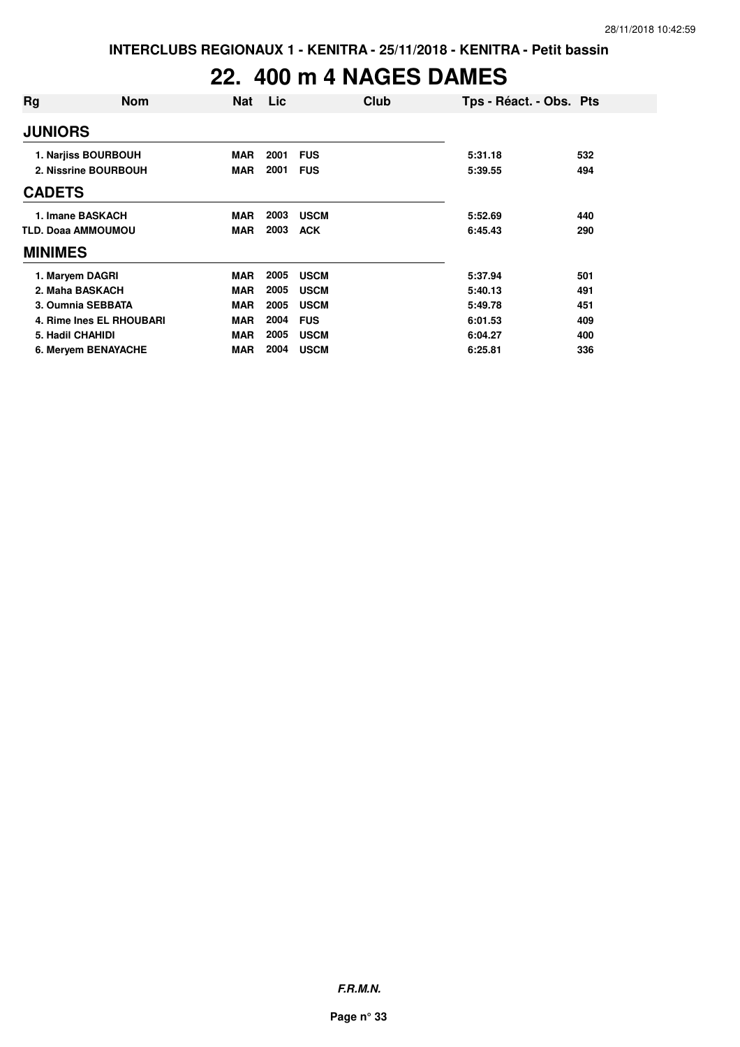## **22. 400 m 4 NAGES DAMES**

| Rg                        | <b>Nom</b>               | <b>Nat</b> | Lic  |             | Club | Tps - Réact. - Obs. Pts |     |
|---------------------------|--------------------------|------------|------|-------------|------|-------------------------|-----|
| <b>JUNIORS</b>            |                          |            |      |             |      |                         |     |
|                           | 1. Narjiss BOURBOUH      | <b>MAR</b> | 2001 | <b>FUS</b>  |      | 5:31.18                 | 532 |
|                           | 2. Nissrine BOURBOUH     | <b>MAR</b> | 2001 | <b>FUS</b>  |      | 5:39.55                 | 494 |
| <b>CADETS</b>             |                          |            |      |             |      |                         |     |
|                           | 1. Imane BASKACH         | <b>MAR</b> | 2003 | <b>USCM</b> |      | 5:52.69                 | 440 |
| <b>TLD. Doaa AMMOUMOU</b> |                          | <b>MAR</b> | 2003 | <b>ACK</b>  |      | 6:45.43                 | 290 |
| <b>MINIMES</b>            |                          |            |      |             |      |                         |     |
| 1. Maryem DAGRI           |                          | <b>MAR</b> | 2005 | <b>USCM</b> |      | 5:37.94                 | 501 |
| 2. Maha BASKACH           |                          | <b>MAR</b> | 2005 | <b>USCM</b> |      | 5:40.13                 | 491 |
|                           | 3. Oumnia SEBBATA        | <b>MAR</b> | 2005 | <b>USCM</b> |      | 5:49.78                 | 451 |
|                           | 4. Rime Ines EL RHOUBARI | <b>MAR</b> | 2004 | <b>FUS</b>  |      | 6:01.53                 | 409 |
| 5. Hadil CHAHIDI          |                          | <b>MAR</b> | 2005 | <b>USCM</b> |      | 6:04.27                 | 400 |
|                           | 6. Meryem BENAYACHE      | <b>MAR</b> | 2004 | <b>USCM</b> |      | 6:25.81                 | 336 |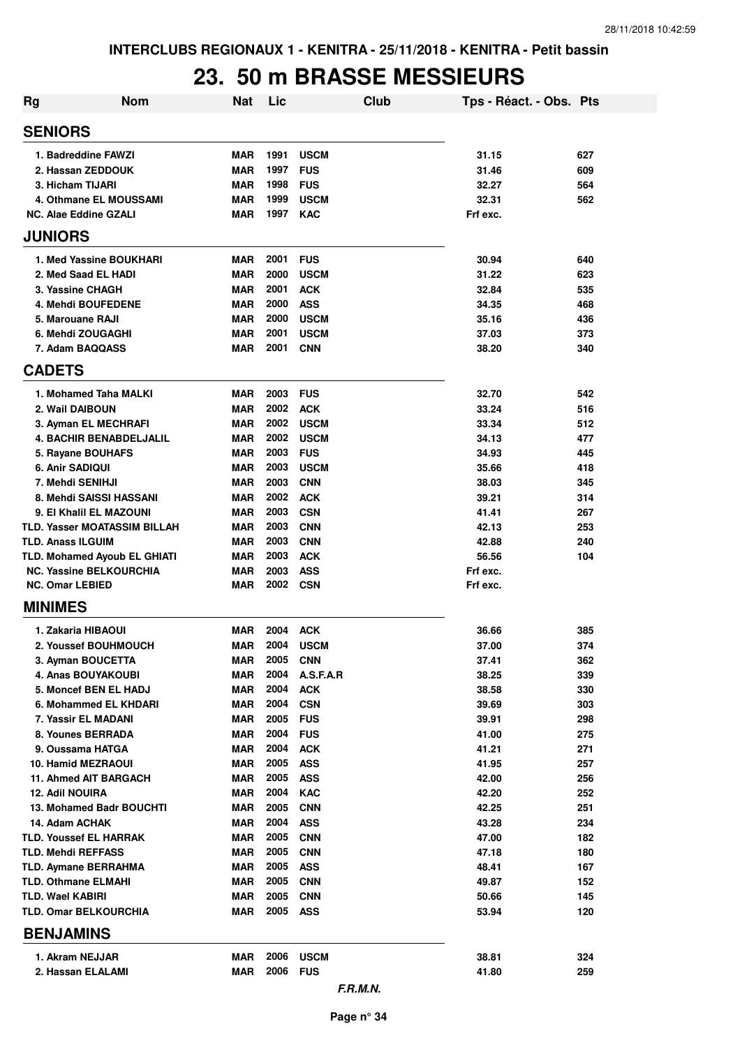#### **23. 50 m BRASSE MESSIEURS**

| <b>Rg</b>                                                | <b>Nom</b> | Nat                      | Lic          |                          | <b>Club</b> | Tps - Réact. - Obs. Pts |            |
|----------------------------------------------------------|------------|--------------------------|--------------|--------------------------|-------------|-------------------------|------------|
| <b>SENIORS</b>                                           |            |                          |              |                          |             |                         |            |
| 1. Badreddine FAWZI                                      |            | <b>MAR</b>               | 1991         | <b>USCM</b>              |             | 31.15                   | 627        |
| 2. Hassan ZEDDOUK                                        |            | <b>MAR</b>               | 1997         | <b>FUS</b>               |             | 31.46                   | 609        |
| 3. Hicham TIJARI                                         |            | <b>MAR</b>               | 1998         | <b>FUS</b>               |             | 32.27                   | 564        |
| 4. Othmane EL MOUSSAMI                                   |            | <b>MAR</b>               | 1999         | <b>USCM</b>              |             | 32.31                   | 562        |
| <b>NC. Alae Eddine GZALI</b>                             |            | <b>MAR</b>               | 1997         | <b>KAC</b>               |             | Frf exc.                |            |
| <b>JUNIORS</b>                                           |            |                          |              |                          |             |                         |            |
| 1. Med Yassine BOUKHARI                                  |            | <b>MAR</b>               | 2001         | <b>FUS</b>               |             | 30.94                   | 640        |
| 2. Med Saad EL HADI                                      |            | <b>MAR</b>               | 2000         | <b>USCM</b>              |             | 31.22                   | 623        |
| 3. Yassine CHAGH                                         |            | <b>MAR</b>               | 2001         | <b>ACK</b>               |             | 32.84                   | 535        |
| 4. Mehdi BOUFEDENE                                       |            | <b>MAR</b>               | 2000         | <b>ASS</b>               |             | 34.35                   | 468        |
| 5. Marouane RAJI                                         |            | <b>MAR</b>               | 2000         | <b>USCM</b>              |             | 35.16                   | 436        |
| 6. Mehdi ZOUGAGHI                                        |            | <b>MAR</b>               | 2001         | <b>USCM</b>              |             | 37.03                   | 373        |
| 7. Adam BAQQASS                                          |            | <b>MAR</b>               | 2001         | <b>CNN</b>               |             | 38.20                   | 340        |
| <b>CADETS</b>                                            |            |                          |              |                          |             |                         |            |
| 1. Mohamed Taha MALKI                                    |            | <b>MAR</b>               | 2003         | <b>FUS</b>               |             | 32.70                   | 542        |
| 2. Wail DAIBOUN                                          |            | <b>MAR</b>               | 2002         | <b>ACK</b>               |             | 33.24                   | 516        |
| 3. Ayman EL MECHRAFI                                     |            | <b>MAR</b>               | 2002         | <b>USCM</b>              |             | 33.34                   | 512        |
| <b>4. BACHIR BENABDELJALIL</b>                           |            | <b>MAR</b>               | 2002         | <b>USCM</b>              |             | 34.13                   | 477        |
| 5. Rayane BOUHAFS                                        |            | <b>MAR</b>               | 2003         | <b>FUS</b>               |             | 34.93                   | 445        |
| 6. Anir SADIQUI                                          |            | <b>MAR</b>               | 2003         | <b>USCM</b>              |             | 35.66                   | 418        |
| 7. Mehdi SENIHJI                                         |            | <b>MAR</b>               | 2003         | <b>CNN</b>               |             | 38.03                   | 345        |
| 8. Mehdi SAISSI HASSANI                                  |            | <b>MAR</b>               | 2002         | <b>ACK</b>               |             | 39.21                   | 314        |
| 9. El Khalil EL MAZOUNI                                  |            | <b>MAR</b>               | 2003         | <b>CSN</b>               |             | 41.41                   | 267        |
| <b>TLD. Yasser MOATASSIM BILLAH</b>                      |            | <b>MAR</b>               | 2003         | <b>CNN</b>               |             | 42.13                   | 253        |
| <b>TLD. Anass ILGUIM</b>                                 |            | <b>MAR</b>               | 2003         | <b>CNN</b>               |             | 42.88                   | 240        |
| TLD. Mohamed Ayoub EL GHIATI                             |            | <b>MAR</b>               | 2003         | <b>ACK</b>               |             | 56.56                   | 104        |
| <b>NC. Yassine BELKOURCHIA</b><br><b>NC. Omar LEBIED</b> |            | <b>MAR</b><br><b>MAR</b> | 2003<br>2002 | <b>ASS</b><br><b>CSN</b> |             | Frf exc.<br>Frf exc.    |            |
| <b>MINIMES</b>                                           |            |                          |              |                          |             |                         |            |
|                                                          |            |                          |              |                          |             |                         |            |
| 1. Zakaria HIBAOUI                                       |            | <b>MAR</b>               | 2004         | <b>ACK</b>               |             | 36.66                   | 385        |
| 2. Youssef BOUHMOUCH<br>3. Ayman BOUCETTA                |            | <b>MAR</b>               | 2004<br>2005 | <b>USCM</b>              |             | 37.00<br>37.41          | 374        |
| 4. Anas BOUYAKOUBI                                       |            | MAR<br>MAR               | 2004         | <b>CNN</b><br>A.S.F.A.R  |             | 38.25                   | 362<br>339 |
| 5. Moncef BEN EL HADJ                                    |            | <b>MAR</b>               | 2004         | <b>ACK</b>               |             | 38.58                   | 330        |
| 6. Mohammed EL KHDARI                                    |            | MAR                      | 2004         | <b>CSN</b>               |             | 39.69                   | 303        |
| 7. Yassir EL MADANI                                      |            | MAR                      | 2005         | <b>FUS</b>               |             | 39.91                   | 298        |
| 8. Younes BERRADA                                        |            | MAR                      | 2004         | <b>FUS</b>               |             | 41.00                   | 275        |
| 9. Oussama HATGA                                         |            | MAR                      | 2004         | <b>ACK</b>               |             | 41.21                   | 271        |
| <b>10. Hamid MEZRAOUI</b>                                |            | MAR                      | 2005         | <b>ASS</b>               |             | 41.95                   | 257        |
| 11. Ahmed AIT BARGACH                                    |            | <b>MAR</b>               | 2005         | <b>ASS</b>               |             | 42.00                   | 256        |
| <b>12. Adil NOUIRA</b>                                   |            | MAR                      | 2004         | <b>KAC</b>               |             | 42.20                   | 252        |
| 13. Mohamed Badr BOUCHTI                                 |            | MAR                      | 2005         | <b>CNN</b>               |             | 42.25                   | 251        |
| 14. Adam ACHAK                                           |            | MAR                      | 2004         | <b>ASS</b>               |             | 43.28                   | 234        |
| <b>TLD. Youssef EL HARRAK</b>                            |            | MAR                      | 2005         | <b>CNN</b>               |             | 47.00                   | 182        |
| <b>TLD. Mehdi REFFASS</b>                                |            | MAR                      | 2005         | <b>CNN</b>               |             | 47.18                   | 180        |
| <b>TLD. Aymane BERRAHMA</b>                              |            | MAR                      | 2005         | <b>ASS</b>               |             | 48.41                   | 167        |
| <b>TLD. Othmane ELMAHI</b>                               |            | MAR                      | 2005         | <b>CNN</b>               |             | 49.87                   | 152        |
| TLD. Wael KABIRI                                         |            | <b>MAR</b>               | 2005         | <b>CNN</b>               |             | 50.66                   | 145        |
| <b>TLD. Omar BELKOURCHIA</b>                             |            | MAR                      | 2005         | <b>ASS</b>               |             | 53.94                   | 120        |
| <b>BENJAMINS</b>                                         |            |                          |              |                          |             |                         |            |
| 1. Akram NEJJAR                                          |            | MAR                      | 2006         | <b>USCM</b>              |             | 38.81                   | 324        |
| 2. Hassan ELALAMI                                        |            | MAR                      | 2006 FUS     |                          |             | 41.80                   | 259        |
|                                                          |            |                          |              | F.R.M.N.                 |             |                         |            |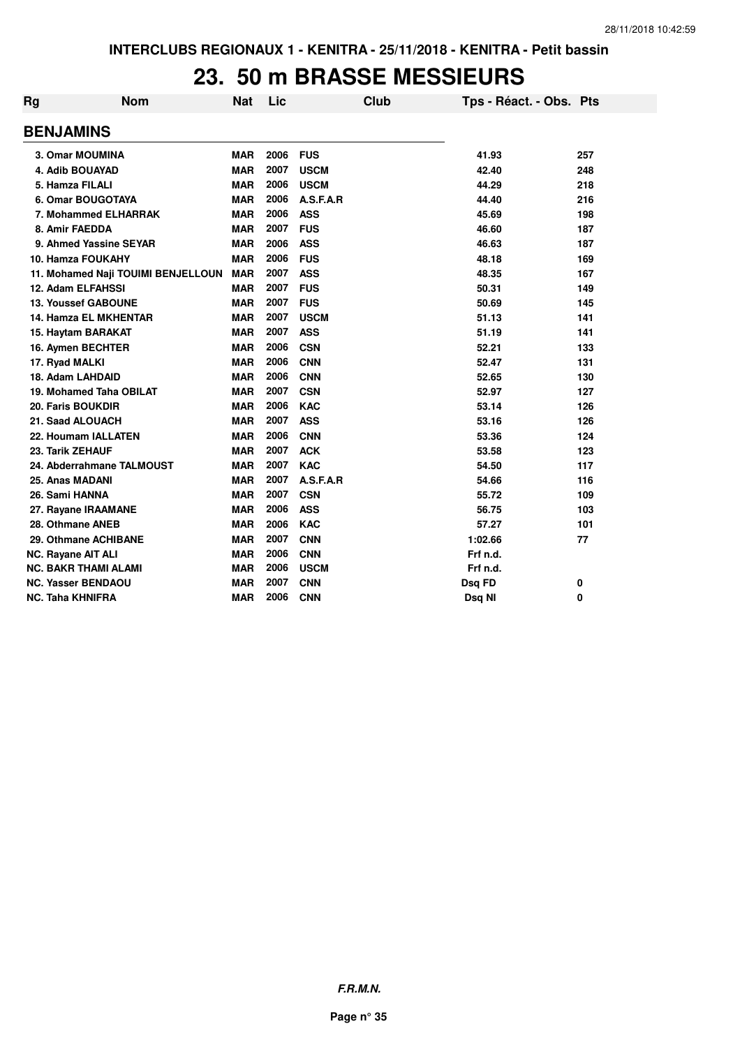#### **23. 50 m BRASSE MESSIEURS**

| Rg | <b>Nom</b>                         | <b>Nat</b> | Lic  |             | <b>Club</b> | Tps - Réact. - Obs. Pts |     |
|----|------------------------------------|------------|------|-------------|-------------|-------------------------|-----|
|    | <b>BENJAMINS</b>                   |            |      |             |             |                         |     |
|    | 3. Omar MOUMINA                    | <b>MAR</b> | 2006 | <b>FUS</b>  |             | 41.93                   | 257 |
|    | 4. Adib BOUAYAD                    | <b>MAR</b> | 2007 | <b>USCM</b> |             | 42.40                   | 248 |
|    | 5. Hamza FILALI                    | <b>MAR</b> | 2006 | <b>USCM</b> |             | 44.29                   | 218 |
|    | 6. Omar BOUGOTAYA                  | <b>MAR</b> | 2006 | A.S.F.A.R   |             | 44.40                   | 216 |
|    | 7. Mohammed ELHARRAK               | <b>MAR</b> | 2006 | <b>ASS</b>  |             | 45.69                   | 198 |
|    | 8. Amir FAEDDA                     | <b>MAR</b> | 2007 | <b>FUS</b>  |             | 46.60                   | 187 |
|    | 9. Ahmed Yassine SEYAR             | <b>MAR</b> | 2006 | <b>ASS</b>  |             | 46.63                   | 187 |
|    | 10. Hamza FOUKAHY                  | <b>MAR</b> | 2006 | <b>FUS</b>  |             | 48.18                   | 169 |
|    | 11. Mohamed Naji TOUIMI BENJELLOUN | <b>MAR</b> | 2007 | <b>ASS</b>  |             | 48.35                   | 167 |
|    | <b>12. Adam ELFAHSSI</b>           | <b>MAR</b> | 2007 | <b>FUS</b>  |             | 50.31                   | 149 |
|    | <b>13. Youssef GABOUNE</b>         | <b>MAR</b> | 2007 | <b>FUS</b>  |             | 50.69                   | 145 |
|    | <b>14. Hamza EL MKHENTAR</b>       | <b>MAR</b> | 2007 | <b>USCM</b> |             | 51.13                   | 141 |
|    | 15. Haytam BARAKAT                 | <b>MAR</b> | 2007 | <b>ASS</b>  |             | 51.19                   | 141 |
|    | 16. Aymen BECHTER                  | <b>MAR</b> | 2006 | <b>CSN</b>  |             | 52.21                   | 133 |
|    | 17. Ryad MALKI                     | <b>MAR</b> | 2006 | <b>CNN</b>  |             | 52.47                   | 131 |
|    | 18. Adam LAHDAID                   | <b>MAR</b> | 2006 | <b>CNN</b>  |             | 52.65                   | 130 |
|    | 19. Mohamed Taha OBILAT            | <b>MAR</b> | 2007 | <b>CSN</b>  |             | 52.97                   | 127 |
|    | 20. Faris BOUKDIR                  | <b>MAR</b> | 2006 | <b>KAC</b>  |             | 53.14                   | 126 |
|    | 21. Saad ALOUACH                   | <b>MAR</b> | 2007 | <b>ASS</b>  |             | 53.16                   | 126 |
|    | 22. Houmam IALLATEN                | <b>MAR</b> | 2006 | <b>CNN</b>  |             | 53.36                   | 124 |
|    | 23. Tarik ZEHAUF                   | <b>MAR</b> | 2007 | <b>ACK</b>  |             | 53.58                   | 123 |
|    | 24. Abderrahmane TALMOUST          | <b>MAR</b> | 2007 | <b>KAC</b>  |             | 54.50                   | 117 |
|    | 25. Anas MADANI                    | <b>MAR</b> | 2007 | A.S.F.A.R   |             | 54.66                   | 116 |
|    | 26. Sami HANNA                     | <b>MAR</b> | 2007 | <b>CSN</b>  |             | 55.72                   | 109 |
|    | 27. Rayane IRAAMANE                | <b>MAR</b> | 2006 | <b>ASS</b>  |             | 56.75                   | 103 |
|    | 28. Othmane ANEB                   | <b>MAR</b> | 2006 | <b>KAC</b>  |             | 57.27                   | 101 |
|    | 29. Othmane ACHIBANE               | <b>MAR</b> | 2007 | <b>CNN</b>  |             | 1:02.66                 | 77  |
|    | <b>NC. Rayane AIT ALI</b>          | <b>MAR</b> | 2006 | <b>CNN</b>  |             | Frf n.d.                |     |
|    | <b>NC. BAKR THAMI ALAMI</b>        | <b>MAR</b> | 2006 | <b>USCM</b> |             | Frf n.d.                |     |
|    | <b>NC. Yasser BENDAOU</b>          | <b>MAR</b> | 2007 | <b>CNN</b>  |             | Dsq FD                  | 0   |
|    | <b>NC. Taha KHNIFRA</b>            | <b>MAR</b> | 2006 | <b>CNN</b>  |             | Dsq NI                  | 0   |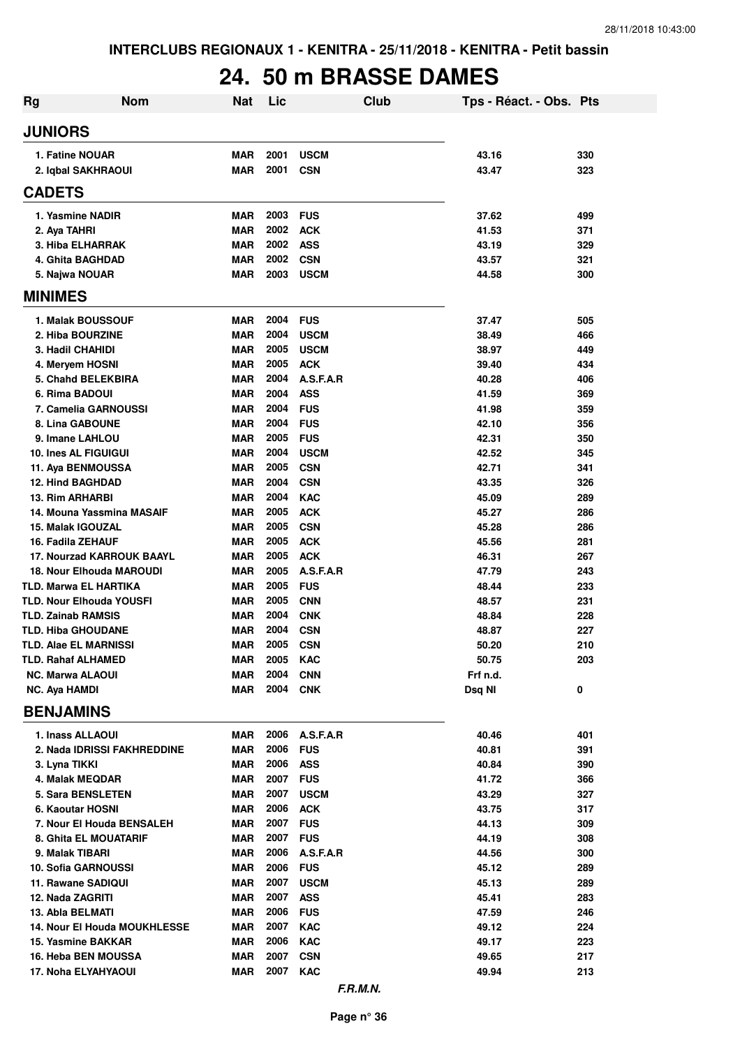# **24. 50 m BRASSE DAMES**

| Rg                                                           | <b>Nom</b> | <b>Nat</b>               | Lic          |                          | Club | Tps - Réact. - Obs. Pts |            |
|--------------------------------------------------------------|------------|--------------------------|--------------|--------------------------|------|-------------------------|------------|
| <b>JUNIORS</b>                                               |            |                          |              |                          |      |                         |            |
| 1. Fatine NOUAR                                              |            | <b>MAR</b>               | 2001         | <b>USCM</b>              |      | 43.16                   | 330        |
| 2. Iqbal SAKHRAOUI                                           |            | MAR                      | 2001         | <b>CSN</b>               |      | 43.47                   | 323        |
| <b>CADETS</b>                                                |            |                          |              |                          |      |                         |            |
| 1. Yasmine NADIR                                             |            | <b>MAR</b>               | 2003         | <b>FUS</b>               |      | 37.62                   | 499        |
| 2. Aya TAHRI                                                 |            | <b>MAR</b>               | 2002         | <b>ACK</b>               |      | 41.53                   | 371        |
| 3. Hiba ELHARRAK                                             |            | <b>MAR</b>               | 2002         | <b>ASS</b>               |      | 43.19                   | 329        |
| 4. Ghita BAGHDAD                                             |            | <b>MAR</b>               | 2002         | <b>CSN</b>               |      | 43.57                   | 321        |
| 5. Najwa NOUAR                                               |            | MAR                      | 2003         | <b>USCM</b>              |      | 44.58                   | 300        |
| <b>MINIMES</b>                                               |            |                          |              |                          |      |                         |            |
| 1. Malak BOUSSOUF                                            |            | <b>MAR</b>               | 2004         | <b>FUS</b>               |      | 37.47                   | 505        |
| 2. Hiba BOURZINE                                             |            | <b>MAR</b>               | 2004         | <b>USCM</b>              |      | 38.49                   | 466        |
| 3. Hadil CHAHIDI                                             |            | <b>MAR</b>               | 2005         | <b>USCM</b>              |      | 38.97                   | 449        |
| 4. Meryem HOSNI                                              |            | <b>MAR</b>               | 2005         | <b>ACK</b>               |      | 39.40                   | 434        |
| 5. Chahd BELEKBIRA                                           |            | <b>MAR</b>               | 2004         | A.S.F.A.R                |      | 40.28                   | 406        |
| 6. Rima BADOUI<br>7. Camelia GARNOUSSI                       |            | <b>MAR</b><br><b>MAR</b> | 2004<br>2004 | <b>ASS</b><br><b>FUS</b> |      | 41.59<br>41.98          | 369<br>359 |
| 8. Lina GABOUNE                                              |            | <b>MAR</b>               | 2004         | <b>FUS</b>               |      | 42.10                   | 356        |
| 9. Imane LAHLOU                                              |            | <b>MAR</b>               | 2005         | <b>FUS</b>               |      | 42.31                   | 350        |
| <b>10. Ines AL FIGUIGUI</b>                                  |            | <b>MAR</b>               | 2004         | <b>USCM</b>              |      | 42.52                   | 345        |
| 11. Aya BENMOUSSA                                            |            | <b>MAR</b>               | 2005         | <b>CSN</b>               |      | 42.71                   | 341        |
| <b>12. Hind BAGHDAD</b>                                      |            | <b>MAR</b>               | 2004         | <b>CSN</b>               |      | 43.35                   | 326        |
| 13. Rim ARHARBI                                              |            | <b>MAR</b>               | 2004         | <b>KAC</b>               |      | 45.09                   | 289        |
| 14. Mouna Yassmina MASAIF                                    |            | <b>MAR</b>               | 2005         | <b>ACK</b>               |      | 45.27                   | 286        |
| 15. Malak IGOUZAL                                            |            | <b>MAR</b>               | 2005         | <b>CSN</b>               |      | 45.28                   | 286        |
| 16. Fadila ZEHAUF                                            |            | <b>MAR</b>               | 2005         | <b>ACK</b>               |      | 45.56                   | 281        |
| <b>17. Nourzad KARROUK BAAYL</b>                             |            | <b>MAR</b>               | 2005         | <b>ACK</b>               |      | 46.31                   | 267        |
| <b>18. Nour Elhouda MAROUDI</b>                              |            | <b>MAR</b>               | 2005         | A.S.F.A.R                |      | 47.79                   | 243        |
| TLD. Marwa EL HARTIKA                                        |            | <b>MAR</b>               | 2005         | <b>FUS</b>               |      | 48.44                   | 233        |
| <b>TLD. Nour Elhouda YOUSFI</b><br><b>TLD. Zainab RAMSIS</b> |            | <b>MAR</b><br><b>MAR</b> | 2005<br>2004 | <b>CNN</b>               |      | 48.57                   | 231<br>228 |
| <b>TLD. Hiba GHOUDANE</b>                                    |            | <b>MAR</b>               | 2004         | <b>CNK</b><br><b>CSN</b> |      | 48.84<br>48.87          | 227        |
| <b>TLD. Alae EL MARNISSI</b>                                 |            | <b>MAR</b>               | 2005         | <b>CSN</b>               |      | 50.20                   | 210        |
| <b>TLD. Rahaf ALHAMED</b>                                    |            | MAR                      | 2005         | <b>KAC</b>               |      | 50.75                   | 203        |
| <b>NC. Marwa ALAOUI</b>                                      |            | <b>MAR</b>               | 2004         | <b>CNN</b>               |      | Frf n.d.                |            |
| <b>NC. Aya HAMDI</b>                                         |            | MAR                      | 2004         | <b>CNK</b>               |      | Dsq NI                  | 0          |
| <b>BENJAMINS</b>                                             |            |                          |              |                          |      |                         |            |
| 1. Inass ALLAOUI                                             |            | MAR                      | 2006         | A.S.F.A.R                |      | 40.46                   | 401        |
| 2. Nada IDRISSI FAKHREDDINE                                  |            | MAR                      | 2006         | <b>FUS</b>               |      | 40.81                   | 391        |
| 3. Lyna TIKKI                                                |            | MAR                      | 2006         | <b>ASS</b>               |      | 40.84                   | 390        |
| 4. Malak MEQDAR                                              |            | MAR                      | 2007         | <b>FUS</b>               |      | 41.72                   | 366        |
| 5. Sara BENSLETEN                                            |            | MAR                      | 2007         | <b>USCM</b>              |      | 43.29                   | 327        |
| 6. Kaoutar HOSNI                                             |            | MAR                      | 2006         | <b>ACK</b>               |      | 43.75                   | 317        |
| 7. Nour El Houda BENSALEH                                    |            | <b>MAR</b>               | 2007         | <b>FUS</b>               |      | 44.13                   | 309        |
| 8. Ghita EL MOUATARIF                                        |            | <b>MAR</b>               | 2007         | <b>FUS</b>               |      | 44.19                   | 308        |
| 9. Malak TIBARI<br><b>10. Sofia GARNOUSSI</b>                |            | <b>MAR</b><br><b>MAR</b> | 2006<br>2006 | A.S.F.A.R<br><b>FUS</b>  |      | 44.56<br>45.12          | 300<br>289 |
| 11. Rawane SADIQUI                                           |            | <b>MAR</b>               | 2007         | <b>USCM</b>              |      | 45.13                   | 289        |
| 12. Nada ZAGRITI                                             |            | MAR                      | 2007         | <b>ASS</b>               |      | 45.41                   | 283        |
| 13. Abla BELMATI                                             |            | MAR                      | 2006         | <b>FUS</b>               |      | 47.59                   | 246        |
| <b>14. Nour El Houda MOUKHLESSE</b>                          |            | MAR                      | 2007         | <b>KAC</b>               |      | 49.12                   | 224        |
| 15. Yasmine BAKKAR                                           |            | MAR                      | 2006         | <b>KAC</b>               |      | 49.17                   | 223        |
| 16. Heba BEN MOUSSA                                          |            | MAR                      | 2007         | <b>CSN</b>               |      | 49.65                   | 217        |
| <b>17. Noha ELYAHYAOUI</b>                                   |            | MAR                      | 2007         | <b>KAC</b>               |      | 49.94                   | 213        |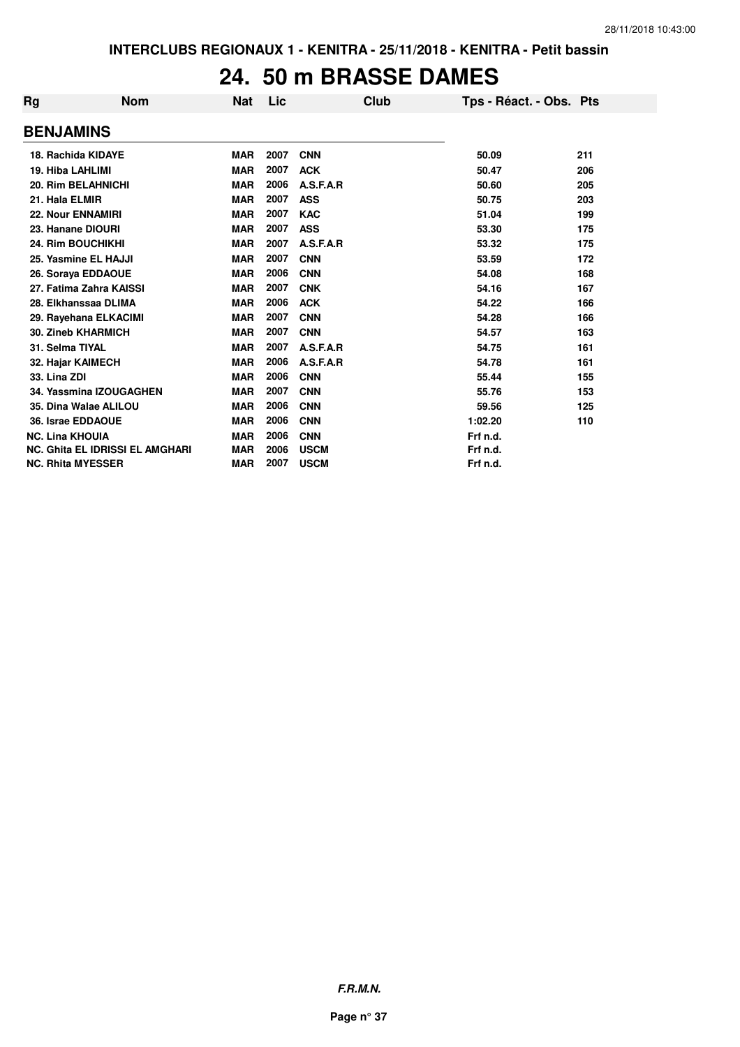## **24. 50 m BRASSE DAMES**

| Rg                     | <b>Nom</b>                             | Nat        | Lic  | Club        | Tps - Réact. - Obs. Pts |     |
|------------------------|----------------------------------------|------------|------|-------------|-------------------------|-----|
| <b>BENJAMINS</b>       |                                        |            |      |             |                         |     |
|                        | 18. Rachida KIDAYE                     | <b>MAR</b> | 2007 | <b>CNN</b>  | 50.09                   | 211 |
| 19. Hiba LAHLIMI       |                                        | <b>MAR</b> | 2007 | <b>ACK</b>  | 50.47                   | 206 |
|                        | 20. Rim BELAHNICHI                     | <b>MAR</b> | 2006 | A.S.F.A.R   | 50.60                   | 205 |
| 21. Hala ELMIR         |                                        | <b>MAR</b> | 2007 | <b>ASS</b>  | 50.75                   | 203 |
|                        | <b>22. Nour ENNAMIRI</b>               | <b>MAR</b> | 2007 | <b>KAC</b>  | 51.04                   | 199 |
|                        | 23. Hanane DIOURI                      | <b>MAR</b> | 2007 | <b>ASS</b>  | 53.30                   | 175 |
|                        | 24. Rim BOUCHIKHI                      | <b>MAR</b> | 2007 | A.S.F.A.R   | 53.32                   | 175 |
|                        | 25. Yasmine EL HAJJI                   | <b>MAR</b> | 2007 | <b>CNN</b>  | 53.59                   | 172 |
|                        | 26. Soraya EDDAOUE                     | <b>MAR</b> | 2006 | <b>CNN</b>  | 54.08                   | 168 |
|                        | 27. Fatima Zahra KAISSI                | <b>MAR</b> | 2007 | <b>CNK</b>  | 54.16                   | 167 |
|                        | 28. Elkhanssaa DLIMA                   | <b>MAR</b> | 2006 | <b>ACK</b>  | 54.22                   | 166 |
|                        | 29. Rayehana ELKACIMI                  | <b>MAR</b> | 2007 | <b>CNN</b>  | 54.28                   | 166 |
|                        | <b>30. Zineb KHARMICH</b>              | <b>MAR</b> | 2007 | <b>CNN</b>  | 54.57                   | 163 |
| 31. Selma TIYAL        |                                        | <b>MAR</b> | 2007 | A.S.F.A.R   | 54.75                   | 161 |
|                        | 32. Hajar KAIMECH                      | <b>MAR</b> | 2006 | A.S.F.A.R   | 54.78                   | 161 |
| 33. Lina ZDI           |                                        | <b>MAR</b> | 2006 | <b>CNN</b>  | 55.44                   | 155 |
|                        | 34. Yassmina IZOUGAGHEN                | <b>MAR</b> | 2007 | <b>CNN</b>  | 55.76                   | 153 |
|                        | 35. Dina Walae ALILOU                  | <b>MAR</b> | 2006 | <b>CNN</b>  | 59.56                   | 125 |
|                        | 36. Israe EDDAOUE                      | <b>MAR</b> | 2006 | <b>CNN</b>  | 1:02.20                 | 110 |
| <b>NC. Lina KHOUIA</b> |                                        | <b>MAR</b> | 2006 | <b>CNN</b>  | Frf n.d.                |     |
|                        | <b>NC. Ghita EL IDRISSI EL AMGHARI</b> | <b>MAR</b> | 2006 | <b>USCM</b> | Frf n.d.                |     |
|                        | <b>NC. Rhita MYESSER</b>               | <b>MAR</b> | 2007 | <b>USCM</b> | Frf n.d.                |     |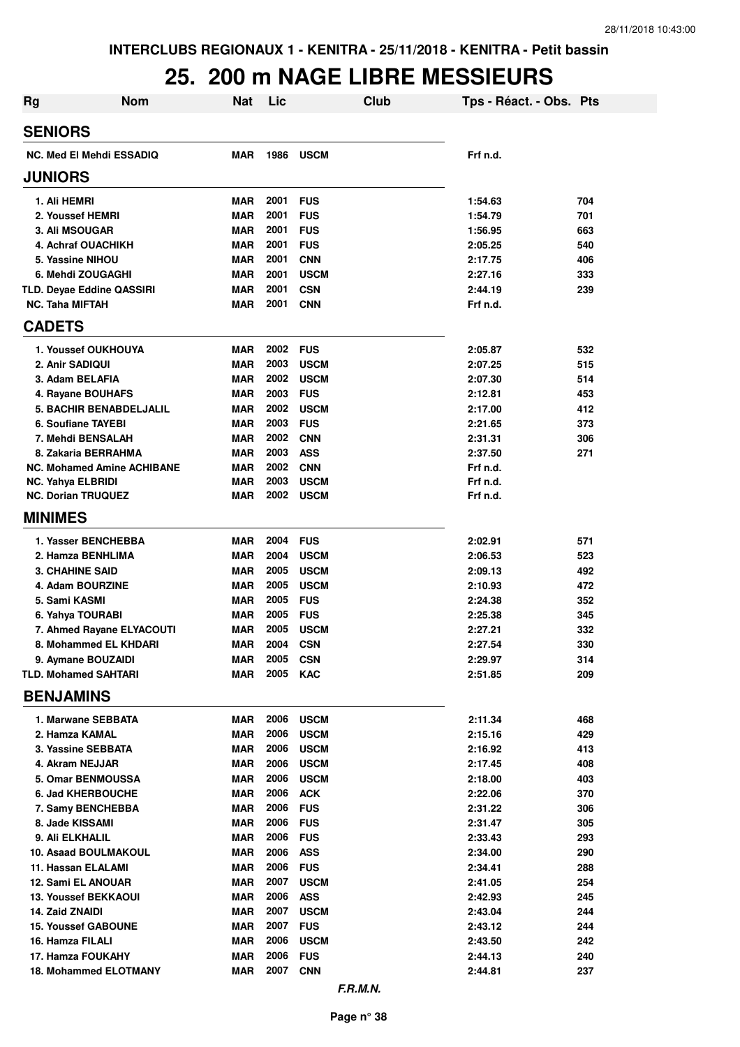## **25. 200 m NAGE LIBRE MESSIEURS**

| <b>Rg</b>                                             | <b>Nom</b> | <b>Nat</b>               | Lic          | Club                       | Tps - Réact. - Obs. Pts |            |
|-------------------------------------------------------|------------|--------------------------|--------------|----------------------------|-------------------------|------------|
| <b>SENIORS</b>                                        |            |                          |              |                            |                         |            |
| <b>NC. Med El Mehdi ESSADIQ</b>                       |            | <b>MAR</b>               | 1986         | <b>USCM</b>                | Frf n.d.                |            |
| <b>JUNIORS</b>                                        |            |                          |              |                            |                         |            |
| 1. Ali HEMRI                                          |            | <b>MAR</b>               | 2001         | <b>FUS</b>                 | 1:54.63                 | 704        |
| 2. Youssef HEMRI                                      |            | <b>MAR</b>               | 2001         | <b>FUS</b>                 | 1:54.79                 | 701        |
| 3. Ali MSOUGAR                                        |            | <b>MAR</b>               | 2001         | <b>FUS</b>                 | 1:56.95                 | 663        |
| <b>4. Achraf OUACHIKH</b>                             |            | <b>MAR</b>               | 2001         | <b>FUS</b>                 | 2:05.25                 | 540        |
| 5. Yassine NIHOU                                      |            | <b>MAR</b>               | 2001         | <b>CNN</b>                 | 2:17.75                 | 406        |
| 6. Mehdi ZOUGAGHI                                     |            | <b>MAR</b>               | 2001         | <b>USCM</b>                | 2:27.16                 | 333        |
| <b>TLD. Deyae Eddine QASSIRI</b>                      |            | <b>MAR</b>               | 2001         | <b>CSN</b>                 | 2:44.19                 | 239        |
| <b>NC. Taha MIFTAH</b>                                |            | <b>MAR</b>               | 2001         | <b>CNN</b>                 | Frf n.d.                |            |
| <b>CADETS</b>                                         |            |                          |              |                            |                         |            |
| 1. Youssef OUKHOUYA                                   |            | <b>MAR</b>               | 2002         | <b>FUS</b>                 | 2:05.87                 | 532        |
| 2. Anir SADIQUI                                       |            | <b>MAR</b>               | 2003         | <b>USCM</b>                | 2:07.25                 | 515        |
| 3. Adam BELAFIA                                       |            | <b>MAR</b>               | 2002         | <b>USCM</b>                | 2:07.30                 | 514        |
| 4. Rayane BOUHAFS                                     |            | <b>MAR</b>               | 2003         | <b>FUS</b>                 | 2:12.81                 | 453        |
| <b>5. BACHIR BENABDELJALIL</b>                        |            | <b>MAR</b>               | 2002         | <b>USCM</b>                | 2:17.00                 | 412        |
| 6. Soufiane TAYEBI                                    |            | <b>MAR</b>               | 2003         | <b>FUS</b>                 | 2:21.65                 | 373        |
| 7. Mehdi BENSALAH                                     |            | <b>MAR</b>               | 2002         | <b>CNN</b>                 | 2:31.31                 | 306        |
| 8. Zakaria BERRAHMA                                   |            | <b>MAR</b>               | 2003         | <b>ASS</b>                 | 2:37.50                 | 271        |
| <b>NC. Mohamed Amine ACHIBANE</b>                     |            | <b>MAR</b>               | 2002         | <b>CNN</b>                 | Frf n.d.                |            |
| <b>NC. Yahya ELBRIDI</b><br><b>NC. Dorian TRUQUEZ</b> |            | <b>MAR</b><br><b>MAR</b> | 2003<br>2002 | <b>USCM</b><br><b>USCM</b> | Frf n.d.<br>Frf n.d.    |            |
|                                                       |            |                          |              |                            |                         |            |
| <b>MINIMES</b>                                        |            |                          |              |                            |                         |            |
| 1. Yasser BENCHEBBA                                   |            | <b>MAR</b>               | 2004         | <b>FUS</b>                 | 2:02.91                 | 571        |
| 2. Hamza BENHLIMA                                     |            | <b>MAR</b>               | 2004         | <b>USCM</b>                | 2:06.53                 | 523        |
| <b>3. CHAHINE SAID</b>                                |            | <b>MAR</b>               | 2005         | <b>USCM</b>                | 2:09.13                 | 492        |
| 4. Adam BOURZINE                                      |            | <b>MAR</b>               | 2005         | <b>USCM</b>                | 2:10.93                 | 472        |
| 5. Sami KASMI                                         |            | <b>MAR</b>               | 2005         | <b>FUS</b>                 | 2:24.38                 | 352        |
| 6. Yahya TOURABI                                      |            | <b>MAR</b>               | 2005         | <b>FUS</b>                 | 2:25.38                 | 345        |
| 7. Ahmed Rayane ELYACOUTI                             |            | <b>MAR</b>               | 2005         | <b>USCM</b>                | 2:27.21                 | 332        |
| 8. Mohammed EL KHDARI                                 |            | <b>MAR</b>               | 2004         | <b>CSN</b>                 | 2:27.54                 | 330        |
| 9. Aymane BOUZAIDI                                    |            | <b>MAR</b>               | 2005         | <b>CSN</b>                 | 2:29.97                 | 314        |
| <b>TLD. Mohamed SAHTARI</b>                           |            | <b>MAR</b>               | 2005         | <b>KAC</b>                 | 2:51.85                 | 209        |
| <b>BENJAMINS</b>                                      |            |                          |              |                            |                         |            |
| 1. Marwane SEBBATA                                    |            | <b>MAR</b>               | 2006         | <b>USCM</b>                | 2:11.34                 | 468        |
| 2. Hamza KAMAL                                        |            | <b>MAR</b>               | 2006         | <b>USCM</b>                | 2:15.16                 | 429        |
| 3. Yassine SEBBATA                                    |            | <b>MAR</b>               | 2006         | <b>USCM</b>                | 2:16.92                 | 413        |
| 4. Akram NEJJAR                                       |            | <b>MAR</b>               | 2006         | <b>USCM</b>                | 2:17.45                 | 408        |
| <b>5. Omar BENMOUSSA</b>                              |            | <b>MAR</b>               | 2006         | <b>USCM</b>                | 2:18.00                 | 403        |
| <b>6. Jad KHERBOUCHE</b>                              |            | <b>MAR</b>               | 2006         | <b>ACK</b>                 | 2:22.06                 | 370        |
| 7. Samy BENCHEBBA                                     |            | <b>MAR</b>               | 2006         | <b>FUS</b>                 | 2:31.22                 | 306        |
| 8. Jade KISSAMI                                       |            | <b>MAR</b>               | 2006         | <b>FUS</b>                 | 2:31.47                 | 305        |
| 9. Ali ELKHALIL                                       |            | <b>MAR</b>               | 2006         | <b>FUS</b>                 | 2:33.43                 | 293        |
| 10. Asaad BOULMAKOUL                                  |            | <b>MAR</b>               | 2006         | <b>ASS</b>                 | 2:34.00                 | 290        |
| 11. Hassan ELALAMI                                    |            | <b>MAR</b>               | 2006         | <b>FUS</b>                 | 2:34.41                 | 288        |
| 12. Sami EL ANOUAR                                    |            | <b>MAR</b>               | 2007         | <b>USCM</b>                | 2:41.05                 | 254        |
| <b>13. Youssef BEKKAOUI</b>                           |            | <b>MAR</b>               | 2006<br>2007 | <b>ASS</b>                 | 2:42.93                 | 245        |
| <b>14. Zaid ZNAIDI</b>                                |            | <b>MAR</b>               |              | <b>USCM</b>                | 2:43.04                 | 244        |
| <b>15. Youssef GABOUNE</b>                            |            | <b>MAR</b>               | 2007<br>2006 | <b>FUS</b>                 | 2:43.12                 | 244        |
| 16. Hamza FILALI                                      |            | <b>MAR</b>               | 2006         | <b>USCM</b>                | 2:43.50                 | 242        |
| 17. Hamza FOUKAHY<br>18. Mohammed ELOTMANY            |            | <b>MAR</b><br>MAR        | 2007         | <b>FUS</b><br><b>CNN</b>   | 2:44.13<br>2:44.81      | 240<br>237 |
|                                                       |            |                          |              |                            |                         |            |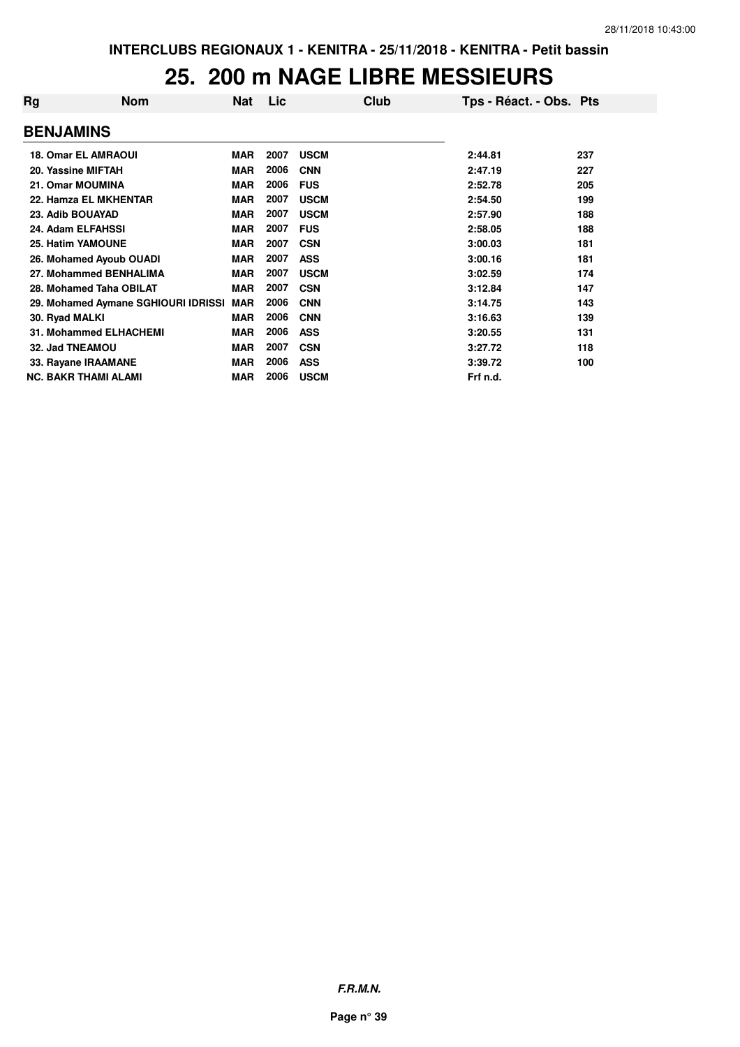#### **25. 200 m NAGE LIBRE MESSIEURS**

| Rg | <b>Nom</b>                          | <b>Nat</b> | Lic  |             | Club | Tps - Réact. - Obs. Pts |     |
|----|-------------------------------------|------------|------|-------------|------|-------------------------|-----|
|    | <b>BENJAMINS</b>                    |            |      |             |      |                         |     |
|    | <b>18. Omar EL AMRAOUI</b>          | <b>MAR</b> | 2007 | <b>USCM</b> |      | 2:44.81                 | 237 |
|    | 20. Yassine MIFTAH                  | <b>MAR</b> | 2006 | <b>CNN</b>  |      | 2:47.19                 | 227 |
|    | 21. Omar MOUMINA                    | <b>MAR</b> | 2006 | <b>FUS</b>  |      | 2:52.78                 | 205 |
|    | 22. Hamza EL MKHENTAR               | <b>MAR</b> | 2007 | <b>USCM</b> |      | 2:54.50                 | 199 |
|    | 23. Adib BOUAYAD                    | <b>MAR</b> | 2007 | <b>USCM</b> |      | 2:57.90                 | 188 |
|    | 24. Adam ELFAHSSI                   | <b>MAR</b> | 2007 | <b>FUS</b>  |      | 2:58.05                 | 188 |
|    | <b>25. Hatim YAMOUNE</b>            | <b>MAR</b> | 2007 | <b>CSN</b>  |      | 3:00.03                 | 181 |
|    | 26. Mohamed Ayoub OUADI             | <b>MAR</b> | 2007 | <b>ASS</b>  |      | 3:00.16                 | 181 |
|    | 27. Mohammed BENHALIMA              | <b>MAR</b> | 2007 | <b>USCM</b> |      | 3:02.59                 | 174 |
|    | 28. Mohamed Taha OBILAT             | <b>MAR</b> | 2007 | <b>CSN</b>  |      | 3:12.84                 | 147 |
|    | 29. Mohamed Aymane SGHIOURI IDRISSI | <b>MAR</b> | 2006 | <b>CNN</b>  |      | 3:14.75                 | 143 |
|    | 30. Ryad MALKI                      | <b>MAR</b> | 2006 | <b>CNN</b>  |      | 3:16.63                 | 139 |
|    | <b>31. Mohammed ELHACHEMI</b>       | <b>MAR</b> | 2006 | <b>ASS</b>  |      | 3:20.55                 | 131 |
|    | 32. Jad TNEAMOU                     | <b>MAR</b> | 2007 | <b>CSN</b>  |      | 3:27.72                 | 118 |
|    | 33. Rayane IRAAMANE                 | <b>MAR</b> | 2006 | <b>ASS</b>  |      | 3:39.72                 | 100 |
|    | <b>NC. BAKR THAMI ALAMI</b>         | <b>MAR</b> | 2006 | <b>USCM</b> |      | Frf n.d.                |     |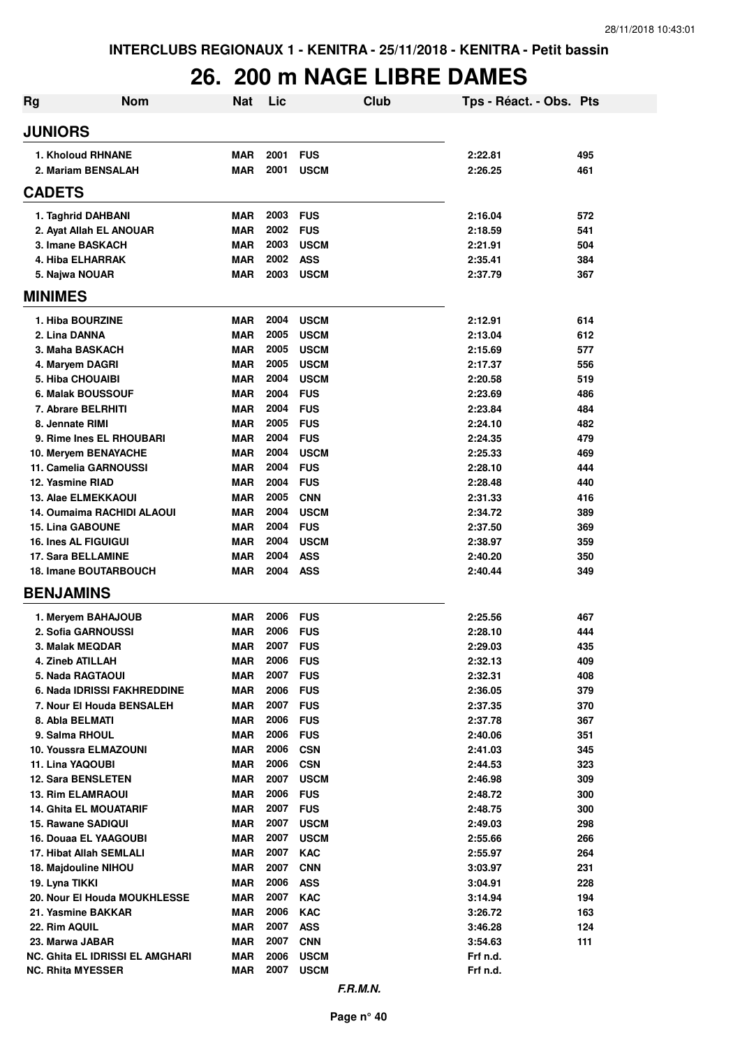## **26. 200 m NAGE LIBRE DAMES**

| Rg                                        | <b>Nom</b>                      | <b>Nat</b>               | Lic          | Club                      | Tps - Réact. - Obs. Pts |            |
|-------------------------------------------|---------------------------------|--------------------------|--------------|---------------------------|-------------------------|------------|
| <b>JUNIORS</b>                            |                                 |                          |              |                           |                         |            |
| 1. Kholoud RHNANE                         |                                 | <b>MAR</b>               | 2001         | <b>FUS</b>                | 2:22.81                 | 495        |
| 2. Mariam BENSALAH                        |                                 | MAR                      | 2001         | <b>USCM</b>               | 2:26.25                 | 461        |
| <b>CADETS</b>                             |                                 |                          |              |                           |                         |            |
| 1. Taghrid DAHBANI                        |                                 | <b>MAR</b>               | 2003         | <b>FUS</b>                | 2:16.04                 | 572        |
|                                           | 2. Ayat Allah EL ANOUAR         | <b>MAR</b>               | 2002         | <b>FUS</b>                | 2:18.59                 | 541        |
| 3. Imane BASKACH                          |                                 | <b>MAR</b>               | 2003         | <b>USCM</b>               | 2:21.91                 | 504        |
| 4. Hiba ELHARRAK                          |                                 | <b>MAR</b>               | 2002         | <b>ASS</b>                | 2:35.41                 | 384        |
| 5. Najwa NOUAR                            |                                 | MAR                      | 2003         | <b>USCM</b>               | 2:37.79                 | 367        |
| <b>MINIMES</b>                            |                                 |                          |              |                           |                         |            |
| 1. Hiba BOURZINE                          |                                 | <b>MAR</b>               | 2004         | <b>USCM</b>               | 2:12.91                 | 614        |
| 2. Lina DANNA                             |                                 | <b>MAR</b>               | 2005         | <b>USCM</b>               | 2:13.04                 | 612        |
| 3. Maha BASKACH                           |                                 | <b>MAR</b>               | 2005         | <b>USCM</b>               | 2:15.69                 | 577        |
| 4. Maryem DAGRI                           |                                 | <b>MAR</b>               | 2005         | <b>USCM</b>               | 2:17.37                 | 556        |
| <b>5. Hiba CHOUAIBI</b>                   |                                 | <b>MAR</b>               | 2004         | <b>USCM</b>               | 2:20.58                 | 519        |
| <b>6. Malak BOUSSOUF</b>                  |                                 | <b>MAR</b>               | 2004         | <b>FUS</b>                | 2:23.69                 | 486        |
| 7. Abrare BELRHITI                        |                                 | <b>MAR</b>               | 2004         | <b>FUS</b>                | 2:23.84                 | 484        |
| 8. Jennate RIMI                           |                                 | <b>MAR</b>               | 2005         | <b>FUS</b>                | 2:24.10                 | 482        |
|                                           | 9. Rime Ines EL RHOUBARI        | <b>MAR</b>               | 2004         | <b>FUS</b>                | 2:24.35                 | 479        |
| 10. Meryem BENAYACHE                      |                                 | <b>MAR</b>               | 2004         | <b>USCM</b>               | 2:25.33                 | 469        |
| 11. Camelia GARNOUSSI<br>12. Yasmine RIAD |                                 | <b>MAR</b><br><b>MAR</b> | 2004<br>2004 | <b>FUS</b><br><b>FUS</b>  | 2:28.10                 | 444<br>440 |
| <b>13. Alae ELMEKKAOUI</b>                |                                 | <b>MAR</b>               | 2005         | <b>CNN</b>                | 2:28.48<br>2:31.33      | 416        |
|                                           | 14. Oumaima RACHIDI ALAOUI      | <b>MAR</b>               | 2004         | <b>USCM</b>               | 2:34.72                 | 389        |
| <b>15. Lina GABOUNE</b>                   |                                 | <b>MAR</b>               | 2004         | <b>FUS</b>                | 2:37.50                 | 369        |
| <b>16. Ines AL FIGUIGUI</b>               |                                 | <b>MAR</b>               | 2004         | <b>USCM</b>               | 2:38.97                 | 359        |
| <b>17. Sara BELLAMINE</b>                 |                                 | <b>MAR</b>               | 2004         | <b>ASS</b>                | 2:40.20                 | 350        |
|                                           | <b>18. Imane BOUTARBOUCH</b>    | <b>MAR</b>               | 2004         | <b>ASS</b>                | 2:40.44                 | 349        |
| <b>BENJAMINS</b>                          |                                 |                          |              |                           |                         |            |
| 1. Meryem BAHAJOUB                        |                                 | <b>MAR</b>               | 2006         | <b>FUS</b>                | 2:25.56                 | 467        |
| 2. Sofia GARNOUSSI                        |                                 | <b>MAR</b>               | 2006         | <b>FUS</b>                | 2:28.10                 | 444        |
| 3. Malak MEQDAR                           |                                 | MAR                      | 2007         | <b>FUS</b>                | 2:29.03                 | 435        |
| <b>4. Zineb ATILLAH</b>                   |                                 | <b>MAR</b>               | 2006         | <b>FUS</b>                | 2:32.13                 | 409        |
| <b>5. Nada RAGTAOUI</b>                   |                                 | <b>MAR</b>               | 2007         | <b>FUS</b>                | 2:32.31                 | 408        |
|                                           | 6. Nada IDRISSI FAKHREDDINE     | MAR                      | 2006         | <b>FUS</b>                | 2:36.05                 | 379        |
|                                           | 7. Nour El Houda BENSALEH       | <b>MAR</b>               | 2007         | <b>FUS</b>                | 2:37.35                 | 370        |
| 8. Abla BELMATI                           |                                 | <b>MAR</b>               | 2006         | <b>FUS</b>                | 2:37.78                 | 367        |
| 9. Salma RHOUL                            |                                 | <b>MAR</b>               | 2006         | <b>FUS</b>                | 2:40.06                 | 351        |
| 10. Youssra ELMAZOUNI<br>11. Lina YAQOUBI |                                 | <b>MAR</b><br><b>MAR</b> | 2006<br>2006 | <b>CSN</b>                | 2:41.03                 | 345<br>323 |
| <b>12. Sara BENSLETEN</b>                 |                                 | <b>MAR</b>               | 2007         | <b>CSN</b><br><b>USCM</b> | 2:44.53<br>2:46.98      | 309        |
| <b>13. Rim ELAMRAOUI</b>                  |                                 | <b>MAR</b>               | 2006         | <b>FUS</b>                | 2:48.72                 | 300        |
| <b>14. Ghita EL MOUATARIF</b>             |                                 | <b>MAR</b>               | 2007         | <b>FUS</b>                | 2:48.75                 | 300        |
| 15. Rawane SADIQUI                        |                                 | <b>MAR</b>               | 2007         | <b>USCM</b>               | 2:49.03                 | 298        |
| <b>16. Douaa EL YAAGOUBI</b>              |                                 | MAR                      | 2007         | <b>USCM</b>               | 2:55.66                 | 266        |
| 17. Hibat Allah SEMLALI                   |                                 | <b>MAR</b>               | 2007         | <b>KAC</b>                | 2:55.97                 | 264        |
| 18. Majdouline NIHOU                      |                                 | <b>MAR</b>               | 2007         | <b>CNN</b>                | 3:03.97                 | 231        |
| 19. Lyna TIKKI                            |                                 | <b>MAR</b>               | 2006         | <b>ASS</b>                | 3:04.91                 | 228        |
|                                           | 20. Nour El Houda MOUKHLESSE    | <b>MAR</b>               | 2007         | <b>KAC</b>                | 3:14.94                 | 194        |
| 21. Yasmine BAKKAR                        |                                 | MAR                      | 2006         | <b>KAC</b>                | 3:26.72                 | 163        |
| 22. Rim AQUIL                             |                                 | <b>MAR</b>               | 2007         | <b>ASS</b>                | 3:46.28                 | 124        |
| 23. Marwa JABAR                           |                                 | <b>MAR</b>               | 2007         | <b>CNN</b>                | 3:54.63                 | 111        |
|                                           | NC. Ghita EL IDRISSI EL AMGHARI | <b>MAR</b>               | 2006         | <b>USCM</b>               | Frf n.d.                |            |
| <b>NC. Rhita MYESSER</b>                  |                                 | <b>MAR</b>               | 2007         | <b>USCM</b>               | Frf n.d.                |            |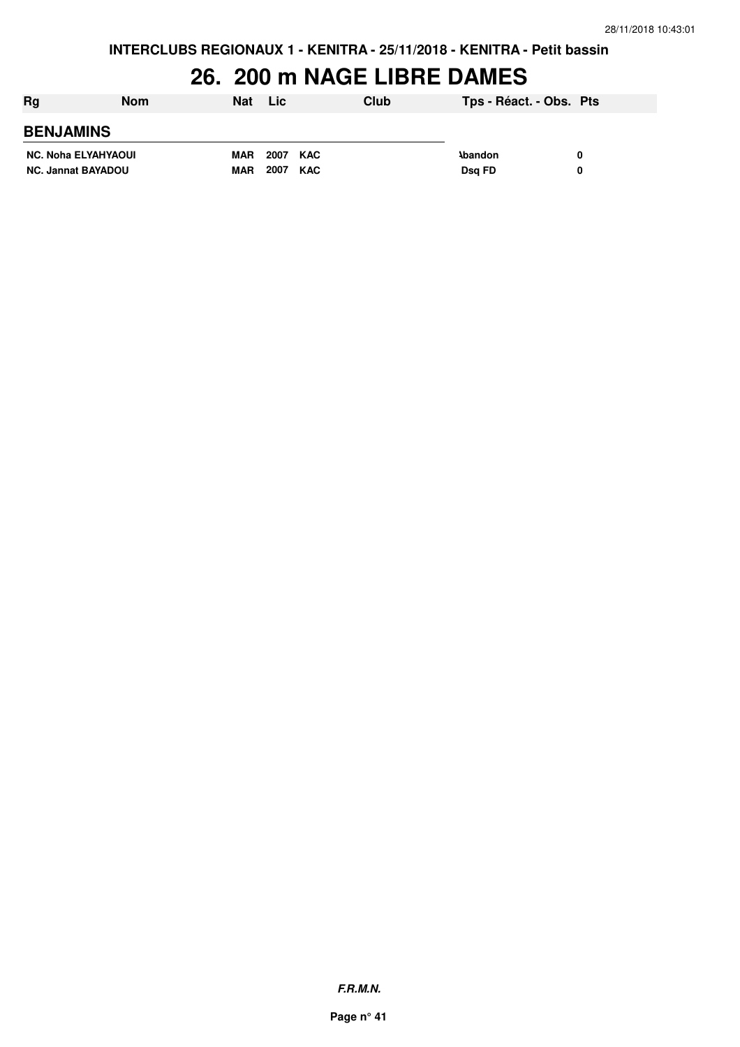## **26. 200 m NAGE LIBRE DAMES**

| Rg                         | <b>Nom</b> | <b>Nat</b> | <b>Lic</b> | Club | Tps - Réact. - Obs. Pts |  |
|----------------------------|------------|------------|------------|------|-------------------------|--|
| <b>BENJAMINS</b>           |            |            |            |      |                         |  |
| <b>NC. Noha ELYAHYAOUI</b> |            | MAR        | 2007 KAC   |      | <b>\bandon</b>          |  |
| <b>NC. Jannat BAYADOU</b>  |            | <b>MAR</b> | 2007 KAC   |      | Dsg FD                  |  |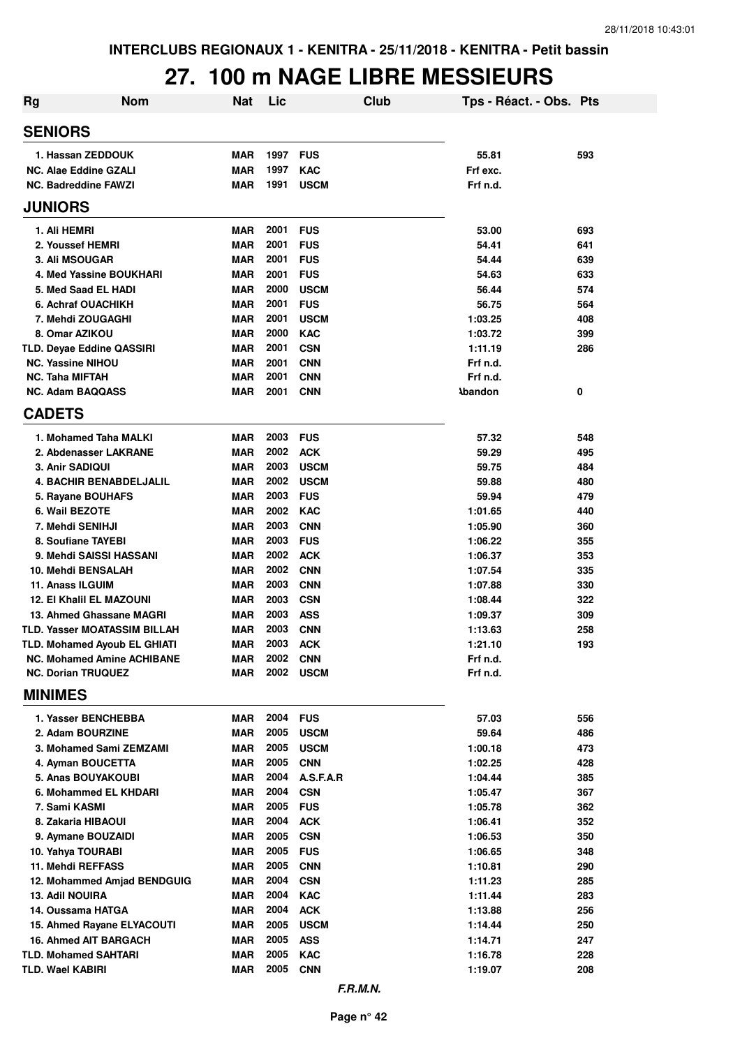#### **27. 100 m NAGE LIBRE MESSIEURS**

| <b>Rg</b> | <b>Nom</b>                                                  | <b>Nat</b>               | Lic          |                           | Club | Tps - Réact. - Obs. Pts |            |
|-----------|-------------------------------------------------------------|--------------------------|--------------|---------------------------|------|-------------------------|------------|
|           | <b>SENIORS</b>                                              |                          |              |                           |      |                         |            |
|           | 1. Hassan ZEDDOUK                                           | <b>MAR</b>               | 1997         | <b>FUS</b>                |      | 55.81                   | 593        |
|           | <b>NC. Alae Eddine GZALI</b>                                | <b>MAR</b>               | 1997         | <b>KAC</b>                |      | Frf exc.                |            |
|           | <b>NC. Badreddine FAWZI</b>                                 | <b>MAR</b>               | 1991         | <b>USCM</b>               |      | Frf n.d.                |            |
|           | <b>JUNIORS</b>                                              |                          |              |                           |      |                         |            |
|           | 1. Ali HEMRI                                                | <b>MAR</b>               | 2001         | <b>FUS</b>                |      | 53.00                   | 693        |
|           | 2. Youssef HEMRI                                            | <b>MAR</b>               | 2001         | <b>FUS</b>                |      | 54.41                   | 641        |
|           | 3. Ali MSOUGAR                                              | <b>MAR</b>               | 2001         | <b>FUS</b>                |      | 54.44                   | 639        |
|           | 4. Med Yassine BOUKHARI                                     | <b>MAR</b>               | 2001         | <b>FUS</b>                |      | 54.63                   | 633        |
|           | 5. Med Saad EL HADI                                         | <b>MAR</b>               | 2000         | <b>USCM</b>               |      | 56.44                   | 574        |
|           | 6. Achraf OUACHIKH                                          | <b>MAR</b>               | 2001<br>2001 | <b>FUS</b>                |      | 56.75                   | 564        |
|           | 7. Mehdi ZOUGAGHI<br>8. Omar AZIKOU                         | <b>MAR</b><br><b>MAR</b> | 2000         | <b>USCM</b><br><b>KAC</b> |      | 1:03.25<br>1:03.72      | 408<br>399 |
|           | <b>TLD. Deyae Eddine QASSIRI</b>                            | <b>MAR</b>               | 2001         | <b>CSN</b>                |      | 1:11.19                 | 286        |
|           | <b>NC. Yassine NIHOU</b>                                    | <b>MAR</b>               | 2001         | <b>CNN</b>                |      | Frf n.d.                |            |
|           | <b>NC. Taha MIFTAH</b>                                      | <b>MAR</b>               | 2001         | <b>CNN</b>                |      | Frf n.d.                |            |
|           | <b>NC. Adam BAQQASS</b>                                     | <b>MAR</b>               | 2001         | <b>CNN</b>                |      | <b>Abandon</b>          | 0          |
|           | <b>CADETS</b>                                               |                          |              |                           |      |                         |            |
|           | 1. Mohamed Taha MALKI                                       | <b>MAR</b>               | 2003         | <b>FUS</b>                |      | 57.32                   | 548        |
|           | 2. Abdenasser LAKRANE                                       | <b>MAR</b>               | 2002         | <b>ACK</b>                |      | 59.29                   | 495        |
|           | 3. Anir SADIQUI                                             | <b>MAR</b>               | 2003         | <b>USCM</b>               |      | 59.75                   | 484        |
|           | <b>4. BACHIR BENABDELJALIL</b>                              | <b>MAR</b>               | 2002         | <b>USCM</b>               |      | 59.88                   | 480        |
|           | 5. Rayane BOUHAFS                                           | <b>MAR</b>               | 2003         | <b>FUS</b>                |      | 59.94                   | 479        |
|           | 6. Wail BEZOTE                                              | <b>MAR</b>               | 2002         | <b>KAC</b>                |      | 1:01.65                 | 440        |
|           | 7. Mehdi SENIHJI                                            | <b>MAR</b>               | 2003         | <b>CNN</b>                |      | 1:05.90                 | 360        |
|           | 8. Soufiane TAYEBI                                          | <b>MAR</b>               | 2003         | <b>FUS</b>                |      | 1:06.22                 | 355        |
|           | 9. Mehdi SAISSI HASSANI                                     | <b>MAR</b>               | 2002         | <b>ACK</b>                |      | 1:06.37                 | 353        |
|           | 10. Mehdi BENSALAH                                          | <b>MAR</b>               | 2002         | <b>CNN</b>                |      | 1:07.54                 | 335        |
|           | 11. Anass ILGUIM                                            | <b>MAR</b>               | 2003         | <b>CNN</b>                |      | 1:07.88                 | 330        |
|           | <b>12. El Khalil EL MAZOUNI</b><br>13. Ahmed Ghassane MAGRI | <b>MAR</b>               | 2003<br>2003 | <b>CSN</b>                |      | 1:08.44                 | 322        |
|           | <b>TLD. Yasser MOATASSIM BILLAH</b>                         | <b>MAR</b><br><b>MAR</b> | 2003         | <b>ASS</b><br><b>CNN</b>  |      | 1:09.37<br>1:13.63      | 309<br>258 |
|           | TLD. Mohamed Ayoub EL GHIATI                                | MAR                      | 2003         | <b>ACK</b>                |      | 1:21.10                 | 193        |
|           | <b>NC. Mohamed Amine ACHIBANE</b>                           | MAR                      | 2002         | <b>CNN</b>                |      | Frf n.d.                |            |
|           | <b>NC. Dorian TRUQUEZ</b>                                   | MAR                      | 2002         | <b>USCM</b>               |      | Frf n.d.                |            |
|           | <b>MINIMES</b>                                              |                          |              |                           |      |                         |            |
|           | 1. Yasser BENCHEBBA                                         | MAR                      | 2004         | <b>FUS</b>                |      | 57.03                   | 556        |
|           | 2. Adam BOURZINE                                            | MAR                      | 2005         | <b>USCM</b>               |      | 59.64                   | 486        |
|           | 3. Mohamed Sami ZEMZAMI                                     | MAR                      | 2005         | <b>USCM</b>               |      | 1:00.18                 | 473        |
|           | 4. Ayman BOUCETTA                                           | MAR<br><b>MAR</b>        | 2005<br>2004 | <b>CNN</b>                |      | 1:02.25                 | 428        |
|           | 5. Anas BOUYAKOUBI<br>6. Mohammed EL KHDARI                 | <b>MAR</b>               | 2004         | A.S.F.A.R<br><b>CSN</b>   |      | 1:04.44<br>1:05.47      | 385<br>367 |
|           | 7. Sami KASMI                                               | MAR                      | 2005         | <b>FUS</b>                |      | 1:05.78                 | 362        |
|           | 8. Zakaria HIBAOUI                                          | <b>MAR</b>               | 2004         | <b>ACK</b>                |      | 1:06.41                 | 352        |
|           | 9. Aymane BOUZAIDI                                          | <b>MAR</b>               | 2005         | <b>CSN</b>                |      | 1:06.53                 | 350        |
|           | 10. Yahya TOURABI                                           | MAR                      | 2005         | <b>FUS</b>                |      | 1:06.65                 | 348        |
|           | 11. Mehdi REFFASS                                           | MAR                      | 2005         | <b>CNN</b>                |      | 1:10.81                 | 290        |
|           | 12. Mohammed Amjad BENDGUIG                                 | MAR                      | 2004         | <b>CSN</b>                |      | 1:11.23                 | 285        |
|           | <b>13. Adil NOUIRA</b>                                      | MAR                      | 2004         | <b>KAC</b>                |      | 1:11.44                 | 283        |
|           | 14. Oussama HATGA                                           | MAR                      | 2004         | <b>ACK</b>                |      | 1:13.88                 | 256        |
|           | 15. Ahmed Rayane ELYACOUTI                                  | MAR                      | 2005         | <b>USCM</b>               |      | 1:14.44                 | 250        |
|           | <b>16. Ahmed AIT BARGACH</b>                                | MAR                      | 2005         | <b>ASS</b>                |      | 1:14.71                 | 247        |
|           | TLD. Mohamed SAHTARI                                        | MAR                      | 2005         | <b>KAC</b>                |      | 1:16.78                 | 228        |
|           | TLD. Wael KABIRI                                            | MAR                      | 2005         | <b>CNN</b>                |      | 1:19.07                 | 208        |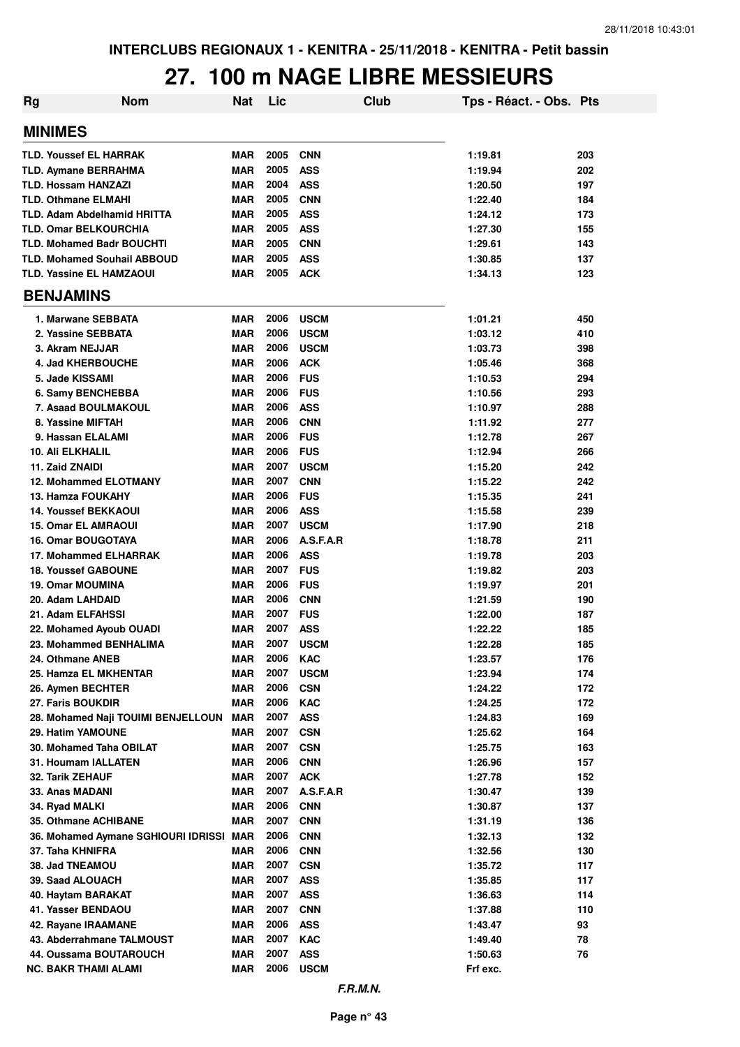## **27. 100 m NAGE LIBRE MESSIEURS**

| <b>Nom</b><br>Rg                             | <b>Nat</b>               | Lic          |                          | <b>Club</b> | Tps - Réact. - Obs. Pts |            |
|----------------------------------------------|--------------------------|--------------|--------------------------|-------------|-------------------------|------------|
| <b>MINIMES</b>                               |                          |              |                          |             |                         |            |
| <b>TLD. Youssef EL HARRAK</b>                | <b>MAR</b>               | 2005         | <b>CNN</b>               |             | 1:19.81                 | 203        |
| <b>TLD. Aymane BERRAHMA</b>                  | <b>MAR</b>               | 2005         | <b>ASS</b>               |             | 1:19.94                 | 202        |
| <b>TLD. Hossam HANZAZI</b>                   | <b>MAR</b>               | 2004         | <b>ASS</b>               |             | 1:20.50                 | 197        |
| <b>TLD. Othmane ELMAHI</b>                   | <b>MAR</b>               | 2005         | <b>CNN</b>               |             | 1:22.40                 | 184        |
| <b>TLD. Adam Abdelhamid HRITTA</b>           | <b>MAR</b>               | 2005         | <b>ASS</b>               |             | 1:24.12                 | 173        |
| <b>TLD. Omar BELKOURCHIA</b>                 | <b>MAR</b>               | 2005         | <b>ASS</b>               |             | 1:27.30                 | 155        |
| <b>TLD. Mohamed Badr BOUCHTI</b>             | <b>MAR</b>               | 2005         | <b>CNN</b>               |             | 1:29.61                 | 143        |
| <b>TLD. Mohamed Souhail ABBOUD</b>           | <b>MAR</b>               | 2005         | <b>ASS</b>               |             | 1:30.85                 | 137        |
| <b>TLD. Yassine EL HAMZAOUI</b>              | <b>MAR</b>               | 2005         | <b>ACK</b>               |             | 1:34.13                 | 123        |
| <b>BENJAMINS</b>                             |                          |              |                          |             |                         |            |
| 1. Marwane SEBBATA                           | MAR                      | 2006         | <b>USCM</b>              |             | 1:01.21                 | 450        |
| 2. Yassine SEBBATA                           | <b>MAR</b>               | 2006         | <b>USCM</b>              |             | 1:03.12                 | 410        |
| 3. Akram NEJJAR                              | <b>MAR</b>               | 2006         | <b>USCM</b>              |             | 1:03.73                 | 398        |
| 4. Jad KHERBOUCHE                            | <b>MAR</b>               | 2006         | <b>ACK</b>               |             | 1:05.46                 | 368        |
| 5. Jade KISSAMI                              | <b>MAR</b>               | 2006         | <b>FUS</b>               |             | 1:10.53                 | 294        |
| 6. Samy BENCHEBBA                            | <b>MAR</b>               | 2006         | <b>FUS</b>               |             | 1:10.56                 | 293        |
| 7. Asaad BOULMAKOUL                          | <b>MAR</b>               | 2006         | <b>ASS</b>               |             | 1:10.97                 | 288        |
| 8. Yassine MIFTAH                            | <b>MAR</b>               | 2006         | <b>CNN</b>               |             | 1:11.92                 | 277        |
| 9. Hassan ELALAMI                            | <b>MAR</b>               | 2006         | <b>FUS</b>               |             | 1:12.78                 | 267        |
| <b>10. Ali ELKHALIL</b>                      | <b>MAR</b>               | 2006         | <b>FUS</b>               |             | 1:12.94                 | 266        |
| 11. Zaid ZNAIDI                              | <b>MAR</b>               | 2007         | <b>USCM</b>              |             | 1:15.20                 | 242        |
| 12. Mohammed ELOTMANY                        | <b>MAR</b>               | 2007         | <b>CNN</b>               |             | 1:15.22                 | 242        |
| 13. Hamza FOUKAHY                            | <b>MAR</b>               | 2006         | <b>FUS</b>               |             | 1:15.35                 | 241        |
| <b>14. Youssef BEKKAOUI</b>                  | MAR                      | 2006         | <b>ASS</b>               |             | 1:15.58                 | 239        |
| <b>15. Omar EL AMRAOUI</b>                   | <b>MAR</b>               | 2007         | <b>USCM</b>              |             | 1:17.90                 | 218        |
| <b>16. Omar BOUGOTAYA</b>                    | <b>MAR</b>               | 2006         | A.S.F.A.R                |             | 1:18.78                 | 211        |
| 17. Mohammed ELHARRAK                        | <b>MAR</b>               | 2006         | <b>ASS</b>               |             | 1:19.78                 | 203        |
| <b>18. Youssef GABOUNE</b>                   | <b>MAR</b>               | 2007         | <b>FUS</b>               |             | 1:19.82                 | 203        |
| <b>19. Omar MOUMINA</b>                      | <b>MAR</b>               | 2006         | <b>FUS</b>               |             | 1:19.97                 | 201        |
| 20. Adam LAHDAID                             | <b>MAR</b>               | 2006         | <b>CNN</b>               |             | 1:21.59                 | 190        |
| 21. Adam ELFAHSSI                            | <b>MAR</b>               | 2007         | <b>FUS</b>               |             | 1:22.00                 | 187        |
| 22. Mohamed Ayoub OUADI                      | <b>MAR</b>               | 2007         | <b>ASS</b>               |             | 1:22.22                 | 185        |
| 23. Mohammed BENHALIMA                       | <b>MAR</b>               | 2007         | <b>USCM</b>              |             | 1:22.28                 | 185        |
| 24. Othmane ANEB                             | <b>MAR</b>               | 2006         | <b>KAC</b>               |             | 1:23.57                 | 176        |
| 25. Hamza EL MKHENTAR                        | MAR                      | 2007         | <b>USCM</b>              |             | 1:23.94                 | 174        |
| 26. Aymen BECHTER                            | <b>MAR</b>               | 2006         | <b>CSN</b>               |             | 1:24.22                 | 172        |
| 27. Faris BOUKDIR                            | <b>MAR</b>               | 2006         | <b>KAC</b>               |             | 1:24.25                 | 172        |
| 28. Mohamed Naji TOUIMI BENJELLOUN           | <b>MAR</b><br><b>MAR</b> | 2007<br>2007 | <b>ASS</b>               |             | 1:24.83                 | 169        |
| 29. Hatim YAMOUNE<br>30. Mohamed Taha OBILAT | MAR                      | 2007         | <b>CSN</b><br><b>CSN</b> |             | 1:25.62<br>1:25.75      | 164<br>163 |
| 31. Houmam IALLATEN                          | <b>MAR</b>               | 2006         | <b>CNN</b>               |             | 1:26.96                 | 157        |
| 32. Tarik ZEHAUF                             | <b>MAR</b>               | 2007         | <b>ACK</b>               |             | 1:27.78                 | 152        |
| 33. Anas MADANI                              | <b>MAR</b>               | 2007         | A.S.F.A.R                |             | 1:30.47                 | 139        |
| 34. Ryad MALKI                               | <b>MAR</b>               | 2006         | <b>CNN</b>               |             | 1:30.87                 | 137        |
| 35. Othmane ACHIBANE                         | <b>MAR</b>               | 2007         | <b>CNN</b>               |             | 1:31.19                 | 136        |
| 36. Mohamed Aymane SGHIOURI IDRISSI MAR      |                          | 2006         | <b>CNN</b>               |             | 1:32.13                 | 132        |
| 37. Taha KHNIFRA                             | MAR                      | 2006         | <b>CNN</b>               |             | 1:32.56                 | 130        |
| 38. Jad TNEAMOU                              | <b>MAR</b>               | 2007         | <b>CSN</b>               |             | 1:35.72                 | 117        |
| 39. Saad ALOUACH                             | <b>MAR</b>               | 2007         | <b>ASS</b>               |             | 1:35.85                 | 117        |
| 40. Haytam BARAKAT                           | <b>MAR</b>               | 2007         | <b>ASS</b>               |             | 1:36.63                 | 114        |
| 41. Yasser BENDAOU                           | <b>MAR</b>               | 2007         | <b>CNN</b>               |             | 1:37.88                 | 110        |
| 42. Rayane IRAAMANE                          | <b>MAR</b>               | 2006         | <b>ASS</b>               |             | 1:43.47                 | 93         |
| 43. Abderrahmane TALMOUST                    | <b>MAR</b>               | 2007         | KAC                      |             | 1:49.40                 | 78         |
| 44. Oussama BOUTAROUCH                       | <b>MAR</b>               | 2007         | <b>ASS</b>               |             | 1:50.63                 | 76         |
| <b>NC. BAKR THAMI ALAMI</b>                  | <b>MAR</b>               | 2006         | <b>USCM</b>              |             | Frf exc.                |            |
|                                              |                          |              |                          |             |                         |            |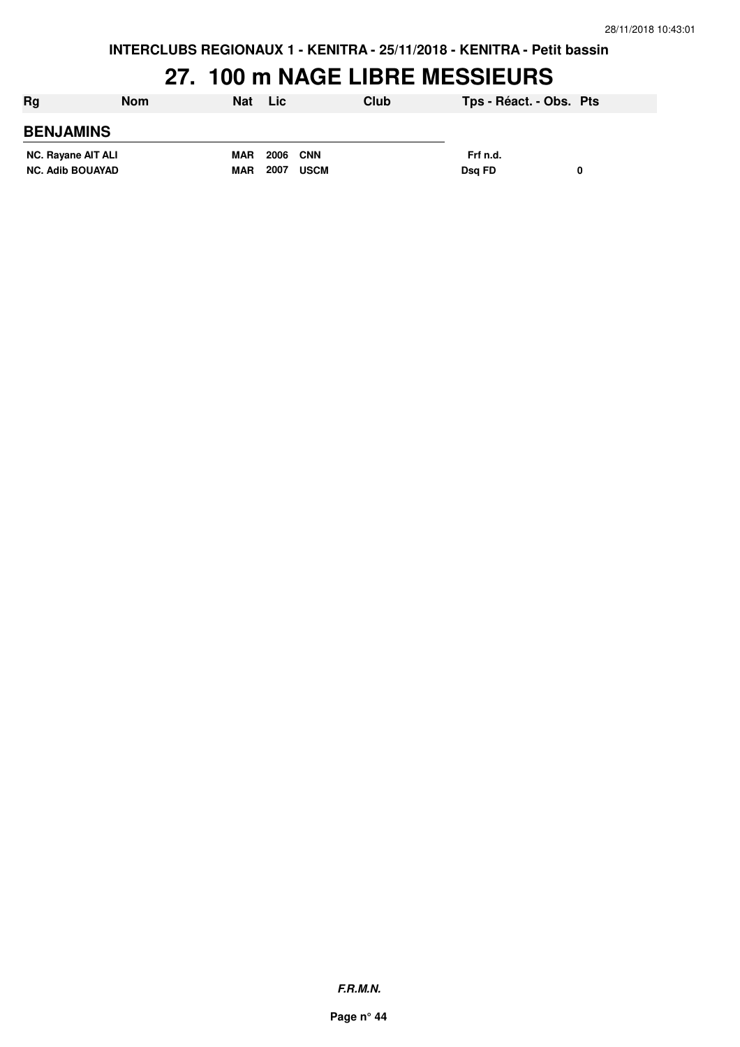**INTERCLUBS REGIONAUX 1 - KENITRA - 25/11/2018 - KENITRA - Petit bassin**

### **27. 100 m NAGE LIBRE MESSIEURS**

| Rg                      | <b>Nom</b> | <b>Nat</b> | <b>Lic</b>      |             | Club | Tps - Réact. - Obs. Pts |   |
|-------------------------|------------|------------|-----------------|-------------|------|-------------------------|---|
| <b>BENJAMINS</b>        |            |            |                 |             |      |                         |   |
| NC. Rayane AIT ALI      |            | <b>MAR</b> | <b>2006 CNN</b> |             |      | Frf n.d.                |   |
| <b>NC. Adib BOUAYAD</b> |            | <b>MAR</b> | 2007            | <b>USCM</b> |      | Dsa FD                  | 0 |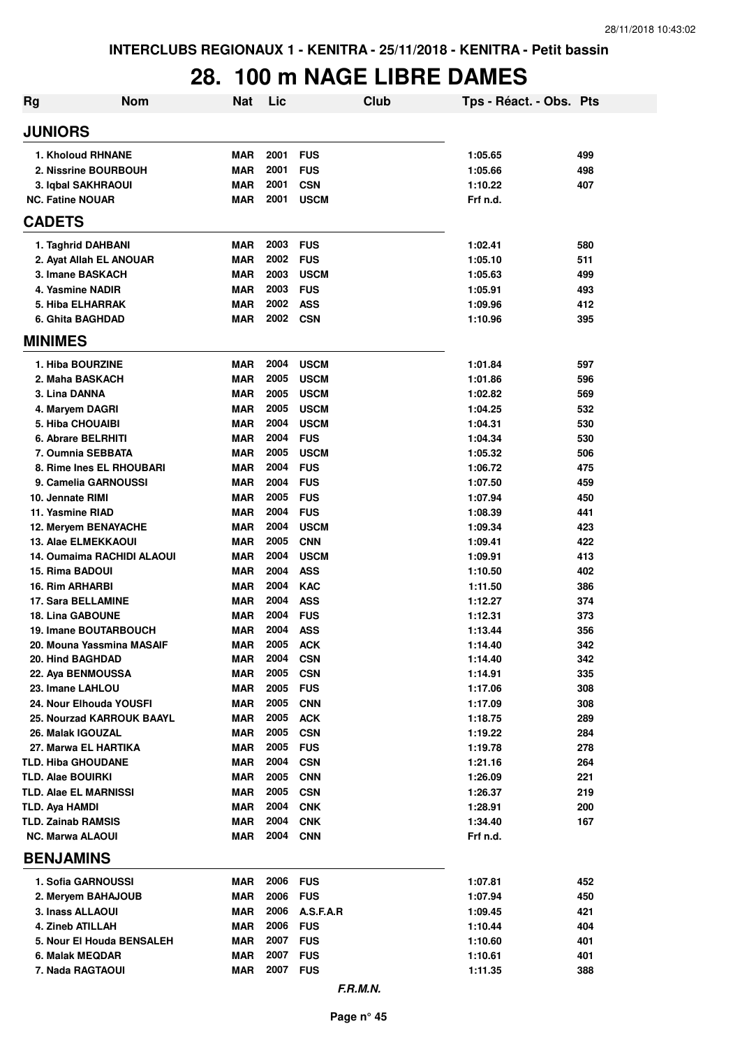## **28. 100 m NAGE LIBRE DAMES**

| <b>Rg</b>                                            | <b>Nom</b>                   | <b>Nat</b>               | Lic          | Club                       | Tps - Réact. - Obs. Pts |            |
|------------------------------------------------------|------------------------------|--------------------------|--------------|----------------------------|-------------------------|------------|
| <b>JUNIORS</b>                                       |                              |                          |              |                            |                         |            |
|                                                      | 1. Kholoud RHNANE            | MAR                      | 2001         | <b>FUS</b>                 | 1:05.65                 | 499        |
|                                                      | 2. Nissrine BOURBOUH         | <b>MAR</b>               | 2001         | <b>FUS</b>                 | 1:05.66                 | 498        |
|                                                      | 3. Iqbal SAKHRAOUI           | <b>MAR</b>               | 2001         | <b>CSN</b>                 | 1:10.22                 | 407        |
| <b>NC. Fatine NOUAR</b>                              |                              | MAR                      | 2001         | <b>USCM</b>                | Frf n.d.                |            |
| <b>CADETS</b>                                        |                              |                          |              |                            |                         |            |
|                                                      | 1. Taghrid DAHBANI           | <b>MAR</b>               | 2003         | <b>FUS</b>                 | 1:02.41                 | 580        |
|                                                      | 2. Ayat Allah EL ANOUAR      | <b>MAR</b>               | 2002         | <b>FUS</b>                 | 1:05.10                 | 511        |
| 3. Imane BASKACH                                     |                              | <b>MAR</b>               | 2003         | <b>USCM</b>                | 1:05.63                 | 499        |
| 4. Yasmine NADIR                                     |                              | <b>MAR</b>               | 2003         | <b>FUS</b>                 | 1:05.91                 | 493        |
| 5. Hiba ELHARRAK<br>6. Ghita BAGHDAD                 |                              | <b>MAR</b><br>MAR        | 2002<br>2002 | <b>ASS</b><br><b>CSN</b>   | 1:09.96<br>1:10.96      | 412<br>395 |
| <b>MINIMES</b>                                       |                              |                          |              |                            |                         |            |
|                                                      |                              |                          |              |                            |                         |            |
| 1. Hiba BOURZINE                                     |                              | <b>MAR</b>               | 2004         | <b>USCM</b>                | 1:01.84                 | 597        |
| 2. Maha BASKACH                                      |                              | <b>MAR</b>               | 2005         | <b>USCM</b>                | 1:01.86                 | 596        |
| 3. Lina DANNA                                        |                              | MAR                      | 2005<br>2005 | <b>USCM</b><br><b>USCM</b> | 1:02.82                 | 569        |
| 4. Maryem DAGRI<br>5. Hiba CHOUAIBI                  |                              | MAR<br><b>MAR</b>        | 2004         | <b>USCM</b>                | 1:04.25<br>1:04.31      | 532<br>530 |
| 6. Abrare BELRHITI                                   |                              | MAR                      | 2004         | <b>FUS</b>                 | 1:04.34                 | 530        |
|                                                      | 7. Oumnia SEBBATA            | MAR                      | 2005         | <b>USCM</b>                | 1:05.32                 | 506        |
|                                                      | 8. Rime Ines EL RHOUBARI     | MAR                      | 2004         | <b>FUS</b>                 | 1:06.72                 | 475        |
|                                                      | 9. Camelia GARNOUSSI         | <b>MAR</b>               | 2004         | <b>FUS</b>                 | 1:07.50                 | 459        |
| 10. Jennate RIMI                                     |                              | MAR                      | 2005         | <b>FUS</b>                 | 1:07.94                 | 450        |
| 11. Yasmine RIAD                                     |                              | MAR                      | 2004         | <b>FUS</b>                 | 1:08.39                 | 441        |
|                                                      | 12. Meryem BENAYACHE         | MAR                      | 2004         | <b>USCM</b>                | 1:09.34                 | 423        |
|                                                      | <b>13. Alae ELMEKKAOUI</b>   | <b>MAR</b>               | 2005         | <b>CNN</b>                 | 1:09.41                 | 422        |
|                                                      | 14. Oumaima RACHIDI ALAOUI   | MAR                      | 2004         | <b>USCM</b>                | 1:09.91                 | 413        |
| <b>15. Rima BADOUI</b>                               |                              | <b>MAR</b>               | 2004         | <b>ASS</b>                 | 1:10.50                 | 402        |
| 16. Rim ARHARBI                                      |                              | <b>MAR</b>               | 2004         | <b>KAC</b>                 | 1:11.50                 | 386        |
| 17. Sara BELLAMINE<br><b>18. Lina GABOUNE</b>        |                              | <b>MAR</b>               | 2004<br>2004 | <b>ASS</b><br><b>FUS</b>   | 1:12.27                 | 374        |
|                                                      | <b>19. Imane BOUTARBOUCH</b> | <b>MAR</b><br><b>MAR</b> | 2004         | <b>ASS</b>                 | 1:12.31<br>1:13.44      | 373<br>356 |
|                                                      | 20. Mouna Yassmina MASAIF    | MAR                      | 2005         | <b>ACK</b>                 | 1:14.40                 | 342        |
| 20. Hind BAGHDAD                                     |                              | MAR                      | 2004         | <b>CSN</b>                 | 1:14.40                 | 342        |
| 22. Aya BENMOUSSA                                    |                              | MAR                      | 2005         | <b>CSN</b>                 | 1:14.91                 | 335        |
| 23. Imane LAHLOU                                     |                              | MAR                      | 2005         | <b>FUS</b>                 | 1:17.06                 | 308        |
|                                                      | 24. Nour Elhouda YOUSFI      | <b>MAR</b>               | 2005         | <b>CNN</b>                 | 1:17.09                 | 308        |
|                                                      | 25. Nourzad KARROUK BAAYL    | <b>MAR</b>               | 2005         | <b>ACK</b>                 | 1:18.75                 | 289        |
| 26. Malak IGOUZAL                                    |                              | <b>MAR</b>               | 2005         | <b>CSN</b>                 | 1:19.22                 | 284        |
|                                                      | 27. Marwa EL HARTIKA         | <b>MAR</b>               | 2005         | <b>FUS</b>                 | 1:19.78                 | 278        |
| <b>TLD. Hiba GHOUDANE</b>                            |                              | <b>MAR</b>               | 2004         | <b>CSN</b>                 | 1:21.16                 | 264        |
| <b>TLD. Alae BOUIRKI</b>                             |                              | <b>MAR</b>               | 2005         | <b>CNN</b>                 | 1:26.09                 | 221        |
| <b>TLD. Alae EL MARNISSI</b>                         |                              | <b>MAR</b>               | 2005         | <b>CSN</b>                 | 1:26.37                 | 219        |
| <b>TLD. Aya HAMDI</b>                                |                              | <b>MAR</b>               | 2004<br>2004 | <b>CNK</b>                 | 1:28.91                 | 200        |
| <b>TLD. Zainab RAMSIS</b><br><b>NC. Marwa ALAOUI</b> |                              | MAR<br>MAR               | 2004         | <b>CNK</b><br><b>CNN</b>   | 1:34.40<br>Frf n.d.     | 167        |
| <b>BENJAMINS</b>                                     |                              |                          |              |                            |                         |            |
|                                                      |                              |                          |              |                            |                         |            |
|                                                      | 1. Sofia GARNOUSSI           | MAR                      | 2006         | <b>FUS</b>                 | 1:07.81                 | 452        |
|                                                      | 2. Meryem BAHAJOUB           | <b>MAR</b>               | 2006         | <b>FUS</b>                 | 1:07.94                 | 450        |
| 3. Inass ALLAOUI                                     |                              | <b>MAR</b>               | 2006         | A.S.F.A.R                  | 1:09.45                 | 421        |
| 4. Zineb ATILLAH                                     |                              | <b>MAR</b>               | 2006         | <b>FUS</b>                 | 1:10.44                 | 404        |
|                                                      | 5. Nour El Houda BENSALEH    | <b>MAR</b>               | 2007         | <b>FUS</b>                 | 1:10.60                 | 401        |
| 6. Malak MEQDAR                                      |                              | MAR                      | 2007         | <b>FUS</b>                 | 1:10.61                 | 401        |
| 7. Nada RAGTAOUI                                     |                              | MAR                      | 2007         | <b>FUS</b>                 | 1:11.35                 | 388        |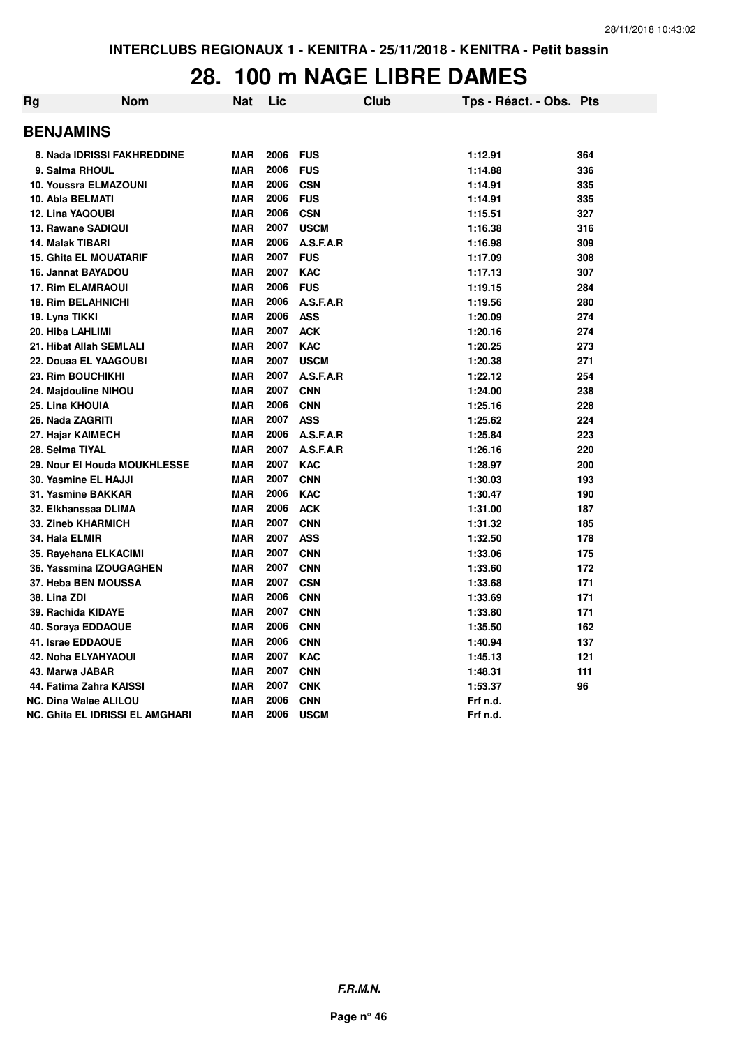#### **28. 100 m NAGE LIBRE DAMES**

| Rg | Nom                             | <b>Nat</b> | Lic  | <b>Club</b> | Tps - Réact. - Obs. Pts |     |
|----|---------------------------------|------------|------|-------------|-------------------------|-----|
|    | <b>BENJAMINS</b>                |            |      |             |                         |     |
|    | 8. Nada IDRISSI FAKHREDDINE     | <b>MAR</b> | 2006 | <b>FUS</b>  | 1:12.91                 | 364 |
|    | 9. Salma RHOUL                  | <b>MAR</b> | 2006 | <b>FUS</b>  | 1:14.88                 | 336 |
|    | <b>10. Youssra ELMAZOUNI</b>    | <b>MAR</b> | 2006 | <b>CSN</b>  | 1:14.91                 | 335 |
|    | 10. Abla BELMATI                | <b>MAR</b> | 2006 | <b>FUS</b>  | 1:14.91                 | 335 |
|    | <b>12. Lina YAQOUBI</b>         | <b>MAR</b> | 2006 | <b>CSN</b>  | 1:15.51                 | 327 |
|    | 13. Rawane SADIQUI              | <b>MAR</b> | 2007 | <b>USCM</b> | 1:16.38                 | 316 |
|    | <b>14. Malak TIBARI</b>         | <b>MAR</b> | 2006 | A.S.F.A.R   | 1:16.98                 | 309 |
|    | <b>15. Ghita EL MOUATARIF</b>   | <b>MAR</b> | 2007 | <b>FUS</b>  | 1:17.09                 | 308 |
|    | 16. Jannat BAYADOU              | <b>MAR</b> | 2007 | <b>KAC</b>  | 1:17.13                 | 307 |
|    | <b>17. Rim ELAMRAOUI</b>        | <b>MAR</b> | 2006 | <b>FUS</b>  | 1:19.15                 | 284 |
|    | <b>18. Rim BELAHNICHI</b>       | <b>MAR</b> | 2006 | A.S.F.A.R   | 1:19.56                 | 280 |
|    | 19. Lyna TIKKI                  | <b>MAR</b> | 2006 | <b>ASS</b>  | 1:20.09                 | 274 |
|    | 20. Hiba LAHLIMI                | <b>MAR</b> | 2007 | <b>ACK</b>  | 1:20.16                 | 274 |
|    | 21. Hibat Allah SEMLALI         | <b>MAR</b> | 2007 | <b>KAC</b>  | 1:20.25                 | 273 |
|    | 22. Douaa EL YAAGOUBI           | MAR        | 2007 | <b>USCM</b> | 1:20.38                 | 271 |
|    | 23. Rim BOUCHIKHI               | <b>MAR</b> | 2007 | A.S.F.A.R   | 1:22.12                 | 254 |
|    | 24. Majdouline NIHOU            | <b>MAR</b> | 2007 | <b>CNN</b>  | 1:24.00                 | 238 |
|    | 25. Lina KHOUIA                 | MAR        | 2006 | <b>CNN</b>  | 1:25.16                 | 228 |
|    | 26. Nada ZAGRITI                | <b>MAR</b> | 2007 | <b>ASS</b>  | 1:25.62                 | 224 |
|    | 27. Hajar KAIMECH               | <b>MAR</b> | 2006 | A.S.F.A.R   | 1:25.84                 | 223 |
|    | 28. Selma TIYAL                 | <b>MAR</b> | 2007 | A.S.F.A.R   | 1:26.16                 | 220 |
|    | 29. Nour El Houda MOUKHLESSE    | <b>MAR</b> | 2007 | <b>KAC</b>  | 1:28.97                 | 200 |
|    | 30. Yasmine EL HAJJI            | <b>MAR</b> | 2007 | <b>CNN</b>  | 1:30.03                 | 193 |
|    | 31. Yasmine BAKKAR              | <b>MAR</b> | 2006 | <b>KAC</b>  | 1:30.47                 | 190 |
|    | 32. Elkhanssaa DLIMA            | <b>MAR</b> | 2006 | <b>ACK</b>  | 1:31.00                 | 187 |
|    | 33. Zineb KHARMICH              | <b>MAR</b> | 2007 | <b>CNN</b>  | 1:31.32                 | 185 |
|    | 34. Hala ELMIR                  | <b>MAR</b> | 2007 | <b>ASS</b>  | 1:32.50                 | 178 |
|    | 35. Rayehana ELKACIMI           | <b>MAR</b> | 2007 | <b>CNN</b>  | 1:33.06                 | 175 |
|    | 36. Yassmina IZOUGAGHEN         | <b>MAR</b> | 2007 | <b>CNN</b>  | 1:33.60                 | 172 |
|    | 37. Heba BEN MOUSSA             | <b>MAR</b> | 2007 | <b>CSN</b>  | 1:33.68                 | 171 |
|    | 38. Lina ZDI                    | <b>MAR</b> | 2006 | <b>CNN</b>  | 1:33.69                 | 171 |
|    | 39. Rachida KIDAYE              | <b>MAR</b> | 2007 | <b>CNN</b>  | 1:33.80                 | 171 |
|    | 40. Soraya EDDAOUE              | MAR        | 2006 | <b>CNN</b>  | 1:35.50                 | 162 |
|    | 41. Israe EDDAOUE               | <b>MAR</b> | 2006 | <b>CNN</b>  | 1:40.94                 | 137 |
|    | 42. Noha ELYAHYAOUI             | <b>MAR</b> | 2007 | <b>KAC</b>  | 1:45.13                 | 121 |
|    | 43. Marwa JABAR                 | MAR        | 2007 | <b>CNN</b>  | 1:48.31                 | 111 |
|    | 44. Fatima Zahra KAISSI         | <b>MAR</b> | 2007 | <b>CNK</b>  | 1:53.37                 | 96  |
|    | <b>NC. Dina Walae ALILOU</b>    | <b>MAR</b> | 2006 | <b>CNN</b>  | Frf n.d.                |     |
|    | NC. Ghita EL IDRISSI EL AMGHARI | <b>MAR</b> | 2006 | <b>USCM</b> | Frf n.d.                |     |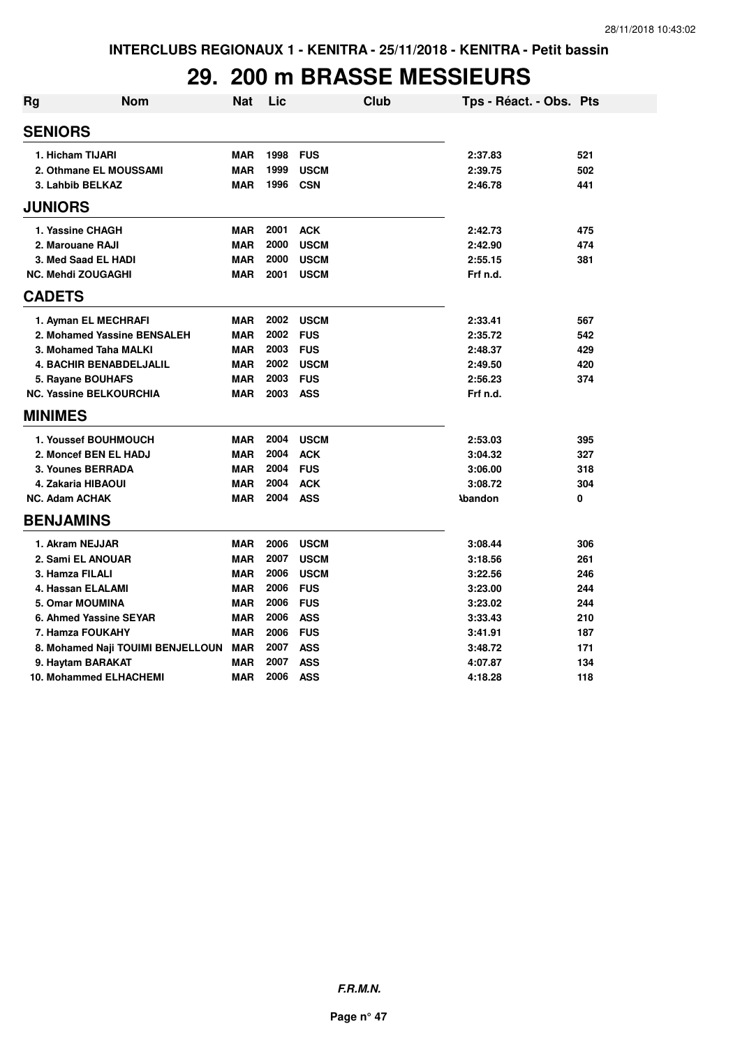## **29. 200 m BRASSE MESSIEURS**

| <b>Rg</b>      | <b>Nom</b>                        | <b>Nat</b> | Lic  |             | <b>Club</b> | Tps - Réact. - Obs. Pts |     |
|----------------|-----------------------------------|------------|------|-------------|-------------|-------------------------|-----|
| <b>SENIORS</b> |                                   |            |      |             |             |                         |     |
|                | 1. Hicham TIJARI                  | <b>MAR</b> | 1998 | <b>FUS</b>  |             | 2:37.83                 | 521 |
|                | 2. Othmane EL MOUSSAMI            | <b>MAR</b> | 1999 | <b>USCM</b> |             | 2:39.75                 | 502 |
|                | 3. Lahbib BELKAZ                  | <b>MAR</b> | 1996 | <b>CSN</b>  |             | 2:46.78                 | 441 |
| <b>JUNIORS</b> |                                   |            |      |             |             |                         |     |
|                | 1. Yassine CHAGH                  | <b>MAR</b> | 2001 | <b>ACK</b>  |             | 2:42.73                 | 475 |
|                | 2. Marouane RAJI                  | <b>MAR</b> | 2000 | <b>USCM</b> |             | 2:42.90                 | 474 |
|                | 3. Med Saad EL HADI               | <b>MAR</b> | 2000 | <b>USCM</b> |             | 2:55.15                 | 381 |
|                | <b>NC. Mehdi ZOUGAGHI</b>         | <b>MAR</b> | 2001 | <b>USCM</b> |             | Frf n.d.                |     |
| <b>CADETS</b>  |                                   |            |      |             |             |                         |     |
|                | 1. Ayman EL MECHRAFI              | <b>MAR</b> | 2002 | <b>USCM</b> |             | 2:33.41                 | 567 |
|                | 2. Mohamed Yassine BENSALEH       | <b>MAR</b> | 2002 | <b>FUS</b>  |             | 2:35.72                 | 542 |
|                | 3. Mohamed Taha MALKI             | <b>MAR</b> | 2003 | <b>FUS</b>  |             | 2:48.37                 | 429 |
|                | <b>4. BACHIR BENABDELJALIL</b>    | <b>MAR</b> | 2002 | <b>USCM</b> |             | 2:49.50                 | 420 |
|                | 5. Rayane BOUHAFS                 | <b>MAR</b> | 2003 | <b>FUS</b>  |             | 2:56.23                 | 374 |
|                | <b>NC. Yassine BELKOURCHIA</b>    | <b>MAR</b> | 2003 | <b>ASS</b>  |             | Frf n.d.                |     |
| <b>MINIMES</b> |                                   |            |      |             |             |                         |     |
|                | 1. Youssef BOUHMOUCH              | <b>MAR</b> | 2004 | <b>USCM</b> |             | 2:53.03                 | 395 |
|                | 2. Moncef BEN EL HADJ             | <b>MAR</b> | 2004 | <b>ACK</b>  |             | 3:04.32                 | 327 |
|                | 3. Younes BERRADA                 | <b>MAR</b> | 2004 | <b>FUS</b>  |             | 3:06.00                 | 318 |
|                | 4. Zakaria HIBAOUI                | <b>MAR</b> | 2004 | <b>ACK</b>  |             | 3:08.72                 | 304 |
|                | <b>NC. Adam ACHAK</b>             | <b>MAR</b> | 2004 | <b>ASS</b>  |             | <b>Abandon</b>          | 0   |
|                | <b>BENJAMINS</b>                  |            |      |             |             |                         |     |
|                | 1. Akram NEJJAR                   | <b>MAR</b> | 2006 | <b>USCM</b> |             | 3:08.44                 | 306 |
|                | 2. Sami EL ANOUAR                 | <b>MAR</b> | 2007 | <b>USCM</b> |             | 3:18.56                 | 261 |
|                | 3. Hamza FILALI                   | <b>MAR</b> | 2006 | <b>USCM</b> |             | 3:22.56                 | 246 |
|                | 4. Hassan ELALAMI                 | <b>MAR</b> | 2006 | <b>FUS</b>  |             | 3:23.00                 | 244 |
|                | <b>5. Omar MOUMINA</b>            | <b>MAR</b> | 2006 | <b>FUS</b>  |             | 3:23.02                 | 244 |
|                | 6. Ahmed Yassine SEYAR            | <b>MAR</b> | 2006 | <b>ASS</b>  |             | 3:33.43                 | 210 |
|                | 7. Hamza FOUKAHY                  | <b>MAR</b> | 2006 | <b>FUS</b>  |             | 3:41.91                 | 187 |
|                | 8. Mohamed Naji TOUIMI BENJELLOUN | <b>MAR</b> | 2007 | <b>ASS</b>  |             | 3:48.72                 | 171 |
|                | 9. Haytam BARAKAT                 | <b>MAR</b> | 2007 | <b>ASS</b>  |             | 4:07.87                 | 134 |
|                | 10. Mohammed ELHACHEMI            | <b>MAR</b> | 2006 | <b>ASS</b>  |             | 4:18.28                 | 118 |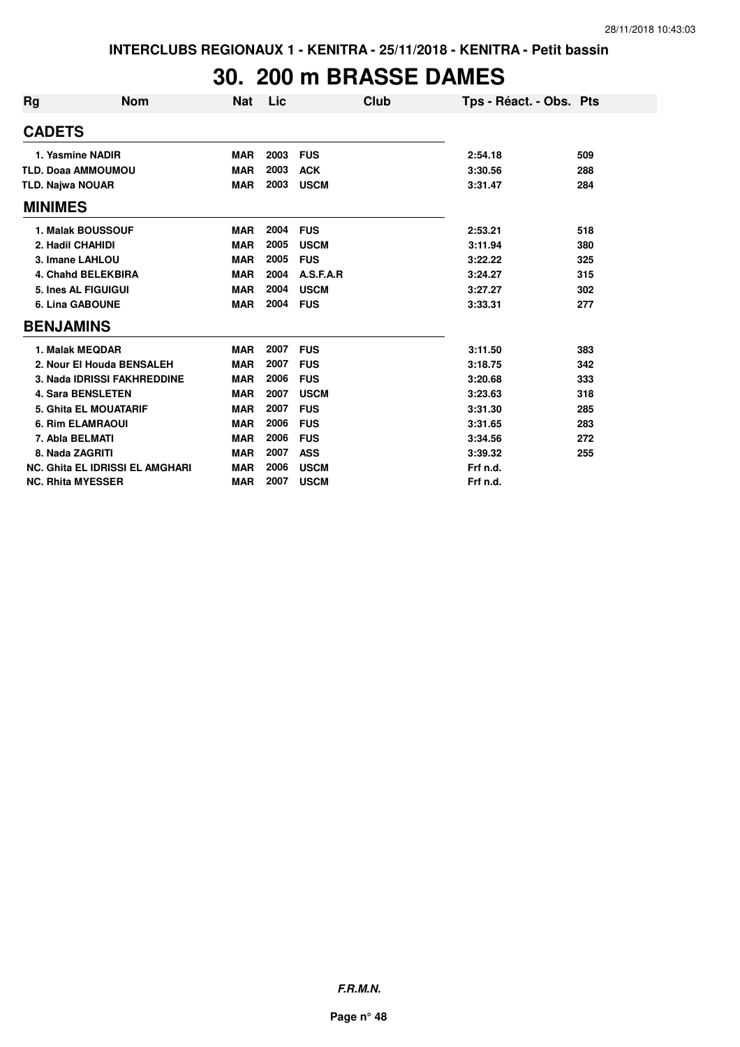## **30. 200 m BRASSE DAMES**

| Rg | <b>Nom</b>                             | <b>Nat</b> | Lic  | Club        | Tps - Réact. - Obs. Pts |     |
|----|----------------------------------------|------------|------|-------------|-------------------------|-----|
|    | <b>CADETS</b>                          |            |      |             |                         |     |
|    | 1. Yasmine NADIR                       | <b>MAR</b> | 2003 | <b>FUS</b>  | 2:54.18                 | 509 |
|    | <b>TLD. Doaa AMMOUMOU</b>              | <b>MAR</b> | 2003 | <b>ACK</b>  | 3:30.56                 | 288 |
|    | <b>TLD. Najwa NOUAR</b>                | <b>MAR</b> | 2003 | <b>USCM</b> | 3:31.47                 | 284 |
|    | <b>MINIMES</b>                         |            |      |             |                         |     |
|    | <b>1. Malak BOUSSOUF</b>               | <b>MAR</b> | 2004 | <b>FUS</b>  | 2:53.21                 | 518 |
|    | 2. Hadil CHAHIDI                       | <b>MAR</b> | 2005 | <b>USCM</b> | 3:11.94                 | 380 |
|    | 3. Imane LAHLOU                        | <b>MAR</b> | 2005 | <b>FUS</b>  | 3:22.22                 | 325 |
|    | 4. Chahd BELEKBIRA                     | <b>MAR</b> | 2004 | A.S.F.A.R   | 3:24.27                 | 315 |
|    | 5. Ines AL FIGUIGUI                    | <b>MAR</b> | 2004 | <b>USCM</b> | 3:27.27                 | 302 |
|    | <b>6. Lina GABOUNE</b>                 | <b>MAR</b> | 2004 | <b>FUS</b>  | 3:33.31                 | 277 |
|    | <b>BENJAMINS</b>                       |            |      |             |                         |     |
|    | 1. Malak MEQDAR                        | <b>MAR</b> | 2007 | <b>FUS</b>  | 3:11.50                 | 383 |
|    | 2. Nour El Houda BENSALEH              | <b>MAR</b> | 2007 | <b>FUS</b>  | 3:18.75                 | 342 |
|    | 3. Nada IDRISSI FAKHREDDINE            | <b>MAR</b> | 2006 | <b>FUS</b>  | 3:20.68                 | 333 |
|    | <b>4. Sara BENSLETEN</b>               | <b>MAR</b> | 2007 | <b>USCM</b> | 3:23.63                 | 318 |
|    | <b>5. Ghita EL MOUATARIF</b>           | <b>MAR</b> | 2007 | <b>FUS</b>  | 3:31.30                 | 285 |
|    | <b>6. Rim ELAMRAOUI</b>                | <b>MAR</b> | 2006 | <b>FUS</b>  | 3:31.65                 | 283 |
|    | 7. Abla BELMATI                        | <b>MAR</b> | 2006 | <b>FUS</b>  | 3:34.56                 | 272 |
|    | 8. Nada ZAGRITI                        | <b>MAR</b> | 2007 | <b>ASS</b>  | 3:39.32                 | 255 |
|    | <b>NC. Ghita EL IDRISSI EL AMGHARI</b> | <b>MAR</b> | 2006 | <b>USCM</b> | Frf n.d.                |     |
|    | <b>NC. Rhita MYESSER</b>               | <b>MAR</b> | 2007 | <b>USCM</b> | Frf n.d.                |     |

**F.R.M.N.**

**Page n° 48**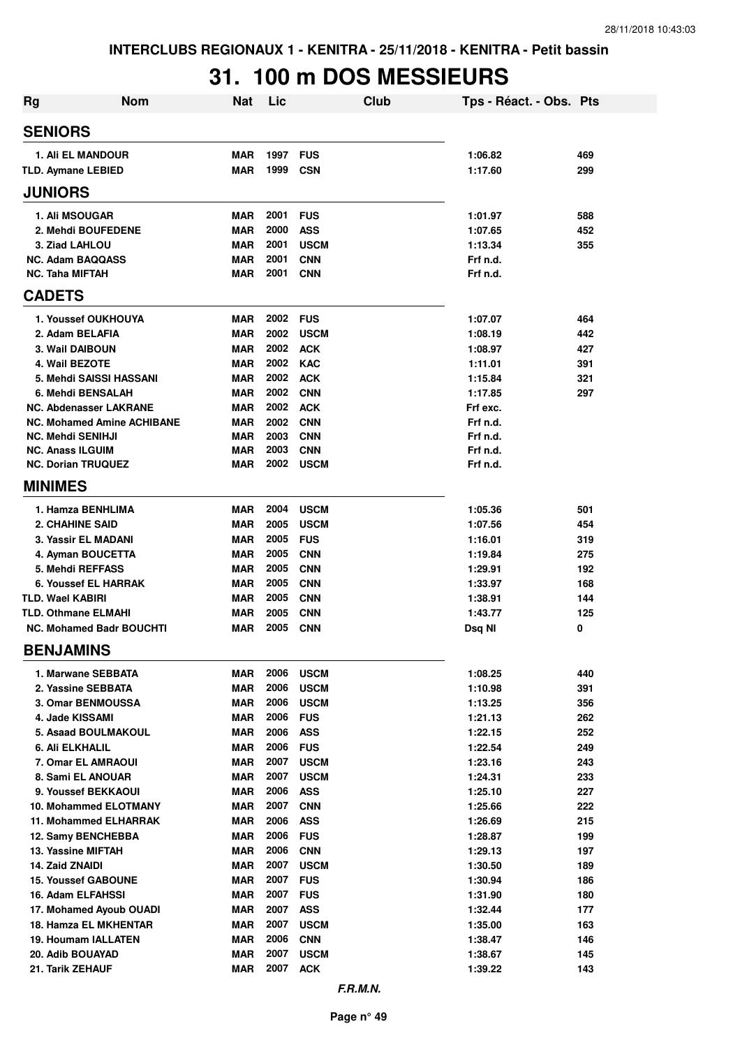# **31. 100 m DOS MESSIEURS**

| <b>Rg</b>                                           | <b>Nom</b>                        | <b>Nat</b>               | Lic          | <b>Club</b>                | Tps - Réact. - Obs. Pts |            |
|-----------------------------------------------------|-----------------------------------|--------------------------|--------------|----------------------------|-------------------------|------------|
| <b>SENIORS</b>                                      |                                   |                          |              |                            |                         |            |
| 1. Ali EL MANDOUR                                   |                                   | <b>MAR</b>               | 1997 FUS     |                            | 1:06.82                 | 469        |
| <b>TLD. Aymane LEBIED</b>                           |                                   | <b>MAR</b>               | 1999         | <b>CSN</b>                 | 1:17.60                 | 299        |
| <b>JUNIORS</b>                                      |                                   |                          |              |                            |                         |            |
| <b>1. Ali MSOUGAR</b>                               |                                   | <b>MAR</b>               | 2001         | <b>FUS</b>                 | 1:01.97                 | 588        |
| 2. Mehdi BOUFEDENE                                  |                                   | <b>MAR</b>               | 2000         | <b>ASS</b>                 | 1:07.65                 | 452        |
| 3. Ziad LAHLOU                                      |                                   | <b>MAR</b>               | 2001         | <b>USCM</b>                | 1:13.34                 | 355        |
| <b>NC. Adam BAQQASS</b>                             |                                   | <b>MAR</b>               | 2001         | <b>CNN</b>                 | Frf n.d.                |            |
| <b>NC. Taha MIFTAH</b>                              |                                   | MAR                      | 2001         | <b>CNN</b>                 | Frf n.d.                |            |
| <b>CADETS</b>                                       |                                   |                          |              |                            |                         |            |
| 1. Youssef OUKHOUYA                                 |                                   | <b>MAR</b>               | 2002 FUS     |                            | 1:07.07                 | 464        |
| 2. Adam BELAFIA                                     |                                   | <b>MAR</b>               | 2002         | <b>USCM</b>                | 1:08.19                 | 442        |
| 3. Wail DAIBOUN                                     |                                   | <b>MAR</b>               | 2002         | <b>ACK</b>                 | 1:08.97                 | 427        |
| 4. Wail BEZOTE                                      |                                   | <b>MAR</b>               | 2002         | <b>KAC</b>                 | 1:11.01                 | 391        |
| 5. Mehdi SAISSI HASSANI                             |                                   | <b>MAR</b>               | 2002         | <b>ACK</b>                 | 1:15.84                 | 321        |
| 6. Mehdi BENSALAH                                   |                                   | <b>MAR</b>               | 2002         | <b>CNN</b>                 | 1:17.85                 | 297        |
| <b>NC. Abdenasser LAKRANE</b>                       |                                   | <b>MAR</b>               | 2002         | <b>ACK</b>                 | Frf exc.                |            |
|                                                     | <b>NC. Mohamed Amine ACHIBANE</b> | <b>MAR</b>               | 2002<br>2003 | <b>CNN</b>                 | Frf n.d.                |            |
| <b>NC. Mehdi SENIHJI</b><br><b>NC. Anass ILGUIM</b> |                                   | <b>MAR</b><br><b>MAR</b> | 2003         | <b>CNN</b><br><b>CNN</b>   | Frf n.d.<br>Frf n.d.    |            |
| <b>NC. Dorian TRUQUEZ</b>                           |                                   | <b>MAR</b>               | 2002         | <b>USCM</b>                | Frf n.d.                |            |
| <b>MINIMES</b>                                      |                                   |                          |              |                            |                         |            |
| 1. Hamza BENHLIMA                                   |                                   | <b>MAR</b>               | 2004         | <b>USCM</b>                | 1:05.36                 | 501        |
| <b>2. CHAHINE SAID</b>                              |                                   | <b>MAR</b>               | 2005         | <b>USCM</b>                | 1:07.56                 | 454        |
| 3. Yassir EL MADANI                                 |                                   | <b>MAR</b>               | 2005         | <b>FUS</b>                 | 1:16.01                 | 319        |
| 4. Ayman BOUCETTA                                   |                                   | <b>MAR</b>               | 2005         | <b>CNN</b>                 | 1:19.84                 | 275        |
| 5. Mehdi REFFASS                                    |                                   | <b>MAR</b>               | 2005         | <b>CNN</b>                 | 1:29.91                 | 192        |
| 6. Youssef EL HARRAK                                |                                   | <b>MAR</b>               | 2005         | <b>CNN</b>                 | 1:33.97                 | 168        |
| <b>TLD. Wael KABIRI</b>                             |                                   | <b>MAR</b>               | 2005         | <b>CNN</b>                 | 1:38.91                 | 144        |
| <b>TLD. Othmane ELMAHI</b>                          |                                   | <b>MAR</b>               | 2005         | <b>CNN</b>                 | 1:43.77                 | 125        |
| <b>NC. Mohamed Badr BOUCHTI</b>                     |                                   | <b>MAR</b>               | 2005         | <b>CNN</b>                 | Dsq NI                  | 0          |
| <b>BENJAMINS</b>                                    |                                   |                          |              |                            |                         |            |
| 1. Marwane SEBBATA                                  |                                   | MAR                      | 2006         | <b>USCM</b>                | 1:08.25                 | 440        |
| 2. Yassine SEBBATA                                  |                                   | <b>MAR</b>               | 2006         | <b>USCM</b>                | 1:10.98                 | 391        |
| 3. Omar BENMOUSSA                                   |                                   | <b>MAR</b>               | 2006         | <b>USCM</b>                | 1:13.25                 | 356        |
| 4. Jade KISSAMI                                     |                                   | <b>MAR</b>               | 2006         | <b>FUS</b>                 | 1:21.13                 | 262        |
| <b>5. Asaad BOULMAKOUL</b>                          |                                   | <b>MAR</b>               | 2006         | <b>ASS</b>                 | 1:22.15                 | 252        |
| 6. Ali ELKHALIL                                     |                                   | MAR                      | 2006         | <b>FUS</b>                 | 1:22.54                 | 249        |
| 7. Omar EL AMRAOUI<br>8. Sami EL ANOUAR             |                                   | <b>MAR</b><br><b>MAR</b> | 2007<br>2007 | <b>USCM</b><br><b>USCM</b> | 1:23.16<br>1:24.31      | 243<br>233 |
| 9. Youssef BEKKAOUI                                 |                                   | MAR                      | 2006         | <b>ASS</b>                 | 1:25.10                 | 227        |
| 10. Mohammed ELOTMANY                               |                                   | <b>MAR</b>               | 2007         | <b>CNN</b>                 | 1:25.66                 | 222        |
| 11. Mohammed ELHARRAK                               |                                   | <b>MAR</b>               | 2006         | ASS                        | 1:26.69                 | 215        |
| 12. Samy BENCHEBBA                                  |                                   | MAR                      | 2006         | <b>FUS</b>                 | 1:28.87                 | 199        |
| 13. Yassine MIFTAH                                  |                                   | MAR                      | 2006         | <b>CNN</b>                 | 1:29.13                 | 197        |
| <b>14. Zaid ZNAIDI</b>                              |                                   | <b>MAR</b>               | 2007         | <b>USCM</b>                | 1:30.50                 | 189        |
| <b>15. Youssef GABOUNE</b>                          |                                   | <b>MAR</b>               | 2007         | <b>FUS</b>                 | 1:30.94                 | 186        |
| 16. Adam ELFAHSSI                                   |                                   | MAR                      | 2007         | <b>FUS</b>                 | 1:31.90                 | 180        |
| 17. Mohamed Ayoub OUADI                             |                                   | <b>MAR</b>               | 2007         | <b>ASS</b>                 | 1:32.44                 | 177        |
| <b>18. Hamza EL MKHENTAR</b>                        |                                   | MAR                      | 2007         | <b>USCM</b>                | 1:35.00                 | 163        |
| 19. Houmam IALLATEN                                 |                                   | MAR                      | 2006         | <b>CNN</b>                 | 1:38.47                 | 146        |
| 20. Adib BOUAYAD                                    |                                   | <b>MAR</b>               | 2007         | <b>USCM</b>                | 1:38.67                 | 145        |
| 21. Tarik ZEHAUF                                    |                                   | <b>MAR</b>               | 2007         | <b>ACK</b>                 | 1:39.22                 | 143        |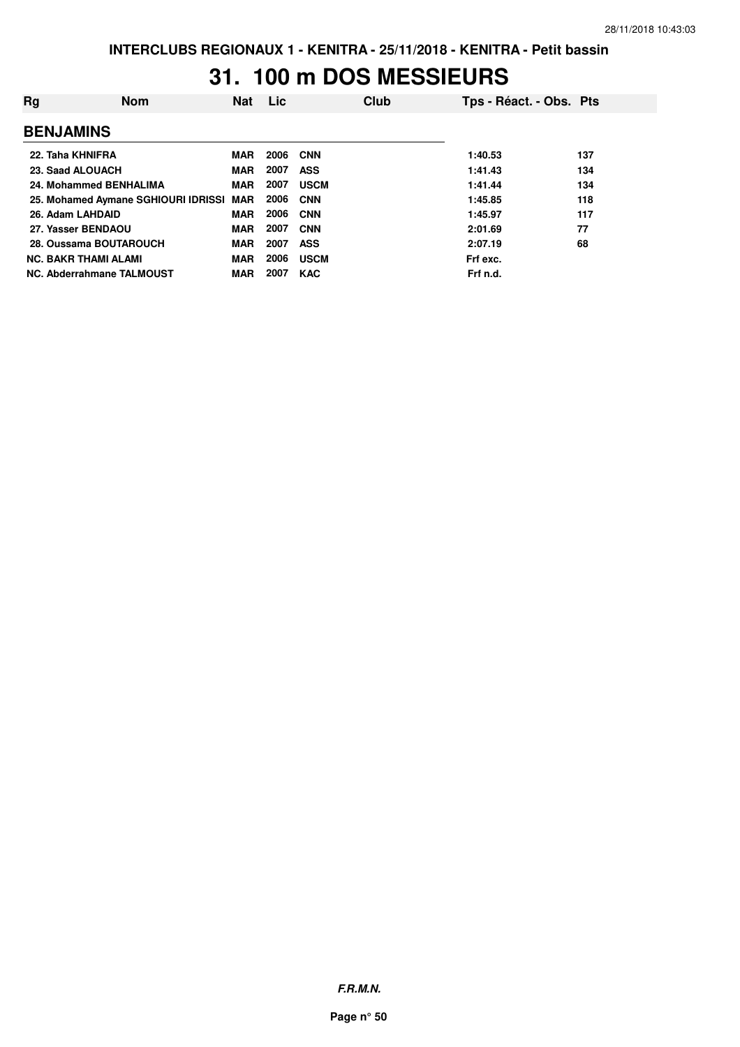## **31. 100 m DOS MESSIEURS**

| Rg               | <b>Nom</b>                              | Nat        | Lic. |             | <b>Club</b> | Tps - Réact. - Obs. Pts |     |
|------------------|-----------------------------------------|------------|------|-------------|-------------|-------------------------|-----|
| <b>BENJAMINS</b> |                                         |            |      |             |             |                         |     |
| 22. Taha KHNIFRA |                                         | <b>MAR</b> | 2006 | <b>CNN</b>  |             | 1:40.53                 | 137 |
| 23. Saad ALOUACH |                                         | <b>MAR</b> | 2007 | <b>ASS</b>  |             | 1:41.43                 | 134 |
|                  | 24. Mohammed BENHALIMA                  | <b>MAR</b> | 2007 | <b>USCM</b> |             | 1:41.44                 | 134 |
|                  | 25. Mohamed Aymane SGHIOURI IDRISSI MAR |            | 2006 | <b>CNN</b>  |             | 1:45.85                 | 118 |
| 26. Adam LAHDAID |                                         | <b>MAR</b> | 2006 | <b>CNN</b>  |             | 1:45.97                 | 117 |
|                  | 27. Yasser BENDAOU                      | <b>MAR</b> | 2007 | <b>CNN</b>  |             | 2:01.69                 | 77  |
|                  | 28. Oussama BOUTAROUCH                  | <b>MAR</b> | 2007 | <b>ASS</b>  |             | 2:07.19                 | 68  |
|                  | <b>NC. BAKR THAMI ALAMI</b>             | <b>MAR</b> | 2006 | <b>USCM</b> |             | Frf exc.                |     |
|                  | NC. Abderrahmane TALMOUST               | <b>MAR</b> | 2007 | <b>KAC</b>  |             | Frf n.d.                |     |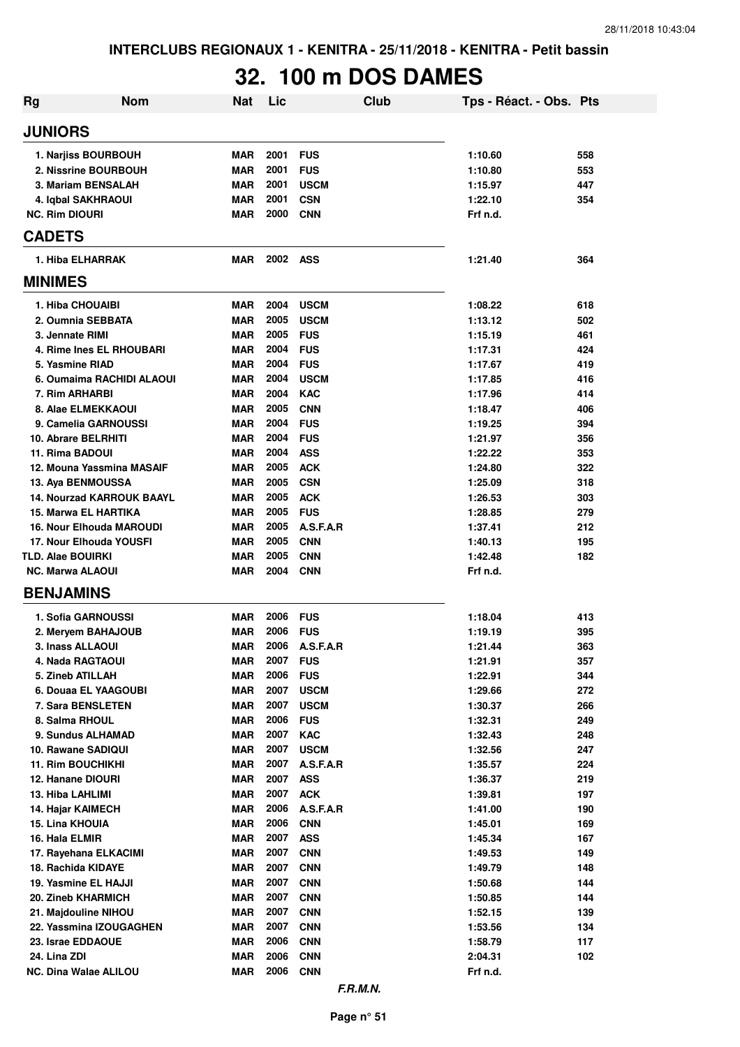# **32. 100 m DOS DAMES**

| Rg | <b>Nom</b>                       | <b>Nat</b> | Lic  | <b>Club</b> | Tps - Réact. - Obs. Pts |     |
|----|----------------------------------|------------|------|-------------|-------------------------|-----|
|    | <b>JUNIORS</b>                   |            |      |             |                         |     |
|    | 1. Narjiss BOURBOUH              | <b>MAR</b> | 2001 | <b>FUS</b>  | 1:10.60                 | 558 |
|    | 2. Nissrine BOURBOUH             | <b>MAR</b> | 2001 | <b>FUS</b>  | 1:10.80                 | 553 |
|    | 3. Mariam BENSALAH               | <b>MAR</b> | 2001 | <b>USCM</b> | 1:15.97                 | 447 |
|    | 4. Iqbal SAKHRAOUI               | <b>MAR</b> | 2001 | <b>CSN</b>  | 1:22.10                 | 354 |
|    | <b>NC. Rim DIOURI</b>            | <b>MAR</b> | 2000 | <b>CNN</b>  | Frf n.d.                |     |
|    | <b>CADETS</b>                    |            |      |             |                         |     |
|    | 1. Hiba ELHARRAK                 | <b>MAR</b> | 2002 | ASS         | 1:21.40                 | 364 |
|    | <b>MINIMES</b>                   |            |      |             |                         |     |
|    | 1. Hiba CHOUAIBI                 | <b>MAR</b> | 2004 | <b>USCM</b> | 1:08.22                 | 618 |
|    | 2. Oumnia SEBBATA                | <b>MAR</b> | 2005 | <b>USCM</b> | 1:13.12                 | 502 |
|    | 3. Jennate RIMI                  | <b>MAR</b> | 2005 | <b>FUS</b>  | 1:15.19                 | 461 |
|    | 4. Rime Ines EL RHOUBARI         | <b>MAR</b> | 2004 | <b>FUS</b>  | 1:17.31                 | 424 |
|    | 5. Yasmine RIAD                  | <b>MAR</b> | 2004 | <b>FUS</b>  | 1:17.67                 | 419 |
|    | 6. Oumaima RACHIDI ALAOUI        | <b>MAR</b> | 2004 | <b>USCM</b> | 1:17.85                 | 416 |
|    | 7. Rim ARHARBI                   | <b>MAR</b> | 2004 | <b>KAC</b>  | 1:17.96                 | 414 |
|    | 8. Alae ELMEKKAOUI               | <b>MAR</b> | 2005 | <b>CNN</b>  | 1:18.47                 | 406 |
|    | 9. Camelia GARNOUSSI             | <b>MAR</b> | 2004 | <b>FUS</b>  | 1:19.25                 | 394 |
|    | 10. Abrare BELRHITI              | <b>MAR</b> | 2004 | <b>FUS</b>  | 1:21.97                 | 356 |
|    | 11. Rima BADOUI                  | <b>MAR</b> | 2004 | <b>ASS</b>  | 1:22.22                 | 353 |
|    | 12. Mouna Yassmina MASAIF        | <b>MAR</b> | 2005 | <b>ACK</b>  | 1:24.80                 | 322 |
|    | 13. Aya BENMOUSSA                | <b>MAR</b> | 2005 | <b>CSN</b>  | 1:25.09                 | 318 |
|    | <b>14. Nourzad KARROUK BAAYL</b> | <b>MAR</b> | 2005 | <b>ACK</b>  | 1:26.53                 | 303 |
|    | 15. Marwa EL HARTIKA             | <b>MAR</b> | 2005 | <b>FUS</b>  | 1:28.85                 | 279 |
|    | <b>16. Nour Elhouda MAROUDI</b>  | <b>MAR</b> | 2005 | A.S.F.A.R   | 1:37.41                 | 212 |
|    | 17. Nour Elhouda YOUSFI          | <b>MAR</b> | 2005 | <b>CNN</b>  | 1:40.13                 | 195 |
|    | <b>TLD. Alae BOUIRKI</b>         | <b>MAR</b> | 2005 | <b>CNN</b>  | 1:42.48                 | 182 |
|    | <b>NC. Marwa ALAOUI</b>          | <b>MAR</b> | 2004 | <b>CNN</b>  | Frf n.d.                |     |
|    | <b>BENJAMINS</b>                 |            |      |             |                         |     |
|    | 1. Sofia GARNOUSSI               | <b>MAR</b> | 2006 | <b>FUS</b>  | 1:18.04                 | 413 |
|    | 2. Meryem BAHAJOUB               | <b>MAR</b> | 2006 | <b>FUS</b>  | 1:19.19                 | 395 |
|    | 3. Inass ALLAOUI                 | <b>MAR</b> | 2006 | A.S.F.A.R   | 1:21.44                 | 363 |
|    | 4. Nada RAGTAOUI                 | <b>MAR</b> | 2007 | <b>FUS</b>  | 1:21.91                 | 357 |
|    | 5. Zineb ATILLAH                 | <b>MAR</b> | 2006 | <b>FUS</b>  | 1:22.91                 | 344 |
|    | 6. Douaa EL YAAGOUBI             | <b>MAR</b> | 2007 | <b>USCM</b> | 1:29.66                 | 272 |
|    | 7. Sara BENSLETEN                | <b>MAR</b> | 2007 | <b>USCM</b> | 1:30.37                 | 266 |
|    | 8. Salma RHOUL                   | <b>MAR</b> | 2006 | <b>FUS</b>  | 1:32.31                 | 249 |
|    | 9. Sundus ALHAMAD                | <b>MAR</b> | 2007 | <b>KAC</b>  | 1:32.43                 | 248 |
|    | 10. Rawane SADIQUI               | <b>MAR</b> | 2007 | <b>USCM</b> | 1:32.56                 | 247 |
|    | <b>11. Rim BOUCHIKHI</b>         | <b>MAR</b> | 2007 | A.S.F.A.R   | 1:35.57                 | 224 |
|    | 12. Hanane DIOURI                | <b>MAR</b> | 2007 | <b>ASS</b>  | 1:36.37                 | 219 |
|    | 13. Hiba LAHLIMI                 | <b>MAR</b> | 2007 | <b>ACK</b>  | 1:39.81                 | 197 |
|    | 14. Hajar KAIMECH                | <b>MAR</b> | 2006 | A.S.F.A.R   | 1:41.00                 | 190 |
|    | 15. Lina KHOUIA                  | <b>MAR</b> | 2006 | <b>CNN</b>  | 1:45.01                 | 169 |
|    | 16. Hala ELMIR                   | <b>MAR</b> | 2007 | <b>ASS</b>  | 1:45.34                 | 167 |
|    | 17. Rayehana ELKACIMI            | <b>MAR</b> | 2007 | <b>CNN</b>  | 1:49.53                 | 149 |
|    | 18. Rachida KIDAYE               | <b>MAR</b> | 2007 | <b>CNN</b>  | 1:49.79                 | 148 |
|    | 19. Yasmine EL HAJJI             | <b>MAR</b> | 2007 | <b>CNN</b>  | 1:50.68                 | 144 |
|    | 20. Zineb KHARMICH               | <b>MAR</b> | 2007 | <b>CNN</b>  | 1:50.85                 | 144 |
|    | 21. Majdouline NIHOU             | <b>MAR</b> | 2007 | <b>CNN</b>  | 1:52.15                 | 139 |
|    | 22. Yassmina IZOUGAGHEN          | <b>MAR</b> | 2007 | <b>CNN</b>  | 1:53.56                 | 134 |
|    | 23. Israe EDDAOUE                | <b>MAR</b> | 2006 | <b>CNN</b>  | 1:58.79                 | 117 |
|    | 24. Lina ZDI                     | <b>MAR</b> | 2006 | <b>CNN</b>  | 2:04.31                 | 102 |
|    | NC. Dina Walae ALILOU            | <b>MAR</b> | 2006 | <b>CNN</b>  | Frf n.d.                |     |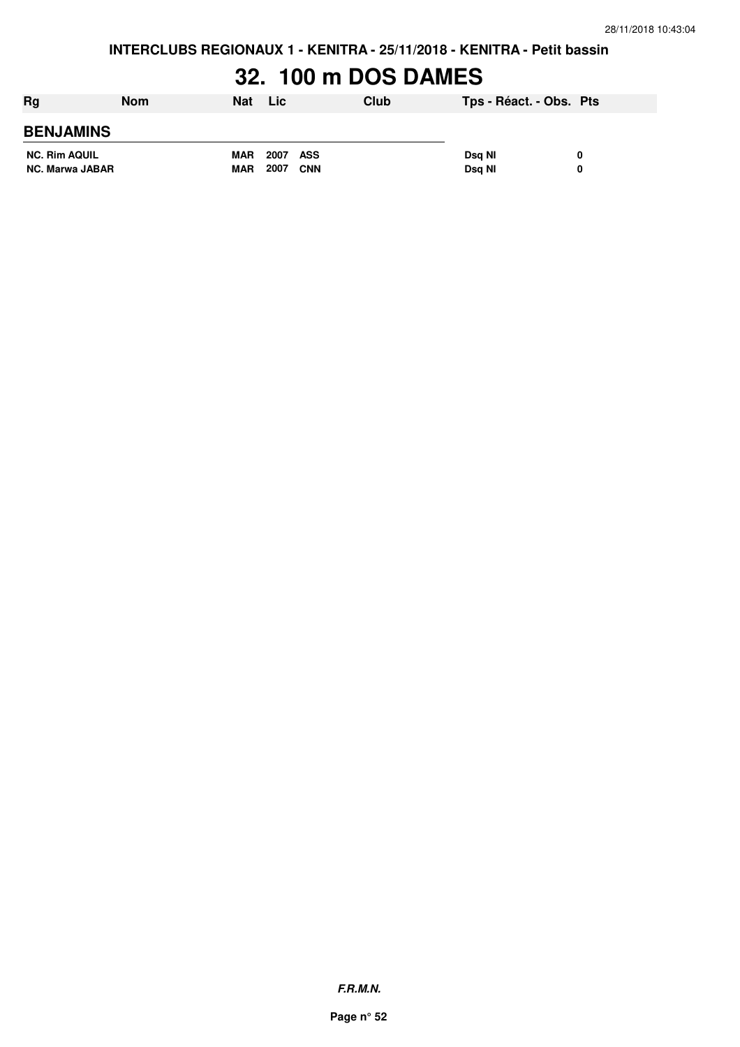**INTERCLUBS REGIONAUX 1 - KENITRA - 25/11/2018 - KENITRA - Petit bassin**

# **32. 100 m DOS DAMES**

| Rg                     | <b>Nom</b> | Nat        | <b>Lic</b>         | Club | Tps - Réact. - Obs. Pts |  |
|------------------------|------------|------------|--------------------|------|-------------------------|--|
| <b>BENJAMINS</b>       |            |            |                    |      |                         |  |
| <b>NC. Rim AQUIL</b>   |            | <b>MAR</b> | 2007 ASS           |      | Dsa NI                  |  |
| <b>NC. Marwa JABAR</b> |            | <b>MAR</b> | 2007<br><b>CNN</b> |      | Dsg NI                  |  |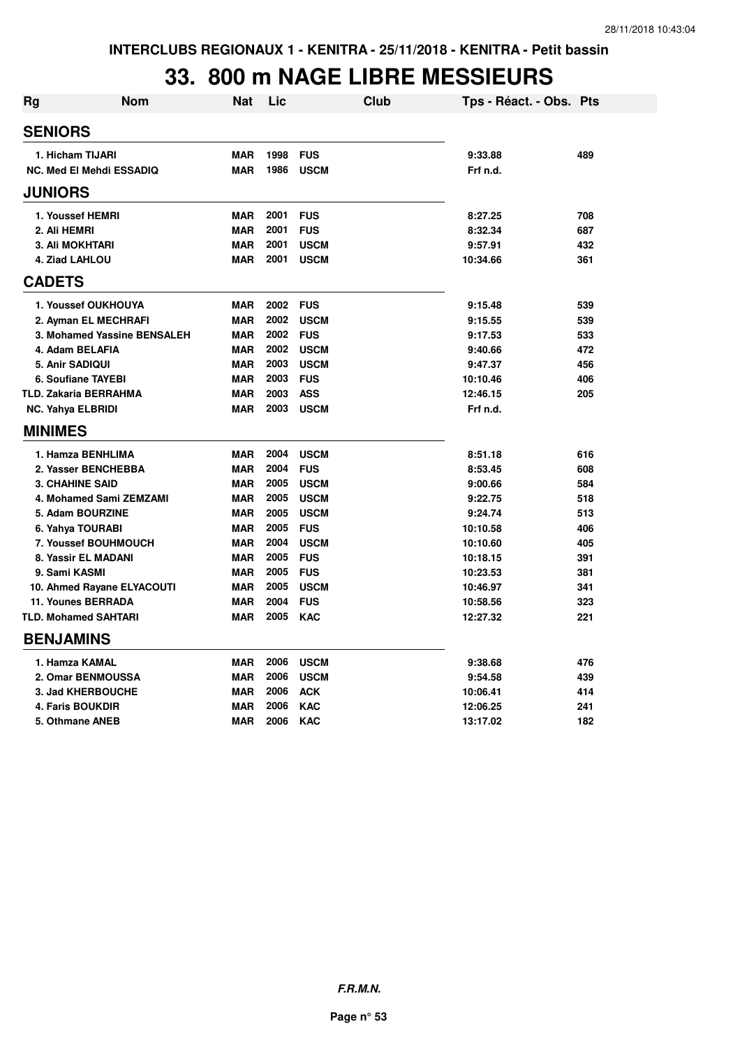### **33. 800 m NAGE LIBRE MESSIEURS**

| Rg             | <b>Nom</b>                      | <b>Nat</b> | Lic      | Club        | Tps - Réact. - Obs. Pts |     |
|----------------|---------------------------------|------------|----------|-------------|-------------------------|-----|
| <b>SENIORS</b> |                                 |            |          |             |                         |     |
|                | 1. Hicham TIJARI                | <b>MAR</b> | 1998     | <b>FUS</b>  | 9:33.88                 | 489 |
|                | <b>NC. Med El Mehdi ESSADIQ</b> | <b>MAR</b> | 1986     | <b>USCM</b> | Frf n.d.                |     |
| <b>JUNIORS</b> |                                 |            |          |             |                         |     |
|                | 1. Youssef HEMRI                | <b>MAR</b> | 2001     | <b>FUS</b>  | 8:27.25                 | 708 |
|                | 2. Ali HEMRI                    | <b>MAR</b> | 2001     | <b>FUS</b>  | 8:32.34                 | 687 |
|                | <b>3. Ali MOKHTARI</b>          | <b>MAR</b> | 2001     | <b>USCM</b> | 9:57.91                 | 432 |
|                | 4. Ziad LAHLOU                  | <b>MAR</b> | 2001     | <b>USCM</b> | 10:34.66                | 361 |
| <b>CADETS</b>  |                                 |            |          |             |                         |     |
|                | 1. Youssef OUKHOUYA             | <b>MAR</b> | 2002 FUS |             | 9:15.48                 | 539 |
|                | 2. Ayman EL MECHRAFI            | <b>MAR</b> | 2002     | <b>USCM</b> | 9:15.55                 | 539 |
|                | 3. Mohamed Yassine BENSALEH     | <b>MAR</b> | 2002     | <b>FUS</b>  | 9:17.53                 | 533 |
|                | 4. Adam BELAFIA                 | <b>MAR</b> | 2002     | <b>USCM</b> | 9:40.66                 | 472 |
|                | 5. Anir SADIQUI                 | <b>MAR</b> | 2003     | <b>USCM</b> | 9:47.37                 | 456 |
|                | <b>6. Soufiane TAYEBI</b>       | <b>MAR</b> | 2003     | <b>FUS</b>  | 10:10.46                | 406 |
|                | TLD. Zakaria BERRAHMA           | <b>MAR</b> | 2003     | <b>ASS</b>  | 12:46.15                | 205 |
|                | <b>NC. Yahya ELBRIDI</b>        | <b>MAR</b> | 2003     | <b>USCM</b> | Frf n.d.                |     |
| <b>MINIMES</b> |                                 |            |          |             |                         |     |
|                | 1. Hamza BENHLIMA               | <b>MAR</b> | 2004     | <b>USCM</b> | 8:51.18                 | 616 |
|                | 2. Yasser BENCHEBBA             | <b>MAR</b> | 2004     | <b>FUS</b>  | 8:53.45                 | 608 |
|                | <b>3. CHAHINE SAID</b>          | <b>MAR</b> | 2005     | <b>USCM</b> | 9:00.66                 | 584 |
|                | 4. Mohamed Sami ZEMZAMI         | <b>MAR</b> | 2005     | <b>USCM</b> | 9:22.75                 | 518 |
|                | 5. Adam BOURZINE                | <b>MAR</b> | 2005     | <b>USCM</b> | 9:24.74                 | 513 |
|                | 6. Yahya TOURABI                | <b>MAR</b> | 2005     | <b>FUS</b>  | 10:10.58                | 406 |
|                | 7. Youssef BOUHMOUCH            | <b>MAR</b> | 2004     | <b>USCM</b> | 10:10.60                | 405 |
|                | 8. Yassir EL MADANI             | <b>MAR</b> | 2005     | <b>FUS</b>  | 10:18.15                | 391 |
|                | 9. Sami KASMI                   | <b>MAR</b> | 2005     | <b>FUS</b>  | 10:23.53                | 381 |
|                | 10. Ahmed Rayane ELYACOUTI      | <b>MAR</b> | 2005     | <b>USCM</b> | 10:46.97                | 341 |
|                | <b>11. Younes BERRADA</b>       | <b>MAR</b> | 2004     | <b>FUS</b>  | 10:58.56                | 323 |
|                | <b>TLD. Mohamed SAHTARI</b>     | <b>MAR</b> | 2005     | <b>KAC</b>  | 12:27.32                | 221 |
|                | <b>BENJAMINS</b>                |            |          |             |                         |     |
|                | 1. Hamza KAMAL                  | <b>MAR</b> | 2006     | <b>USCM</b> | 9:38.68                 | 476 |
|                | 2. Omar BENMOUSSA               | <b>MAR</b> | 2006     | <b>USCM</b> | 9:54.58                 | 439 |
|                | 3. Jad KHERBOUCHE               | <b>MAR</b> | 2006     | <b>ACK</b>  | 10:06.41                | 414 |
|                | <b>4. Faris BOUKDIR</b>         | <b>MAR</b> | 2006     | <b>KAC</b>  | 12:06.25                | 241 |
|                | 5. Othmane ANEB                 | <b>MAR</b> | 2006     | <b>KAC</b>  | 13:17.02                | 182 |